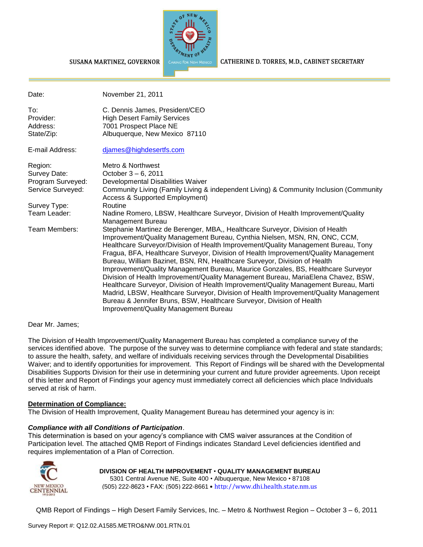

#### CATHERINE D. TORRES, M.D., CABINET SECRETARY

| Date:                                                             | November 21, 2011                                                                                                                                                                                                                                                                                                                                                                                                                                                                                                                                                                                                                                                                                                                                                                                                                                                                                |
|-------------------------------------------------------------------|--------------------------------------------------------------------------------------------------------------------------------------------------------------------------------------------------------------------------------------------------------------------------------------------------------------------------------------------------------------------------------------------------------------------------------------------------------------------------------------------------------------------------------------------------------------------------------------------------------------------------------------------------------------------------------------------------------------------------------------------------------------------------------------------------------------------------------------------------------------------------------------------------|
| To:<br>Provider:<br>Address:<br>State/Zip:                        | C. Dennis James, President/CEO<br><b>High Desert Family Services</b><br>7001 Prospect Place NE<br>Albuquerque, New Mexico 87110                                                                                                                                                                                                                                                                                                                                                                                                                                                                                                                                                                                                                                                                                                                                                                  |
| E-mail Address:                                                   | djames@highdesertfs.com                                                                                                                                                                                                                                                                                                                                                                                                                                                                                                                                                                                                                                                                                                                                                                                                                                                                          |
| Region:<br>Survey Date:<br>Program Surveyed:<br>Service Surveyed: | Metro & Northwest<br>October 3 – 6, 2011<br>Developmental Disabilities Waiver<br>Community Living (Family Living & independent Living) & Community Inclusion (Community<br><b>Access &amp; Supported Employment)</b>                                                                                                                                                                                                                                                                                                                                                                                                                                                                                                                                                                                                                                                                             |
| Survey Type:<br>Team Leader:                                      | Routine<br>Nadine Romero, LBSW, Healthcare Surveyor, Division of Health Improvement/Quality<br>Management Bureau                                                                                                                                                                                                                                                                                                                                                                                                                                                                                                                                                                                                                                                                                                                                                                                 |
| Team Members:                                                     | Stephanie Martinez de Berenger, MBA,, Healthcare Surveyor, Division of Health<br>Improvement/Quality Management Bureau, Cynthia Nielsen, MSN, RN, ONC, CCM,<br>Healthcare Surveyor/Division of Health Improvement/Quality Management Bureau, Tony<br>Fragua, BFA, Healthcare Surveyor, Division of Health Improvement/Quality Management<br>Bureau, William Bazinet, BSN, RN, Healthcare Surveyor, Division of Health<br>Improvement/Quality Management Bureau, Maurice Gonzales, BS, Healthcare Surveyor<br>Division of Health Improvement/Quality Management Bureau, MariaElena Chavez, BSW,<br>Healthcare Surveyor, Division of Health Improvement/Quality Management Bureau, Marti<br>Madrid, LBSW, Healthcare Surveyor, Division of Health Improvement/Quality Management<br>Bureau & Jennifer Bruns, BSW, Healthcare Surveyor, Division of Health<br>Improvement/Quality Management Bureau |

#### Dear Mr. James;

The Division of Health Improvement/Quality Management Bureau has completed a compliance survey of the services identified above. The purpose of the survey was to determine compliance with federal and state standards; to assure the health, safety, and welfare of individuals receiving services through the Developmental Disabilities Waiver; and to identify opportunities for improvement. This Report of Findings will be shared with the Developmental Disabilities Supports Division for their use in determining your current and future provider agreements. Upon receipt of this letter and Report of Findings your agency must immediately correct all deficiencies which place Individuals served at risk of harm.

#### **Determination of Compliance:**

The Division of Health Improvement, Quality Management Bureau has determined your agency is in:

#### *Compliance with all Conditions of Participation*.

SUSANA MARTINEZ, GOVERNOR

This determination is based on your agency's compliance with CMS waiver assurances at the Condition of Participation level. The attached QMB Report of Findings indicates Standard Level deficiencies identified and requires implementation of a Plan of Correction.



#### **DIVISION OF HEALTH IMPROVEMENT** • **QUALITY MANAGEMENT BUREAU**

5301 Central Avenue NE, Suite 400 • Albuquerque, New Mexico • 87108 (505) 222-8623 • FAX: (505) 222-8661 • http://www.dhi.health.state.nm.us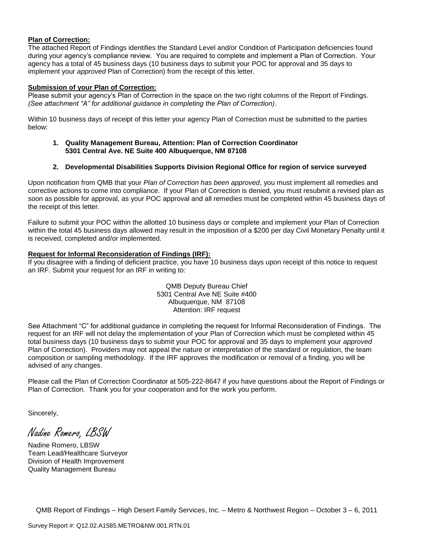#### **Plan of Correction:**

The attached Report of Findings identifies the Standard Level and/or Condition of Participation deficiencies found during your agency's compliance review. You are required to complete and implement a Plan of Correction. Your agency has a total of 45 business days (10 business days to submit your POC for approval and 35 days to implement your *approved* Plan of Correction) from the receipt of this letter.

### **Submission of your Plan of Correction:**

Please submit your agency's Plan of Correction in the space on the two right columns of the Report of Findings. *(See attachment "A" for additional guidance in completing the Plan of Correction)*.

Within 10 business days of receipt of this letter your agency Plan of Correction must be submitted to the parties below:

#### **1. Quality Management Bureau, Attention: Plan of Correction Coordinator 5301 Central Ave. NE Suite 400 Albuquerque, NM 87108**

### **2. Developmental Disabilities Supports Division Regional Office for region of service surveyed**

Upon notification from QMB that your *Plan of Correction has been approved*, you must implement all remedies and corrective actions to come into compliance. If your Plan of Correction is denied, you must resubmit a revised plan as soon as possible for approval, as your POC approval and all remedies must be completed within 45 business days of the receipt of this letter.

Failure to submit your POC within the allotted 10 business days or complete and implement your Plan of Correction within the total 45 business days allowed may result in the imposition of a \$200 per day Civil Monetary Penalty until it is received, completed and/or implemented.

#### **Request for Informal Reconsideration of Findings (IRF):**

If you disagree with a finding of deficient practice, you have 10 business days upon receipt of this notice to request an IRF. Submit your request for an IRF in writing to:

> QMB Deputy Bureau Chief 5301 Central Ave NE Suite #400 Albuquerque, NM 87108 Attention: IRF request

See Attachment "C" for additional guidance in completing the request for Informal Reconsideration of Findings. The request for an IRF will not delay the implementation of your Plan of Correction which must be completed within 45 total business days (10 business days to submit your POC for approval and 35 days to implement your *approved* Plan of Correction). Providers may not appeal the nature or interpretation of the standard or regulation, the team composition or sampling methodology. If the IRF approves the modification or removal of a finding, you will be advised of any changes.

Please call the Plan of Correction Coordinator at 505-222-8647 if you have questions about the Report of Findings or Plan of Correction. Thank you for your cooperation and for the work you perform.

Sincerely,

Nadine Romero, LBSW

Nadine Romero, LBSW Team Lead/Healthcare Surveyor Division of Health Improvement Quality Management Bureau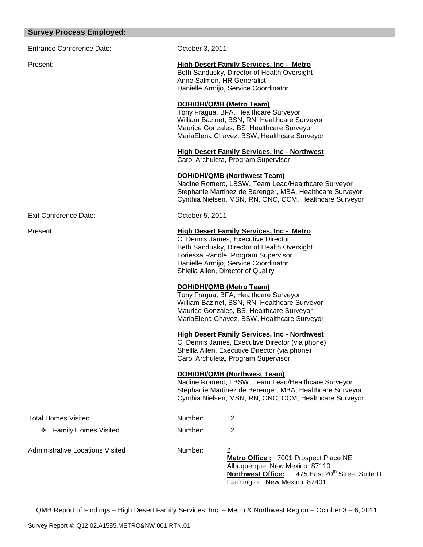### **Survey Process Employed:**

Entrance Conference Date: Conference October 3, 2011

### Present: **High Desert Family Services, Inc - Metro**

Beth Sandusky, Director of Health Oversight Anne Salmon, HR Generalist Danielle Armijo, Service Coordinator

### **DOH/DHI/QMB (Metro Team)**

Tony Fragua, BFA, Healthcare Surveyor William Bazinet, BSN, RN, Healthcare Surveyor Maurice Gonzales, BS, Healthcare Surveyor MariaElena Chavez, BSW, Healthcare Surveyor

### **High Desert Family Services, Inc - Northwest**

Carol Archuleta, Program Supervisor

### **DOH/DHI/QMB (Northwest Team)**

Nadine Romero, LBSW, Team Lead/Healthcare Surveyor Stephanie Martinez de Berenger, MBA, Healthcare Surveyor Cynthia Nielsen, MSN, RN, ONC, CCM, Healthcare Surveyor

Exit Conference Date: Conference Date: Conference Date:

### Present: **High Desert Family Services, Inc - Metro**

C. Dennis James, Executive Director Beth Sandusky, Director of Health Oversight Loriessa Randle, Program Supervisor Danielle Armijo, Service Coordinator Shiella Allen, Director of Quality

### **DOH/DHI/QMB (Metro Team)**

Tony Fragua, BFA, Healthcare Surveyor William Bazinet, BSN, RN, Healthcare Surveyor Maurice Gonzales, BS, Healthcare Surveyor MariaElena Chavez, BSW, Healthcare Surveyor

#### **High Desert Family Services, Inc - Northwest**

C. Dennis James, Executive Director (via phone) Sheilla Allen, Executive Director (via phone) Carol Archuleta, Program Supervisor

#### **DOH/DHI/QMB (Northwest Team)**

Nadine Romero, LBSW, Team Lead/Healthcare Surveyor Stephanie Martinez de Berenger, MBA, Healthcare Surveyor Cynthia Nielsen, MSN, RN, ONC, CCM, Healthcare Surveyor

| Total Homes Visited              | Number: | 12                                                                                                                                                                       |
|----------------------------------|---------|--------------------------------------------------------------------------------------------------------------------------------------------------------------------------|
| ❖ Family Homes Visited           | Number: | 12                                                                                                                                                                       |
| Administrative Locations Visited | Number: | 2<br>Metro Office: 7001 Prospect Place NE<br>Albuquerque, New Mexico 87110<br>Northwest Office: 475 East 20 <sup>th</sup> Street Suite D<br>Farmington, New Mexico 87401 |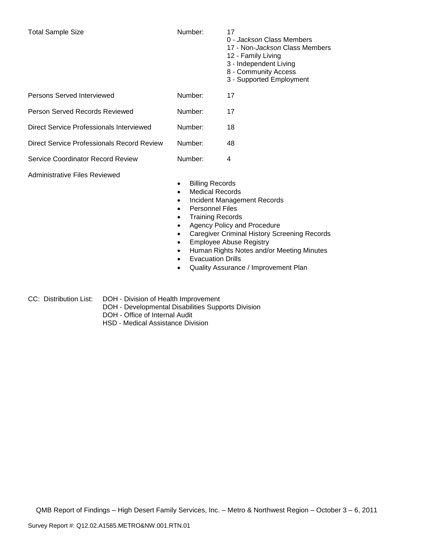- 0 *Jackson* Class Members
- 17 Non-*Jackson* Class Members
- 12 Family Living
- 3 Independent Living
- 8 Community Access
- 3 Supported Employment

| Persons Served Interviewed                 | Number: | 17 |
|--------------------------------------------|---------|----|
| Person Served Records Reviewed             | Number: | 17 |
| Direct Service Professionals Interviewed   | Number: | 18 |
| Direct Service Professionals Record Review | Number: | 48 |
| Service Coordinator Record Review          | Number: | 4  |
|                                            |         |    |

Administrative Files Reviewed

- Billing Records
- Medical Records
- Incident Management Records
- Personnel Files
- Training Records
- Agency Policy and Procedure
- Caregiver Criminal History Screening Records
- **Employee Abuse Registry**
- Human Rights Notes and/or Meeting Minutes
- Evacuation Drills
- Quality Assurance / Improvement Plan
- CC: Distribution List: DOH Division of Health Improvement
	- DOH Developmental Disabilities Supports Division
	- DOH Office of Internal Audit
	- HSD Medical Assistance Division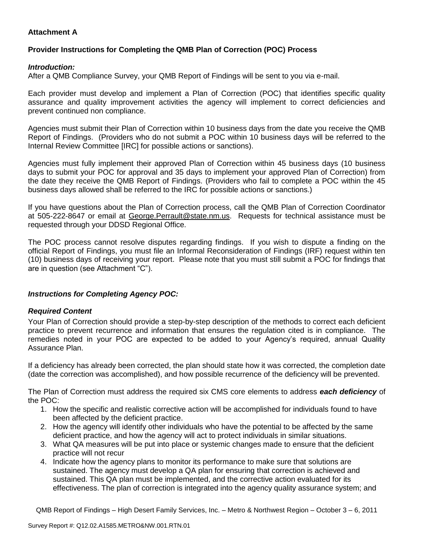## **Attachment A**

# **Provider Instructions for Completing the QMB Plan of Correction (POC) Process**

### *Introduction:*

After a QMB Compliance Survey, your QMB Report of Findings will be sent to you via e-mail.

Each provider must develop and implement a Plan of Correction (POC) that identifies specific quality assurance and quality improvement activities the agency will implement to correct deficiencies and prevent continued non compliance.

Agencies must submit their Plan of Correction within 10 business days from the date you receive the QMB Report of Findings. (Providers who do not submit a POC within 10 business days will be referred to the Internal Review Committee [IRC] for possible actions or sanctions).

Agencies must fully implement their approved Plan of Correction within 45 business days (10 business days to submit your POC for approval and 35 days to implement your approved Plan of Correction) from the date they receive the QMB Report of Findings. (Providers who fail to complete a POC within the 45 business days allowed shall be referred to the IRC for possible actions or sanctions.)

If you have questions about the Plan of Correction process, call the QMB Plan of Correction Coordinator at 505-222-8647 or email at George. Perrault@state.nm.us. Requests for technical assistance must be requested through your DDSD Regional Office.

The POC process cannot resolve disputes regarding findings. If you wish to dispute a finding on the official Report of Findings, you must file an Informal Reconsideration of Findings (IRF) request within ten (10) business days of receiving your report. Please note that you must still submit a POC for findings that are in question (see Attachment "C").

## *Instructions for Completing Agency POC:*

## *Required Content*

Your Plan of Correction should provide a step-by-step description of the methods to correct each deficient practice to prevent recurrence and information that ensures the regulation cited is in compliance. The remedies noted in your POC are expected to be added to your Agency's required, annual Quality Assurance Plan.

If a deficiency has already been corrected, the plan should state how it was corrected, the completion date (date the correction was accomplished), and how possible recurrence of the deficiency will be prevented.

The Plan of Correction must address the required six CMS core elements to address *each deficiency* of the POC:

- 1. How the specific and realistic corrective action will be accomplished for individuals found to have been affected by the deficient practice.
- 2. How the agency will identify other individuals who have the potential to be affected by the same deficient practice, and how the agency will act to protect individuals in similar situations.
- 3. What QA measures will be put into place or systemic changes made to ensure that the deficient practice will not recur
- 4. Indicate how the agency plans to monitor its performance to make sure that solutions are sustained. The agency must develop a QA plan for ensuring that correction is achieved and sustained. This QA plan must be implemented, and the corrective action evaluated for its effectiveness. The plan of correction is integrated into the agency quality assurance system; and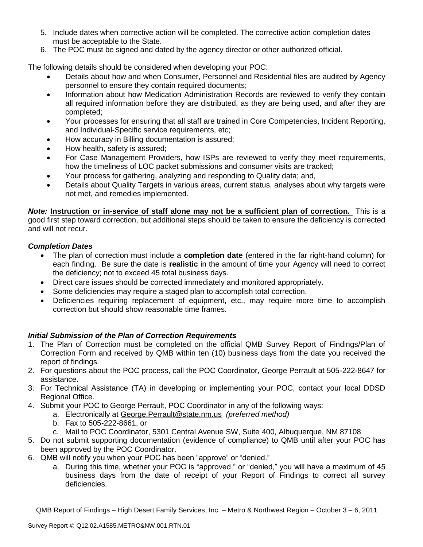- 5. Include dates when corrective action will be completed. The corrective action completion dates must be acceptable to the State.
- 6. The POC must be signed and dated by the agency director or other authorized official.

The following details should be considered when developing your POC:

- Details about how and when Consumer, Personnel and Residential files are audited by Agency personnel to ensure they contain required documents;
- Information about how Medication Administration Records are reviewed to verify they contain all required information before they are distributed, as they are being used, and after they are completed;
- Your processes for ensuring that all staff are trained in Core Competencies, Incident Reporting, and Individual-Specific service requirements, etc;
- How accuracy in Billing documentation is assured;
- How health, safety is assured;
- For Case Management Providers, how ISPs are reviewed to verify they meet requirements, how the timeliness of LOC packet submissions and consumer visits are tracked;
- Your process for gathering, analyzing and responding to Quality data; and,
- Details about Quality Targets in various areas, current status, analyses about why targets were not met, and remedies implemented.

*Note:* **Instruction or in-service of staff alone may not be a sufficient plan of correction.** This is a good first step toward correction, but additional steps should be taken to ensure the deficiency is corrected and will not recur.

## *Completion Dates*

- The plan of correction must include a **completion date** (entered in the far right-hand column) for each finding. Be sure the date is **realistic** in the amount of time your Agency will need to correct the deficiency; not to exceed 45 total business days.
- Direct care issues should be corrected immediately and monitored appropriately.
- Some deficiencies may require a staged plan to accomplish total correction.
- Deficiencies requiring replacement of equipment, etc., may require more time to accomplish correction but should show reasonable time frames.

# *Initial Submission of the Plan of Correction Requirements*

- 1. The Plan of Correction must be completed on the official QMB Survey Report of Findings/Plan of Correction Form and received by QMB within ten (10) business days from the date you received the report of findings.
- 2. For questions about the POC process, call the POC Coordinator, George Perrault at 505-222-8647 for assistance.
- 3. For Technical Assistance (TA) in developing or implementing your POC, contact your local DDSD Regional Office.
- 4. Submit your POC to George Perrault, POC Coordinator in any of the following ways:
	- a. Electronically at [George.Perrault@state.nm.us](mailto:George.Perrault@state.nm.us) *(preferred method)*
	- b. Fax to 505-222-8661, or
	- c. Mail to POC Coordinator, 5301 Central Avenue SW, Suite 400, Albuquerque, NM 87108
- 5. Do not submit supporting documentation (evidence of compliance) to QMB until after your POC has been approved by the POC Coordinator.
- 6. QMB will notify you when your POC has been "approve" or "denied."
	- a. During this time, whether your POC is "approved," or "denied," you will have a maximum of 45 business days from the date of receipt of your Report of Findings to correct all survey deficiencies.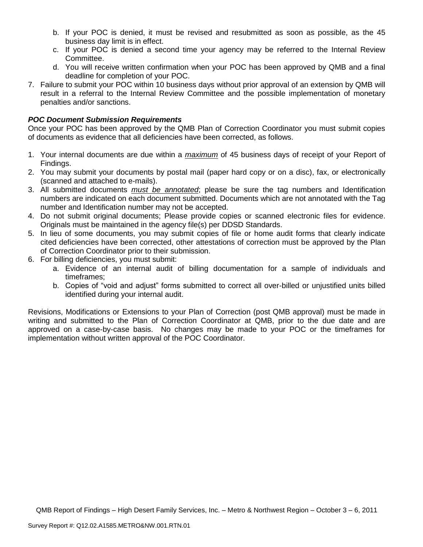- b. If your POC is denied, it must be revised and resubmitted as soon as possible, as the 45 business day limit is in effect.
- c. If your POC is denied a second time your agency may be referred to the Internal Review Committee.
- d. You will receive written confirmation when your POC has been approved by QMB and a final deadline for completion of your POC.
- 7. Failure to submit your POC within 10 business days without prior approval of an extension by QMB will result in a referral to the Internal Review Committee and the possible implementation of monetary penalties and/or sanctions.

### *POC Document Submission Requirements*

Once your POC has been approved by the QMB Plan of Correction Coordinator you must submit copies of documents as evidence that all deficiencies have been corrected, as follows.

- 1. Your internal documents are due within a *maximum* of 45 business days of receipt of your Report of Findings.
- 2. You may submit your documents by postal mail (paper hard copy or on a disc), fax, or electronically (scanned and attached to e-mails).
- 3. All submitted documents *must be annotated*; please be sure the tag numbers and Identification numbers are indicated on each document submitted. Documents which are not annotated with the Tag number and Identification number may not be accepted.
- 4. Do not submit original documents; Please provide copies or scanned electronic files for evidence. Originals must be maintained in the agency file(s) per DDSD Standards.
- 5. In lieu of some documents, you may submit copies of file or home audit forms that clearly indicate cited deficiencies have been corrected, other attestations of correction must be approved by the Plan of Correction Coordinator prior to their submission.
- 6. For billing deficiencies, you must submit:
	- a. Evidence of an internal audit of billing documentation for a sample of individuals and timeframes;
	- b. Copies of "void and adjust" forms submitted to correct all over-billed or unjustified units billed identified during your internal audit.

Revisions, Modifications or Extensions to your Plan of Correction (post QMB approval) must be made in writing and submitted to the Plan of Correction Coordinator at QMB, prior to the due date and are approved on a case-by-case basis. No changes may be made to your POC or the timeframes for implementation without written approval of the POC Coordinator.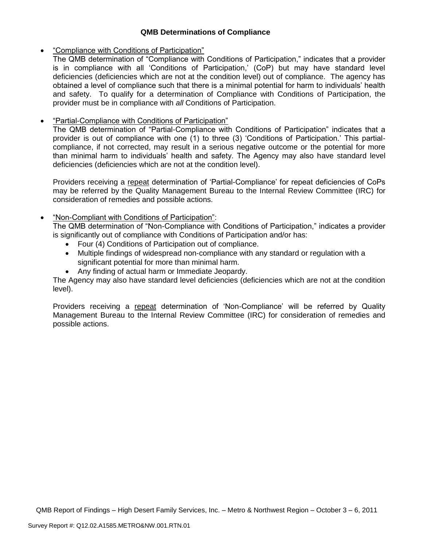## **QMB Determinations of Compliance**

### "Compliance with Conditions of Participation"

The QMB determination of "Compliance with Conditions of Participation," indicates that a provider is in compliance with all 'Conditions of Participation,' (CoP) but may have standard level deficiencies (deficiencies which are not at the condition level) out of compliance. The agency has obtained a level of compliance such that there is a minimal potential for harm to individuals' health and safety. To qualify for a determination of Compliance with Conditions of Participation, the provider must be in compliance with *all* Conditions of Participation.

## "Partial-Compliance with Conditions of Participation"

The QMB determination of "Partial-Compliance with Conditions of Participation" indicates that a provider is out of compliance with one (1) to three (3) 'Conditions of Participation.' This partialcompliance, if not corrected, may result in a serious negative outcome or the potential for more than minimal harm to individuals' health and safety. The Agency may also have standard level deficiencies (deficiencies which are not at the condition level).

Providers receiving a repeat determination of 'Partial-Compliance' for repeat deficiencies of CoPs may be referred by the Quality Management Bureau to the Internal Review Committee (IRC) for consideration of remedies and possible actions.

## "Non-Compliant with Conditions of Participation":

The QMB determination of "Non-Compliance with Conditions of Participation," indicates a provider is significantly out of compliance with Conditions of Participation and/or has:

- Four (4) Conditions of Participation out of compliance.
- Multiple findings of widespread non-compliance with any standard or regulation with a significant potential for more than minimal harm.
- Any finding of actual harm or Immediate Jeopardy.

The Agency may also have standard level deficiencies (deficiencies which are not at the condition level).

Providers receiving a repeat determination of 'Non-Compliance' will be referred by Quality Management Bureau to the Internal Review Committee (IRC) for consideration of remedies and possible actions.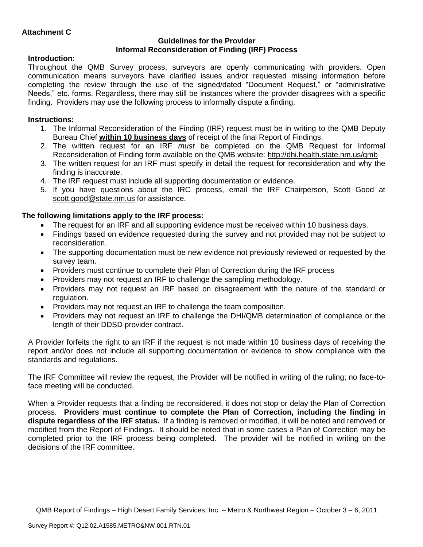### **Guidelines for the Provider Informal Reconsideration of Finding (IRF) Process**

# **Introduction:**

Throughout the QMB Survey process, surveyors are openly communicating with providers. Open communication means surveyors have clarified issues and/or requested missing information before completing the review through the use of the signed/dated "Document Request," or "administrative Needs," etc. forms. Regardless, there may still be instances where the provider disagrees with a specific finding. Providers may use the following process to informally dispute a finding.

# **Instructions:**

- 1. The Informal Reconsideration of the Finding (IRF) request must be in writing to the QMB Deputy Bureau Chief **within 10 business days** of receipt of the final Report of Findings.
- 2. The written request for an IRF *must* be completed on the QMB Request for Informal Reconsideration of Finding form available on the QMB website:<http://dhi.health.state.nm.us/qmb>
- 3. The written request for an IRF must specify in detail the request for reconsideration and why the finding is inaccurate.
- 4. The IRF request must include all supporting documentation or evidence.
- 5. If you have questions about the IRC process, email the IRF Chairperson, Scott Good at [scott.good@state.nm.us](mailto:scott.good@state.nm.us) for assistance.

# **The following limitations apply to the IRF process:**

- The request for an IRF and all supporting evidence must be received within 10 business days.
- Findings based on evidence requested during the survey and not provided may not be subject to reconsideration.
- The supporting documentation must be new evidence not previously reviewed or requested by the survey team.
- Providers must continue to complete their Plan of Correction during the IRF process
- Providers may not request an IRF to challenge the sampling methodology.
- Providers may not request an IRF based on disagreement with the nature of the standard or regulation.
- Providers may not request an IRF to challenge the team composition.
- Providers may not request an IRF to challenge the DHI/QMB determination of compliance or the length of their DDSD provider contract.

A Provider forfeits the right to an IRF if the request is not made within 10 business days of receiving the report and/or does not include all supporting documentation or evidence to show compliance with the standards and regulations.

The IRF Committee will review the request, the Provider will be notified in writing of the ruling; no face-toface meeting will be conducted.

When a Provider requests that a finding be reconsidered, it does not stop or delay the Plan of Correction process. **Providers must continue to complete the Plan of Correction, including the finding in dispute regardless of the IRF status.** If a finding is removed or modified, it will be noted and removed or modified from the Report of Findings. It should be noted that in some cases a Plan of Correction may be completed prior to the IRF process being completed. The provider will be notified in writing on the decisions of the IRF committee.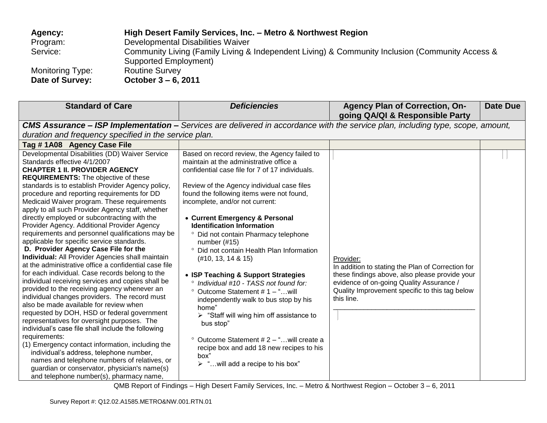| Agency:          | High Desert Family Services, Inc. - Metro & Northwest Region                                    |
|------------------|-------------------------------------------------------------------------------------------------|
| Program:         | Developmental Disabilities Waiver                                                               |
| Service:         | Community Living (Family Living & Independent Living) & Community Inclusion (Community Access & |
|                  | Supported Employment)                                                                           |
| Monitoring Type: | <b>Routine Survey</b>                                                                           |
| Date of Survey:  | October 3 – 6, 2011                                                                             |

| <b>Standard of Care</b>                                                                                                                                                                                                                                                                                                                                                                                                                                                                                                                                                                                                                                                                                                                                                                                                                                                                                                                                                                                                                                                                                                                                                                                                                                                                                                                                                                                     | <b>Deficiencies</b>                                                                                                                                                                                                                                                                                                                                                                                                                                                                                                                                                                                                                                                                                                                                                                                                                                                                                          | <b>Agency Plan of Correction, On-</b><br>going QA/QI & Responsible Party                                                                                                                                                     | <b>Date Due</b> |  |  |  |
|-------------------------------------------------------------------------------------------------------------------------------------------------------------------------------------------------------------------------------------------------------------------------------------------------------------------------------------------------------------------------------------------------------------------------------------------------------------------------------------------------------------------------------------------------------------------------------------------------------------------------------------------------------------------------------------------------------------------------------------------------------------------------------------------------------------------------------------------------------------------------------------------------------------------------------------------------------------------------------------------------------------------------------------------------------------------------------------------------------------------------------------------------------------------------------------------------------------------------------------------------------------------------------------------------------------------------------------------------------------------------------------------------------------|--------------------------------------------------------------------------------------------------------------------------------------------------------------------------------------------------------------------------------------------------------------------------------------------------------------------------------------------------------------------------------------------------------------------------------------------------------------------------------------------------------------------------------------------------------------------------------------------------------------------------------------------------------------------------------------------------------------------------------------------------------------------------------------------------------------------------------------------------------------------------------------------------------------|------------------------------------------------------------------------------------------------------------------------------------------------------------------------------------------------------------------------------|-----------------|--|--|--|
|                                                                                                                                                                                                                                                                                                                                                                                                                                                                                                                                                                                                                                                                                                                                                                                                                                                                                                                                                                                                                                                                                                                                                                                                                                                                                                                                                                                                             | <b>CMS Assurance – ISP Implementation –</b> Services are delivered in accordance with the service plan, including type, scope, amount,                                                                                                                                                                                                                                                                                                                                                                                                                                                                                                                                                                                                                                                                                                                                                                       |                                                                                                                                                                                                                              |                 |  |  |  |
| duration and frequency specified in the service plan.                                                                                                                                                                                                                                                                                                                                                                                                                                                                                                                                                                                                                                                                                                                                                                                                                                                                                                                                                                                                                                                                                                                                                                                                                                                                                                                                                       |                                                                                                                                                                                                                                                                                                                                                                                                                                                                                                                                                                                                                                                                                                                                                                                                                                                                                                              |                                                                                                                                                                                                                              |                 |  |  |  |
| Tag #1A08 Agency Case File                                                                                                                                                                                                                                                                                                                                                                                                                                                                                                                                                                                                                                                                                                                                                                                                                                                                                                                                                                                                                                                                                                                                                                                                                                                                                                                                                                                  |                                                                                                                                                                                                                                                                                                                                                                                                                                                                                                                                                                                                                                                                                                                                                                                                                                                                                                              |                                                                                                                                                                                                                              |                 |  |  |  |
| Developmental Disabilities (DD) Waiver Service<br>Standards effective 4/1/2007<br><b>CHAPTER 1 II. PROVIDER AGENCY</b><br><b>REQUIREMENTS:</b> The objective of these<br>standards is to establish Provider Agency policy,<br>procedure and reporting requirements for DD<br>Medicaid Waiver program. These requirements<br>apply to all such Provider Agency staff, whether<br>directly employed or subcontracting with the<br>Provider Agency. Additional Provider Agency<br>requirements and personnel qualifications may be<br>applicable for specific service standards.<br>D. Provider Agency Case File for the<br><b>Individual:</b> All Provider Agencies shall maintain<br>at the administrative office a confidential case file<br>for each individual. Case records belong to the<br>individual receiving services and copies shall be<br>provided to the receiving agency whenever an<br>individual changes providers. The record must<br>also be made available for review when<br>requested by DOH, HSD or federal government<br>representatives for oversight purposes. The<br>individual's case file shall include the following<br>requirements:<br>(1) Emergency contact information, including the<br>individual's address, telephone number,<br>names and telephone numbers of relatives, or<br>guardian or conservator, physician's name(s)<br>and telephone number(s), pharmacy name, | Based on record review, the Agency failed to<br>maintain at the administrative office a<br>confidential case file for 7 of 17 individuals.<br>Review of the Agency individual case files<br>found the following items were not found,<br>incomplete, and/or not current:<br>• Current Emergency & Personal<br><b>Identification Information</b><br><sup>o</sup> Did not contain Pharmacy telephone<br>number $(\#15)$<br>° Did not contain Health Plan Information<br>(#10, 13, 14 & 815)<br>• ISP Teaching & Support Strategies<br>° Individual #10 - TASS not found for:<br>$^{\circ}$ Outcome Statement # 1 - "will<br>independently walk to bus stop by his<br>home"<br>$\triangleright$ "Staff will wing him off assistance to<br>bus stop"<br>$\degree$ Outcome Statement # 2 – " will create a<br>recipe box and add 18 new recipes to his<br>box"<br>$\triangleright$ "will add a recipe to his box" | Provider:<br>In addition to stating the Plan of Correction for<br>these findings above, also please provide your<br>evidence of on-going Quality Assurance /<br>Quality Improvement specific to this tag below<br>this line. |                 |  |  |  |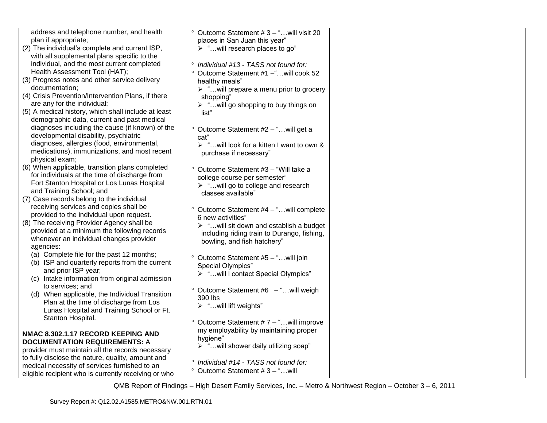| address and telephone number, and health                              | <sup>o</sup> Outcome Statement #3 - "will visit 20     |  |
|-----------------------------------------------------------------------|--------------------------------------------------------|--|
| plan if appropriate;                                                  | places in San Juan this year"                          |  |
| (2) The individual's complete and current ISP,                        | $\triangleright$ "will research places to go"          |  |
| with all supplemental plans specific to the                           |                                                        |  |
| individual, and the most current completed                            | ° Individual #13 - TASS not found for:                 |  |
| Health Assessment Tool (HAT);                                         | Outcome Statement #1 -" will cook 52<br>$\circ$        |  |
| (3) Progress notes and other service delivery                         | healthy meals"                                         |  |
| documentation;                                                        | > "will prepare a menu prior to grocery                |  |
| (4) Crisis Prevention/Intervention Plans, if there                    | shopping"                                              |  |
| are any for the individual;                                           | > "will go shopping to buy things on                   |  |
| (5) A medical history, which shall include at least                   | list"                                                  |  |
| demographic data, current and past medical                            |                                                        |  |
| diagnoses including the cause (if known) of the                       | ° Outcome Statement #2 - " will get a                  |  |
| developmental disability, psychiatric                                 | cat"                                                   |  |
| diagnoses, allergies (food, environmental,                            | > "will look for a kitten I want to own &              |  |
| medications), immunizations, and most recent                          | purchase if necessary"                                 |  |
| physical exam;                                                        |                                                        |  |
| (6) When applicable, transition plans completed                       | ° Outcome Statement #3 - "Will take a                  |  |
| for individuals at the time of discharge from                         | college course per semester"                           |  |
| Fort Stanton Hospital or Los Lunas Hospital                           | > "will go to college and research                     |  |
| and Training School; and<br>(7) Case records belong to the individual | classes available"                                     |  |
| receiving services and copies shall be                                |                                                        |  |
| provided to the individual upon request.                              | Outcome Statement #4 - "will complete                  |  |
| (8) The receiving Provider Agency shall be                            | 6 new activities"                                      |  |
| provided at a minimum the following records                           | $\triangleright$ "will sit down and establish a budget |  |
| whenever an individual changes provider                               | including riding train to Durango, fishing,            |  |
| agencies:                                                             | bowling, and fish hatchery"                            |  |
| (a) Complete file for the past 12 months;                             |                                                        |  |
| (b) ISP and quarterly reports from the current                        | Outcome Statement #5 - "will join<br>$\circ$           |  |
| and prior ISP year;                                                   | <b>Special Olympics"</b>                               |  |
| (c) Intake information from original admission                        | > "will I contact Special Olympics"                    |  |
| to services; and                                                      | ° Outcome Statement #6 - "will weigh                   |  |
| (d) When applicable, the Individual Transition                        | 390 lbs                                                |  |
| Plan at the time of discharge from Los                                | > "will lift weights"                                  |  |
| Lunas Hospital and Training School or Ft.                             |                                                        |  |
| Stanton Hospital.                                                     | $\degree$ Outcome Statement # 7 – " will improve       |  |
|                                                                       | my employability by maintaining proper                 |  |
| NMAC 8.302.1.17 RECORD KEEPING AND                                    | hygiene"                                               |  |
| <b>DOCUMENTATION REQUIREMENTS: A</b>                                  | > "will shower daily utilizing soap"                   |  |
| provider must maintain all the records necessary                      |                                                        |  |
| to fully disclose the nature, quality, amount and                     | ° Individual #14 - TASS not found for:                 |  |
| medical necessity of services furnished to an                         | $^{\circ}$ Outcome Statement # 3 - " will              |  |
| eligible recipient who is currently receiving or who                  |                                                        |  |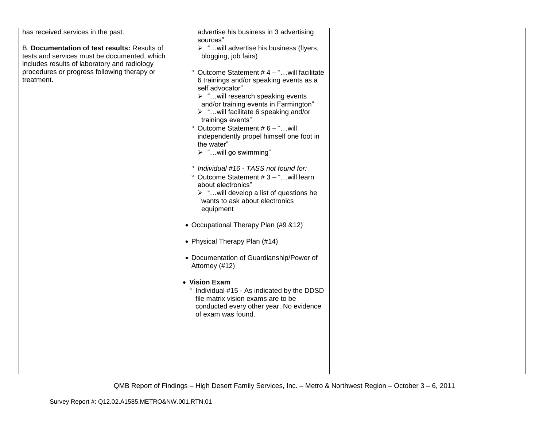| has received services in the past.                                                                                                                                                                        | advertise his business in 3 advertising                                                                                                                                                                                                                                                                                                                                                                                                                                                                                                                                                                                                                                                                                                                                                                                                                                                  |  |
|-----------------------------------------------------------------------------------------------------------------------------------------------------------------------------------------------------------|------------------------------------------------------------------------------------------------------------------------------------------------------------------------------------------------------------------------------------------------------------------------------------------------------------------------------------------------------------------------------------------------------------------------------------------------------------------------------------------------------------------------------------------------------------------------------------------------------------------------------------------------------------------------------------------------------------------------------------------------------------------------------------------------------------------------------------------------------------------------------------------|--|
| B. Documentation of test results: Results of<br>tests and services must be documented, which<br>includes results of laboratory and radiology<br>procedures or progress following therapy or<br>treatment. | sources"<br>> "will advertise his business (flyers,<br>blogging, job fairs)<br>$\degree$ Outcome Statement #4 - "will facilitate<br>6 trainings and/or speaking events as a<br>self advocator"<br>$\triangleright$ "will research speaking events<br>and/or training events in Farmington"<br>$\triangleright$ "will facilitate 6 speaking and/or<br>trainings events"<br>$^{\circ}$ Outcome Statement #6 - "will<br>independently propel himself one foot in<br>the water"<br>> "will go swimming"<br>° Individual #16 - TASS not found for:<br><sup>o</sup> Outcome Statement #3 - " will learn<br>about electronics"<br>$\triangleright$ " will develop a list of questions he<br>wants to ask about electronics<br>equipment<br>• Occupational Therapy Plan (#9 &12)<br>• Physical Therapy Plan (#14)<br>• Documentation of Guardianship/Power of<br>Attorney (#12)<br>• Vision Exam |  |
|                                                                                                                                                                                                           | ° Individual #15 - As indicated by the DDSD<br>file matrix vision exams are to be<br>conducted every other year. No evidence<br>of exam was found.                                                                                                                                                                                                                                                                                                                                                                                                                                                                                                                                                                                                                                                                                                                                       |  |
|                                                                                                                                                                                                           |                                                                                                                                                                                                                                                                                                                                                                                                                                                                                                                                                                                                                                                                                                                                                                                                                                                                                          |  |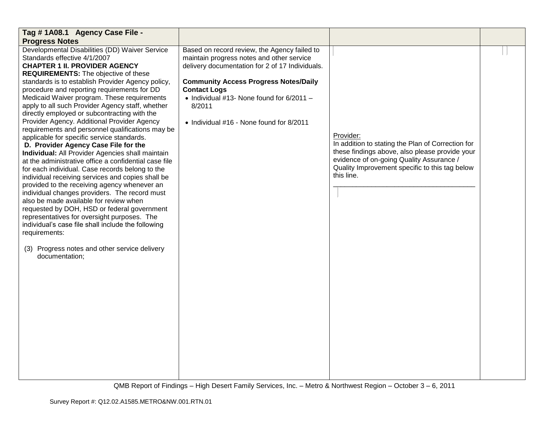| Tag # 1A08.1 Agency Case File -                                                                   |                                                   |                                                                |  |
|---------------------------------------------------------------------------------------------------|---------------------------------------------------|----------------------------------------------------------------|--|
| <b>Progress Notes</b>                                                                             |                                                   |                                                                |  |
| Developmental Disabilities (DD) Waiver Service                                                    | Based on record review, the Agency failed to      |                                                                |  |
| Standards effective 4/1/2007                                                                      | maintain progress notes and other service         |                                                                |  |
| <b>CHAPTER 1 II. PROVIDER AGENCY</b>                                                              | delivery documentation for 2 of 17 Individuals.   |                                                                |  |
| <b>REQUIREMENTS:</b> The objective of these                                                       |                                                   |                                                                |  |
| standards is to establish Provider Agency policy,                                                 | <b>Community Access Progress Notes/Daily</b>      |                                                                |  |
| procedure and reporting requirements for DD                                                       | <b>Contact Logs</b>                               |                                                                |  |
| Medicaid Waiver program. These requirements                                                       | $\bullet$ Individual #13- None found for 6/2011 - |                                                                |  |
| apply to all such Provider Agency staff, whether                                                  | 8/2011                                            |                                                                |  |
| directly employed or subcontracting with the                                                      |                                                   |                                                                |  |
| Provider Agency. Additional Provider Agency                                                       | • Individual #16 - None found for 8/2011          |                                                                |  |
| requirements and personnel qualifications may be                                                  |                                                   |                                                                |  |
| applicable for specific service standards.                                                        |                                                   | Provider:<br>In addition to stating the Plan of Correction for |  |
| D. Provider Agency Case File for the                                                              |                                                   | these findings above, also please provide your                 |  |
| Individual: All Provider Agencies shall maintain                                                  |                                                   | evidence of on-going Quality Assurance /                       |  |
| at the administrative office a confidential case file                                             |                                                   | Quality Improvement specific to this tag below                 |  |
| for each individual. Case records belong to the                                                   |                                                   | this line.                                                     |  |
| individual receiving services and copies shall be<br>provided to the receiving agency whenever an |                                                   |                                                                |  |
| individual changes providers. The record must                                                     |                                                   |                                                                |  |
| also be made available for review when                                                            |                                                   |                                                                |  |
| requested by DOH, HSD or federal government                                                       |                                                   |                                                                |  |
| representatives for oversight purposes. The                                                       |                                                   |                                                                |  |
| individual's case file shall include the following                                                |                                                   |                                                                |  |
| requirements:                                                                                     |                                                   |                                                                |  |
|                                                                                                   |                                                   |                                                                |  |
| (3) Progress notes and other service delivery                                                     |                                                   |                                                                |  |
| documentation;                                                                                    |                                                   |                                                                |  |
|                                                                                                   |                                                   |                                                                |  |
|                                                                                                   |                                                   |                                                                |  |
|                                                                                                   |                                                   |                                                                |  |
|                                                                                                   |                                                   |                                                                |  |
|                                                                                                   |                                                   |                                                                |  |
|                                                                                                   |                                                   |                                                                |  |
|                                                                                                   |                                                   |                                                                |  |
|                                                                                                   |                                                   |                                                                |  |
|                                                                                                   |                                                   |                                                                |  |
|                                                                                                   |                                                   |                                                                |  |
|                                                                                                   |                                                   |                                                                |  |
|                                                                                                   |                                                   |                                                                |  |
|                                                                                                   |                                                   |                                                                |  |
|                                                                                                   |                                                   |                                                                |  |
|                                                                                                   |                                                   |                                                                |  |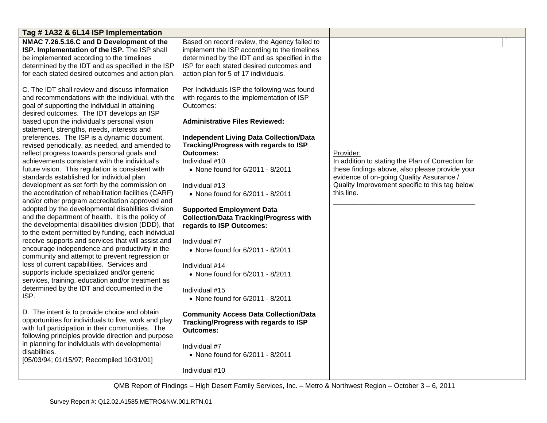| Tag #1A32 & 6L14 ISP Implementation                                                                                                                                                                                                                                                                                                                                                                                                                                                                                                                                                                                                                                                                                                                                                                                                                                                                                                                                                                                                                                                                                                                                                                                                                                                                                                                                                                                                                                                                                                                                                                                                                                                                                                                                                                                                                                                                                                                    |                                                                                                                                                                                                                                                                                                                                                                                                                                                                                                                                                                                                                                                                                                                                                                                                                                                                                                                                                                                                                                                                                             |                                                                                                                                                                                                                              |  |
|--------------------------------------------------------------------------------------------------------------------------------------------------------------------------------------------------------------------------------------------------------------------------------------------------------------------------------------------------------------------------------------------------------------------------------------------------------------------------------------------------------------------------------------------------------------------------------------------------------------------------------------------------------------------------------------------------------------------------------------------------------------------------------------------------------------------------------------------------------------------------------------------------------------------------------------------------------------------------------------------------------------------------------------------------------------------------------------------------------------------------------------------------------------------------------------------------------------------------------------------------------------------------------------------------------------------------------------------------------------------------------------------------------------------------------------------------------------------------------------------------------------------------------------------------------------------------------------------------------------------------------------------------------------------------------------------------------------------------------------------------------------------------------------------------------------------------------------------------------------------------------------------------------------------------------------------------------|---------------------------------------------------------------------------------------------------------------------------------------------------------------------------------------------------------------------------------------------------------------------------------------------------------------------------------------------------------------------------------------------------------------------------------------------------------------------------------------------------------------------------------------------------------------------------------------------------------------------------------------------------------------------------------------------------------------------------------------------------------------------------------------------------------------------------------------------------------------------------------------------------------------------------------------------------------------------------------------------------------------------------------------------------------------------------------------------|------------------------------------------------------------------------------------------------------------------------------------------------------------------------------------------------------------------------------|--|
| NMAC 7.26.5.16.C and D Development of the<br>ISP. Implementation of the ISP. The ISP shall<br>be implemented according to the timelines<br>determined by the IDT and as specified in the ISP<br>for each stated desired outcomes and action plan.<br>C. The IDT shall review and discuss information<br>and recommendations with the individual, with the<br>goal of supporting the individual in attaining<br>desired outcomes. The IDT develops an ISP<br>based upon the individual's personal vision<br>statement, strengths, needs, interests and<br>preferences. The ISP is a dynamic document,<br>revised periodically, as needed, and amended to<br>reflect progress towards personal goals and<br>achievements consistent with the individual's<br>future vision. This regulation is consistent with<br>standards established for individual plan<br>development as set forth by the commission on<br>the accreditation of rehabilitation facilities (CARF)<br>and/or other program accreditation approved and<br>adopted by the developmental disabilities division<br>and the department of health. It is the policy of<br>the developmental disabilities division (DDD), that<br>to the extent permitted by funding, each individual<br>receive supports and services that will assist and<br>encourage independence and productivity in the<br>community and attempt to prevent regression or<br>loss of current capabilities. Services and<br>supports include specialized and/or generic<br>services, training, education and/or treatment as<br>determined by the IDT and documented in the<br>ISP.<br>D. The intent is to provide choice and obtain<br>opportunities for individuals to live, work and play<br>with full participation in their communities. The<br>following principles provide direction and purpose<br>in planning for individuals with developmental<br>disabilities.<br>[05/03/94; 01/15/97; Recompiled 10/31/01] | Based on record review, the Agency failed to<br>implement the ISP according to the timelines<br>determined by the IDT and as specified in the<br>ISP for each stated desired outcomes and<br>action plan for 5 of 17 individuals.<br>Per Individuals ISP the following was found<br>with regards to the implementation of ISP<br>Outcomes:<br><b>Administrative Files Reviewed:</b><br><b>Independent Living Data Collection/Data</b><br>Tracking/Progress with regards to ISP<br><b>Outcomes:</b><br>Individual #10<br>• None found for 6/2011 - 8/2011<br>Individual #13<br>• None found for 6/2011 - 8/2011<br><b>Supported Employment Data</b><br><b>Collection/Data Tracking/Progress with</b><br>regards to ISP Outcomes:<br>Individual #7<br>• None found for 6/2011 - 8/2011<br>Individual #14<br>• None found for 6/2011 - 8/2011<br>Individual #15<br>• None found for 6/2011 - 8/2011<br><b>Community Access Data Collection/Data</b><br><b>Tracking/Progress with regards to ISP</b><br><b>Outcomes:</b><br>Individual #7<br>• None found for 6/2011 - 8/2011<br>Individual #10 | Provider:<br>In addition to stating the Plan of Correction for<br>these findings above, also please provide your<br>evidence of on-going Quality Assurance /<br>Quality Improvement specific to this tag below<br>this line. |  |
|                                                                                                                                                                                                                                                                                                                                                                                                                                                                                                                                                                                                                                                                                                                                                                                                                                                                                                                                                                                                                                                                                                                                                                                                                                                                                                                                                                                                                                                                                                                                                                                                                                                                                                                                                                                                                                                                                                                                                        |                                                                                                                                                                                                                                                                                                                                                                                                                                                                                                                                                                                                                                                                                                                                                                                                                                                                                                                                                                                                                                                                                             |                                                                                                                                                                                                                              |  |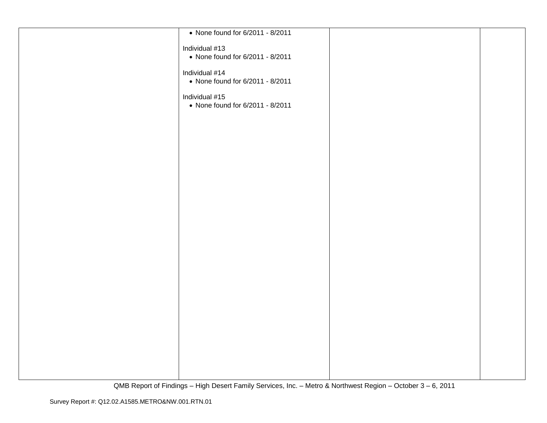| • None found for 6/2011 - 8/2011 |  |
|----------------------------------|--|
| Individual #13                   |  |
| • None found for 6/2011 - 8/2011 |  |
|                                  |  |
| Individual #14                   |  |
| • None found for 6/2011 - 8/2011 |  |
| Individual #15                   |  |
| • None found for 6/2011 - 8/2011 |  |
|                                  |  |
|                                  |  |
|                                  |  |
|                                  |  |
|                                  |  |
|                                  |  |
|                                  |  |
|                                  |  |
|                                  |  |
|                                  |  |
|                                  |  |
|                                  |  |
|                                  |  |
|                                  |  |
|                                  |  |
|                                  |  |
|                                  |  |
|                                  |  |
|                                  |  |
|                                  |  |
|                                  |  |
|                                  |  |
|                                  |  |
|                                  |  |
|                                  |  |
|                                  |  |
|                                  |  |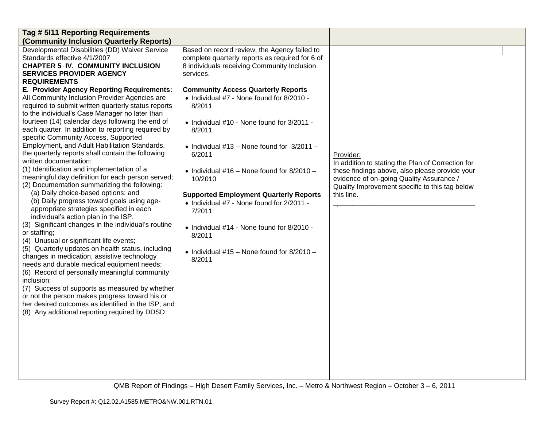| Tag # 5111 Reporting Requirements                                                                                                                                                                                                                                                                                                                                                                                                                                                                                                                                                                                                                                                                                                                                                                                                                                                                                                                                                                                                                                                                                                                                                                                                                                                                                                                                                                                                                                                                                                                         |                                                                                                                                                                                                                                                                                                                                                                                                                                                                                                                                                                                                                                                                                 |                                                                                                                                                                                                                              |  |
|-----------------------------------------------------------------------------------------------------------------------------------------------------------------------------------------------------------------------------------------------------------------------------------------------------------------------------------------------------------------------------------------------------------------------------------------------------------------------------------------------------------------------------------------------------------------------------------------------------------------------------------------------------------------------------------------------------------------------------------------------------------------------------------------------------------------------------------------------------------------------------------------------------------------------------------------------------------------------------------------------------------------------------------------------------------------------------------------------------------------------------------------------------------------------------------------------------------------------------------------------------------------------------------------------------------------------------------------------------------------------------------------------------------------------------------------------------------------------------------------------------------------------------------------------------------|---------------------------------------------------------------------------------------------------------------------------------------------------------------------------------------------------------------------------------------------------------------------------------------------------------------------------------------------------------------------------------------------------------------------------------------------------------------------------------------------------------------------------------------------------------------------------------------------------------------------------------------------------------------------------------|------------------------------------------------------------------------------------------------------------------------------------------------------------------------------------------------------------------------------|--|
| (Community Inclusion Quarterly Reports)                                                                                                                                                                                                                                                                                                                                                                                                                                                                                                                                                                                                                                                                                                                                                                                                                                                                                                                                                                                                                                                                                                                                                                                                                                                                                                                                                                                                                                                                                                                   |                                                                                                                                                                                                                                                                                                                                                                                                                                                                                                                                                                                                                                                                                 |                                                                                                                                                                                                                              |  |
| Developmental Disabilities (DD) Waiver Service<br>Standards effective 4/1/2007<br><b>CHAPTER 5 IV. COMMUNITY INCLUSION</b><br><b>SERVICES PROVIDER AGENCY</b><br><b>REQUIREMENTS</b><br>E. Provider Agency Reporting Requirements:<br>All Community Inclusion Provider Agencies are<br>required to submit written quarterly status reports<br>to the individual's Case Manager no later than<br>fourteen (14) calendar days following the end of<br>each quarter. In addition to reporting required by<br>specific Community Access, Supported<br>Employment, and Adult Habilitation Standards,<br>the quarterly reports shall contain the following<br>written documentation:<br>(1) Identification and implementation of a<br>meaningful day definition for each person served;<br>(2) Documentation summarizing the following:<br>(a) Daily choice-based options; and<br>(b) Daily progress toward goals using age-<br>appropriate strategies specified in each<br>individual's action plan in the ISP.<br>(3) Significant changes in the individual's routine<br>or staffing;<br>(4) Unusual or significant life events;<br>(5) Quarterly updates on health status, including<br>changes in medication, assistive technology<br>needs and durable medical equipment needs;<br>(6) Record of personally meaningful community<br>inclusion;<br>(7) Success of supports as measured by whether<br>or not the person makes progress toward his or<br>her desired outcomes as identified in the ISP; and<br>(8) Any additional reporting required by DDSD. | Based on record review, the Agency failed to<br>complete quarterly reports as required for 6 of<br>8 individuals receiving Community Inclusion<br>services.<br><b>Community Access Quarterly Reports</b><br>• Individual #7 - None found for 8/2010 -<br>8/2011<br>• Individual #10 - None found for 3/2011 -<br>8/2011<br>• Individual $#13$ – None found for $3/2011$ –<br>6/2011<br>• Individual $\#16$ – None found for 8/2010 –<br>10/2010<br><b>Supported Employment Quarterly Reports</b><br>• Individual #7 - None found for 2/2011 -<br>7/2011<br>• Individual #14 - None found for 8/2010 -<br>8/2011<br>$\bullet$ Individual #15 - None found for 8/2010 -<br>8/2011 | Provider:<br>In addition to stating the Plan of Correction for<br>these findings above, also please provide your<br>evidence of on-going Quality Assurance /<br>Quality Improvement specific to this tag below<br>this line. |  |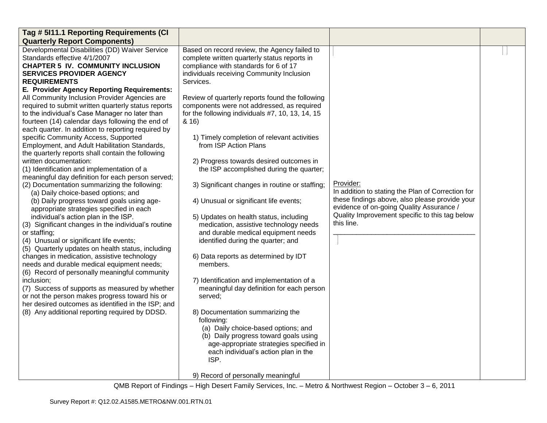| Tag # 5I11.1 Reporting Requirements (CI             |                                                  |                                                   |  |
|-----------------------------------------------------|--------------------------------------------------|---------------------------------------------------|--|
| <b>Quarterly Report Components)</b>                 |                                                  |                                                   |  |
| Developmental Disabilities (DD) Waiver Service      | Based on record review, the Agency failed to     |                                                   |  |
| Standards effective 4/1/2007                        | complete written quarterly status reports in     |                                                   |  |
| <b>CHAPTER 5 IV. COMMUNITY INCLUSION</b>            | compliance with standards for 6 of 17            |                                                   |  |
| <b>SERVICES PROVIDER AGENCY</b>                     | individuals receiving Community Inclusion        |                                                   |  |
| <b>REQUIREMENTS</b>                                 | Services.                                        |                                                   |  |
| E. Provider Agency Reporting Requirements:          |                                                  |                                                   |  |
| All Community Inclusion Provider Agencies are       | Review of quarterly reports found the following  |                                                   |  |
| required to submit written quarterly status reports | components were not addressed, as required       |                                                   |  |
| to the individual's Case Manager no later than      | for the following individuals #7, 10, 13, 14, 15 |                                                   |  |
| fourteen (14) calendar days following the end of    | 8.16                                             |                                                   |  |
| each quarter. In addition to reporting required by  |                                                  |                                                   |  |
| specific Community Access, Supported                | 1) Timely completion of relevant activities      |                                                   |  |
| Employment, and Adult Habilitation Standards,       | from ISP Action Plans                            |                                                   |  |
| the quarterly reports shall contain the following   |                                                  |                                                   |  |
| written documentation:                              | 2) Progress towards desired outcomes in          |                                                   |  |
| (1) Identification and implementation of a          | the ISP accomplished during the quarter;         |                                                   |  |
| meaningful day definition for each person served;   |                                                  |                                                   |  |
| (2) Documentation summarizing the following:        | 3) Significant changes in routine or staffing;   | Provider:                                         |  |
| (a) Daily choice-based options; and                 |                                                  | In addition to stating the Plan of Correction for |  |
| (b) Daily progress toward goals using age-          | 4) Unusual or significant life events;           | these findings above, also please provide your    |  |
| appropriate strategies specified in each            |                                                  | evidence of on-going Quality Assurance /          |  |
| individual's action plan in the ISP.                | 5) Updates on health status, including           | Quality Improvement specific to this tag below    |  |
| (3) Significant changes in the individual's routine | medication, assistive technology needs           | this line.                                        |  |
| or staffing;                                        | and durable medical equipment needs              |                                                   |  |
| (4) Unusual or significant life events;             | identified during the quarter; and               |                                                   |  |
| (5) Quarterly updates on health status, including   |                                                  |                                                   |  |
| changes in medication, assistive technology         | 6) Data reports as determined by IDT             |                                                   |  |
| needs and durable medical equipment needs;          | members.                                         |                                                   |  |
| (6) Record of personally meaningful community       |                                                  |                                                   |  |
| inclusion;                                          | 7) Identification and implementation of a        |                                                   |  |
| (7) Success of supports as measured by whether      | meaningful day definition for each person        |                                                   |  |
| or not the person makes progress toward his or      | served;                                          |                                                   |  |
| her desired outcomes as identified in the ISP; and  |                                                  |                                                   |  |
| (8) Any additional reporting required by DDSD.      | 8) Documentation summarizing the                 |                                                   |  |
|                                                     | following:                                       |                                                   |  |
|                                                     | (a) Daily choice-based options; and              |                                                   |  |
|                                                     | (b) Daily progress toward goals using            |                                                   |  |
|                                                     | age-appropriate strategies specified in          |                                                   |  |
|                                                     | each individual's action plan in the<br>ISP.     |                                                   |  |
|                                                     |                                                  |                                                   |  |
|                                                     | 9) Record of personally meaningful               |                                                   |  |
|                                                     |                                                  |                                                   |  |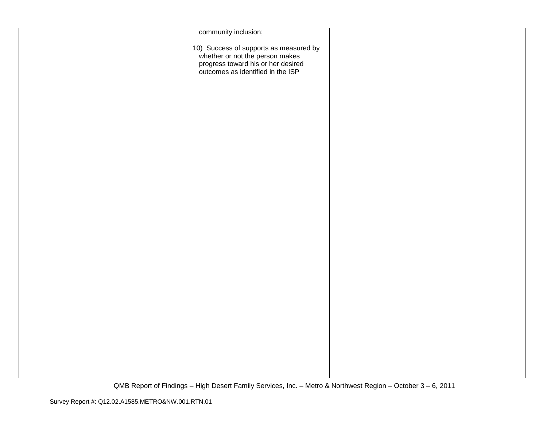| community inclusion;                                                                                                                                 |  |
|------------------------------------------------------------------------------------------------------------------------------------------------------|--|
| 10) Success of supports as measured by<br>whether or not the person makes<br>progress toward his or her desired<br>outcomes as identified in the ISP |  |
|                                                                                                                                                      |  |
|                                                                                                                                                      |  |
|                                                                                                                                                      |  |
|                                                                                                                                                      |  |
|                                                                                                                                                      |  |
|                                                                                                                                                      |  |
|                                                                                                                                                      |  |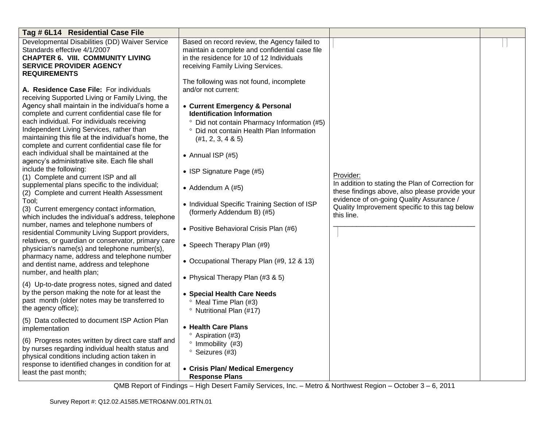| Tag # 6L14 Residential Case File                    |                                                                             |                                                   |  |
|-----------------------------------------------------|-----------------------------------------------------------------------------|---------------------------------------------------|--|
| Developmental Disabilities (DD) Waiver Service      | Based on record review, the Agency failed to                                |                                                   |  |
| Standards effective 4/1/2007                        | maintain a complete and confidential case file                              |                                                   |  |
| <b>CHAPTER 6. VIII. COMMUNITY LIVING</b>            | in the residence for 10 of 12 Individuals                                   |                                                   |  |
| <b>SERVICE PROVIDER AGENCY</b>                      | receiving Family Living Services.                                           |                                                   |  |
| <b>REQUIREMENTS</b>                                 |                                                                             |                                                   |  |
|                                                     | The following was not found, incomplete                                     |                                                   |  |
| A. Residence Case File: For individuals             | and/or not current:                                                         |                                                   |  |
| receiving Supported Living or Family Living, the    |                                                                             |                                                   |  |
| Agency shall maintain in the individual's home a    | • Current Emergency & Personal                                              |                                                   |  |
| complete and current confidential case file for     | <b>Identification Information</b>                                           |                                                   |  |
| each individual. For individuals receiving          | <sup>o</sup> Did not contain Pharmacy Information (#5)                      |                                                   |  |
| Independent Living Services, rather than            | ° Did not contain Health Plan Information                                   |                                                   |  |
| maintaining this file at the individual's home, the | $(\#1, 2, 3, 4 \& 5)$                                                       |                                                   |  |
| complete and current confidential case file for     |                                                                             |                                                   |  |
| each individual shall be maintained at the          | • Annual ISP $(#5)$                                                         |                                                   |  |
| agency's administrative site. Each file shall       |                                                                             |                                                   |  |
| include the following:                              | • ISP Signature Page (#5)                                                   |                                                   |  |
| (1) Complete and current ISP and all                |                                                                             | Provider:                                         |  |
| supplemental plans specific to the individual;      |                                                                             | In addition to stating the Plan of Correction for |  |
| (2) Complete and current Health Assessment          | • Addendum A $(#5)$                                                         | these findings above, also please provide your    |  |
| Tool;                                               |                                                                             | evidence of on-going Quality Assurance /          |  |
| (3) Current emergency contact information,          | • Individual Specific Training Section of ISP<br>(formerly Addendum B) (#5) | Quality Improvement specific to this tag below    |  |
| which includes the individual's address, telephone  |                                                                             | this line.                                        |  |
| number, names and telephone numbers of              |                                                                             |                                                   |  |
| residential Community Living Support providers,     | • Positive Behavioral Crisis Plan (#6)                                      |                                                   |  |
| relatives, or guardian or conservator, primary care |                                                                             |                                                   |  |
| physician's name(s) and telephone number(s),        | • Speech Therapy Plan (#9)                                                  |                                                   |  |
| pharmacy name, address and telephone number         |                                                                             |                                                   |  |
| and dentist name, address and telephone             | • Occupational Therapy Plan (#9, 12 & 13)                                   |                                                   |  |
| number, and health plan;                            |                                                                             |                                                   |  |
|                                                     | • Physical Therapy Plan (#3 & 5)                                            |                                                   |  |
| (4) Up-to-date progress notes, signed and dated     |                                                                             |                                                   |  |
| by the person making the note for at least the      | • Special Health Care Needs                                                 |                                                   |  |
| past month (older notes may be transferred to       | <sup>o</sup> Meal Time Plan (#3)                                            |                                                   |  |
| the agency office);                                 | <sup>o</sup> Nutritional Plan (#17)                                         |                                                   |  |
| (5) Data collected to document ISP Action Plan      |                                                                             |                                                   |  |
| implementation                                      | • Health Care Plans                                                         |                                                   |  |
|                                                     | <sup>o</sup> Aspiration (#3)                                                |                                                   |  |
| (6) Progress notes written by direct care staff and | $^{\circ}$ Immobility (#3)                                                  |                                                   |  |
| by nurses regarding individual health status and    | <sup>o</sup> Seizures (#3)                                                  |                                                   |  |
| physical conditions including action taken in       |                                                                             |                                                   |  |
| response to identified changes in condition for at  | • Crisis Plan/ Medical Emergency                                            |                                                   |  |
| least the past month;                               | <b>Response Plans</b>                                                       |                                                   |  |
|                                                     |                                                                             |                                                   |  |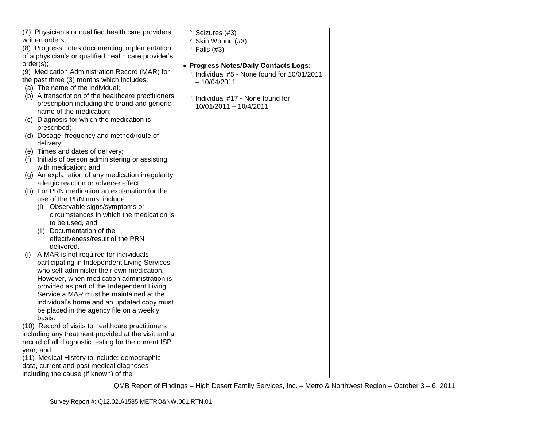|                                           | (7) Physician's or qualified health care providers   | <sup>o</sup> Seizures (#3)                  |  |
|-------------------------------------------|------------------------------------------------------|---------------------------------------------|--|
| written orders;                           |                                                      | <sup>o</sup> Skin Wound (#3)                |  |
|                                           | (8) Progress notes documenting implementation        | $\degree$ Falls (#3)                        |  |
|                                           | of a physician's or qualified health care provider's |                                             |  |
| order(s);                                 |                                                      | • Progress Notes/Daily Contacts Logs:       |  |
|                                           | (9) Medication Administration Record (MAR) for       | ° Individual #5 - None found for 10/01/2011 |  |
| the past three (3) months which includes: |                                                      | $-10/04/2011$                               |  |
| (a) The name of the individual;           |                                                      |                                             |  |
|                                           | (b) A transcription of the healthcare practitioners  |                                             |  |
|                                           | prescription including the brand and generic         | ° Individual #17 - None found for           |  |
| name of the medication;                   |                                                      | 10/01/2011 - 10/4/2011                      |  |
|                                           | (c) Diagnosis for which the medication is            |                                             |  |
| prescribed;                               |                                                      |                                             |  |
|                                           | (d) Dosage, frequency and method/route of            |                                             |  |
| delivery;                                 |                                                      |                                             |  |
| (e) Times and dates of delivery;          |                                                      |                                             |  |
| (f)                                       | Initials of person administering or assisting        |                                             |  |
| with medication; and                      |                                                      |                                             |  |
|                                           | (g) An explanation of any medication irregularity,   |                                             |  |
|                                           | allergic reaction or adverse effect.                 |                                             |  |
|                                           | (h) For PRN medication an explanation for the        |                                             |  |
| use of the PRN must include:              |                                                      |                                             |  |
|                                           | Observable signs/symptoms or                         |                                             |  |
|                                           | circumstances in which the medication is             |                                             |  |
| to be used, and                           |                                                      |                                             |  |
| Documentation of the                      |                                                      |                                             |  |
|                                           | effectiveness/result of the PRN                      |                                             |  |
| delivered.                                |                                                      |                                             |  |
| (i) A MAR is not required for individuals |                                                      |                                             |  |
|                                           | participating in Independent Living Services         |                                             |  |
|                                           | who self-administer their own medication.            |                                             |  |
|                                           | However, when medication administration is           |                                             |  |
|                                           | provided as part of the Independent Living           |                                             |  |
|                                           | Service a MAR must be maintained at the              |                                             |  |
|                                           | individual's home and an updated copy must           |                                             |  |
|                                           | be placed in the agency file on a weekly             |                                             |  |
| basis.                                    |                                                      |                                             |  |
|                                           | (10) Record of visits to healthcare practitioners    |                                             |  |
|                                           | including any treatment provided at the visit and a  |                                             |  |
|                                           | record of all diagnostic testing for the current ISP |                                             |  |
| year; and                                 |                                                      |                                             |  |
|                                           | (11) Medical History to include: demographic         |                                             |  |
| data, current and past medical diagnoses  |                                                      |                                             |  |
| including the cause (if known) of the     |                                                      |                                             |  |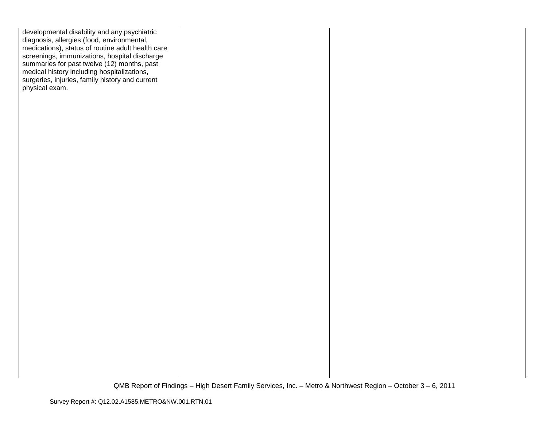| developmental disability and any psychiatric                                                   |  |  |
|------------------------------------------------------------------------------------------------|--|--|
| diagnosis, allergies (food, environmental,                                                     |  |  |
| medications), status of routine adult health care                                              |  |  |
| screenings, immunizations, hospital discharge<br>summaries for past twelve (12) months, past   |  |  |
|                                                                                                |  |  |
| medical history including hospitalizations,<br>surgeries, injuries, family history and current |  |  |
| physical exam.                                                                                 |  |  |
|                                                                                                |  |  |
|                                                                                                |  |  |
|                                                                                                |  |  |
|                                                                                                |  |  |
|                                                                                                |  |  |
|                                                                                                |  |  |
|                                                                                                |  |  |
|                                                                                                |  |  |
|                                                                                                |  |  |
|                                                                                                |  |  |
|                                                                                                |  |  |
|                                                                                                |  |  |
|                                                                                                |  |  |
|                                                                                                |  |  |
|                                                                                                |  |  |
|                                                                                                |  |  |
|                                                                                                |  |  |
|                                                                                                |  |  |
|                                                                                                |  |  |
|                                                                                                |  |  |
|                                                                                                |  |  |
|                                                                                                |  |  |
|                                                                                                |  |  |
|                                                                                                |  |  |
|                                                                                                |  |  |
|                                                                                                |  |  |
|                                                                                                |  |  |
|                                                                                                |  |  |
|                                                                                                |  |  |
|                                                                                                |  |  |
|                                                                                                |  |  |
|                                                                                                |  |  |
|                                                                                                |  |  |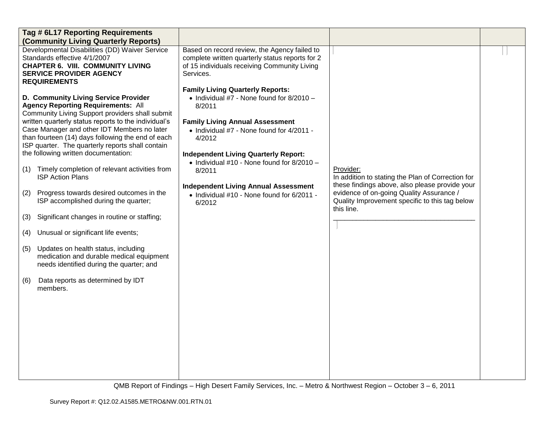|     | Tag # 6L17 Reporting Requirements<br>(Community Living Quarterly Reports)                                                                                                                                                                                                                                                                                                                    |                                                                                                                                                                                                             |                                                                                                                  |  |
|-----|----------------------------------------------------------------------------------------------------------------------------------------------------------------------------------------------------------------------------------------------------------------------------------------------------------------------------------------------------------------------------------------------|-------------------------------------------------------------------------------------------------------------------------------------------------------------------------------------------------------------|------------------------------------------------------------------------------------------------------------------|--|
|     | Developmental Disabilities (DD) Waiver Service<br>Standards effective 4/1/2007<br><b>CHAPTER 6. VIII. COMMUNITY LIVING</b><br><b>SERVICE PROVIDER AGENCY</b><br><b>REQUIREMENTS</b>                                                                                                                                                                                                          | Based on record review, the Agency failed to<br>complete written quarterly status reports for 2<br>of 15 individuals receiving Community Living<br>Services.<br><b>Family Living Quarterly Reports:</b>     |                                                                                                                  |  |
|     | D. Community Living Service Provider<br><b>Agency Reporting Requirements: All</b><br>Community Living Support providers shall submit<br>written quarterly status reports to the individual's<br>Case Manager and other IDT Members no later<br>than fourteen (14) days following the end of each<br>ISP quarter. The quarterly reports shall contain<br>the following written documentation: | $\bullet$ Individual #7 - None found for 8/2010 -<br>8/2011<br><b>Family Living Annual Assessment</b><br>• Individual #7 - None found for 4/2011 -<br>4/2012<br><b>Independent Living Quarterly Report:</b> |                                                                                                                  |  |
| (1) | Timely completion of relevant activities from<br><b>ISP Action Plans</b>                                                                                                                                                                                                                                                                                                                     | • Individual #10 - None found for 8/2010 -<br>8/2011                                                                                                                                                        | Provider:<br>In addition to stating the Plan of Correction for<br>these findings above, also please provide your |  |
| (2) | Progress towards desired outcomes in the<br>ISP accomplished during the quarter;                                                                                                                                                                                                                                                                                                             | <b>Independent Living Annual Assessment</b><br>• Individual #10 - None found for 6/2011 -<br>6/2012                                                                                                         | evidence of on-going Quality Assurance /<br>Quality Improvement specific to this tag below<br>this line.         |  |
| (3) | Significant changes in routine or staffing;                                                                                                                                                                                                                                                                                                                                                  |                                                                                                                                                                                                             |                                                                                                                  |  |
| (4) | Unusual or significant life events;                                                                                                                                                                                                                                                                                                                                                          |                                                                                                                                                                                                             |                                                                                                                  |  |
| (5) | Updates on health status, including<br>medication and durable medical equipment<br>needs identified during the quarter; and                                                                                                                                                                                                                                                                  |                                                                                                                                                                                                             |                                                                                                                  |  |
| (6) | Data reports as determined by IDT<br>members.                                                                                                                                                                                                                                                                                                                                                |                                                                                                                                                                                                             |                                                                                                                  |  |
|     |                                                                                                                                                                                                                                                                                                                                                                                              |                                                                                                                                                                                                             |                                                                                                                  |  |
|     |                                                                                                                                                                                                                                                                                                                                                                                              |                                                                                                                                                                                                             |                                                                                                                  |  |
|     |                                                                                                                                                                                                                                                                                                                                                                                              |                                                                                                                                                                                                             |                                                                                                                  |  |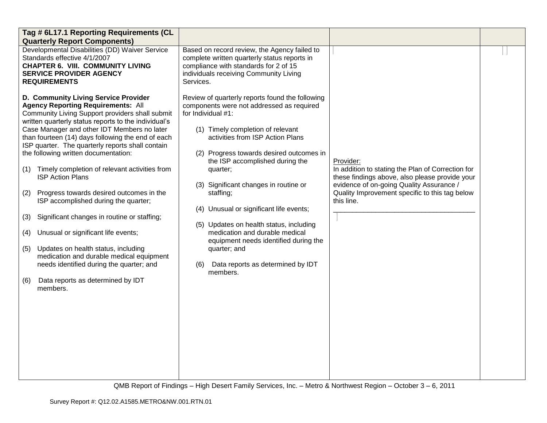| Tag # 6L17.1 Reporting Requirements (CL<br><b>Quarterly Report Components)</b>                                                                                                                                                                                                                                                                                                                                                                                                                                                                                                                                                                                                                                                                                                                                                                                               |                                                                                                                                                                                                                                                                                                                                                                                                                                                                                                                                                                                       |                                                                                                                                                                                                                              |  |
|------------------------------------------------------------------------------------------------------------------------------------------------------------------------------------------------------------------------------------------------------------------------------------------------------------------------------------------------------------------------------------------------------------------------------------------------------------------------------------------------------------------------------------------------------------------------------------------------------------------------------------------------------------------------------------------------------------------------------------------------------------------------------------------------------------------------------------------------------------------------------|---------------------------------------------------------------------------------------------------------------------------------------------------------------------------------------------------------------------------------------------------------------------------------------------------------------------------------------------------------------------------------------------------------------------------------------------------------------------------------------------------------------------------------------------------------------------------------------|------------------------------------------------------------------------------------------------------------------------------------------------------------------------------------------------------------------------------|--|
| Developmental Disabilities (DD) Waiver Service<br>Standards effective 4/1/2007<br><b>CHAPTER 6. VIII. COMMUNITY LIVING</b><br><b>SERVICE PROVIDER AGENCY</b><br><b>REQUIREMENTS</b>                                                                                                                                                                                                                                                                                                                                                                                                                                                                                                                                                                                                                                                                                          | Based on record review, the Agency failed to<br>complete written quarterly status reports in<br>compliance with standards for 2 of 15<br>individuals receiving Community Living<br>Services.                                                                                                                                                                                                                                                                                                                                                                                          |                                                                                                                                                                                                                              |  |
| D. Community Living Service Provider<br><b>Agency Reporting Requirements: All</b><br>Community Living Support providers shall submit<br>written quarterly status reports to the individual's<br>Case Manager and other IDT Members no later<br>than fourteen (14) days following the end of each<br>ISP quarter. The quarterly reports shall contain<br>the following written documentation:<br>Timely completion of relevant activities from<br>(1)<br><b>ISP Action Plans</b><br>Progress towards desired outcomes in the<br>(2)<br>ISP accomplished during the quarter;<br>Significant changes in routine or staffing;<br>(3)<br>Unusual or significant life events;<br>(4)<br>Updates on health status, including<br>(5)<br>medication and durable medical equipment<br>needs identified during the quarter; and<br>Data reports as determined by IDT<br>(6)<br>members. | Review of quarterly reports found the following<br>components were not addressed as required<br>for Individual #1:<br>(1) Timely completion of relevant<br>activities from ISP Action Plans<br>(2) Progress towards desired outcomes in<br>the ISP accomplished during the<br>quarter;<br>(3) Significant changes in routine or<br>staffing;<br>(4) Unusual or significant life events;<br>(5) Updates on health status, including<br>medication and durable medical<br>equipment needs identified during the<br>quarter; and<br>Data reports as determined by IDT<br>(6)<br>members. | Provider:<br>In addition to stating the Plan of Correction for<br>these findings above, also please provide your<br>evidence of on-going Quality Assurance /<br>Quality Improvement specific to this tag below<br>this line. |  |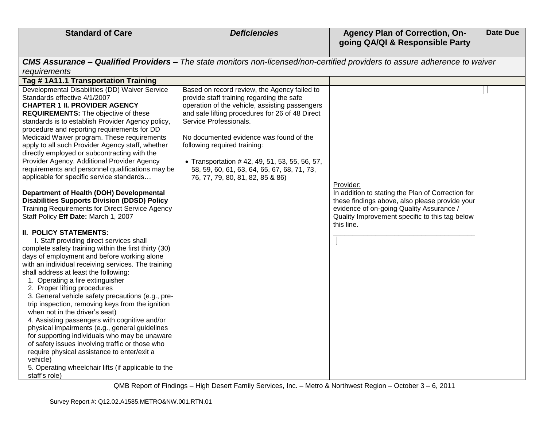| <b>Standard of Care</b>                                                                                                                                                                                                                                                                                                                                                                                                                                                                                                                                                                                                                                                                                                                                                                                                                                                                                                                                                                                                                                                                                                                                                                                                                                                                                                                                                                                                                                                                                                                                                                                                         | <b>Deficiencies</b>                                                                                                                                                                                                                                                                                                                                                                                                                     | <b>Agency Plan of Correction, On-</b><br>going QA/QI & Responsible Party                                                                                                                                                     | <b>Date Due</b> |
|---------------------------------------------------------------------------------------------------------------------------------------------------------------------------------------------------------------------------------------------------------------------------------------------------------------------------------------------------------------------------------------------------------------------------------------------------------------------------------------------------------------------------------------------------------------------------------------------------------------------------------------------------------------------------------------------------------------------------------------------------------------------------------------------------------------------------------------------------------------------------------------------------------------------------------------------------------------------------------------------------------------------------------------------------------------------------------------------------------------------------------------------------------------------------------------------------------------------------------------------------------------------------------------------------------------------------------------------------------------------------------------------------------------------------------------------------------------------------------------------------------------------------------------------------------------------------------------------------------------------------------|-----------------------------------------------------------------------------------------------------------------------------------------------------------------------------------------------------------------------------------------------------------------------------------------------------------------------------------------------------------------------------------------------------------------------------------------|------------------------------------------------------------------------------------------------------------------------------------------------------------------------------------------------------------------------------|-----------------|
| CMS Assurance - Qualified Providers - The state monitors non-licensed/non-certified providers to assure adherence to waiver                                                                                                                                                                                                                                                                                                                                                                                                                                                                                                                                                                                                                                                                                                                                                                                                                                                                                                                                                                                                                                                                                                                                                                                                                                                                                                                                                                                                                                                                                                     |                                                                                                                                                                                                                                                                                                                                                                                                                                         |                                                                                                                                                                                                                              |                 |
| requirements                                                                                                                                                                                                                                                                                                                                                                                                                                                                                                                                                                                                                                                                                                                                                                                                                                                                                                                                                                                                                                                                                                                                                                                                                                                                                                                                                                                                                                                                                                                                                                                                                    |                                                                                                                                                                                                                                                                                                                                                                                                                                         |                                                                                                                                                                                                                              |                 |
| Tag #1A11.1 Transportation Training                                                                                                                                                                                                                                                                                                                                                                                                                                                                                                                                                                                                                                                                                                                                                                                                                                                                                                                                                                                                                                                                                                                                                                                                                                                                                                                                                                                                                                                                                                                                                                                             |                                                                                                                                                                                                                                                                                                                                                                                                                                         |                                                                                                                                                                                                                              |                 |
| Developmental Disabilities (DD) Waiver Service<br>Standards effective 4/1/2007<br><b>CHAPTER 1 II. PROVIDER AGENCY</b><br><b>REQUIREMENTS:</b> The objective of these<br>standards is to establish Provider Agency policy,<br>procedure and reporting requirements for DD<br>Medicaid Waiver program. These requirements<br>apply to all such Provider Agency staff, whether<br>directly employed or subcontracting with the<br>Provider Agency. Additional Provider Agency<br>requirements and personnel qualifications may be<br>applicable for specific service standards<br>Department of Health (DOH) Developmental<br><b>Disabilities Supports Division (DDSD) Policy</b><br><b>Training Requirements for Direct Service Agency</b><br>Staff Policy Eff Date: March 1, 2007<br><b>II. POLICY STATEMENTS:</b><br>I. Staff providing direct services shall<br>complete safety training within the first thirty (30)<br>days of employment and before working alone<br>with an individual receiving services. The training<br>shall address at least the following:<br>1. Operating a fire extinguisher<br>2. Proper lifting procedures<br>3. General vehicle safety precautions (e.g., pre-<br>trip inspection, removing keys from the ignition<br>when not in the driver's seat)<br>4. Assisting passengers with cognitive and/or<br>physical impairments (e.g., general guidelines<br>for supporting individuals who may be unaware<br>of safety issues involving traffic or those who<br>require physical assistance to enter/exit a<br>vehicle)<br>5. Operating wheelchair lifts (if applicable to the<br>staff's role) | Based on record review, the Agency failed to<br>provide staff training regarding the safe<br>operation of the vehicle, assisting passengers<br>and safe lifting procedures for 26 of 48 Direct<br>Service Professionals.<br>No documented evidence was found of the<br>following required training:<br>• Transportation #42, 49, 51, 53, 55, 56, 57,<br>58, 59, 60, 61, 63, 64, 65, 67, 68, 71, 73,<br>76, 77, 79, 80, 81, 82, 85 & 86) | Provider:<br>In addition to stating the Plan of Correction for<br>these findings above, also please provide your<br>evidence of on-going Quality Assurance /<br>Quality Improvement specific to this tag below<br>this line. |                 |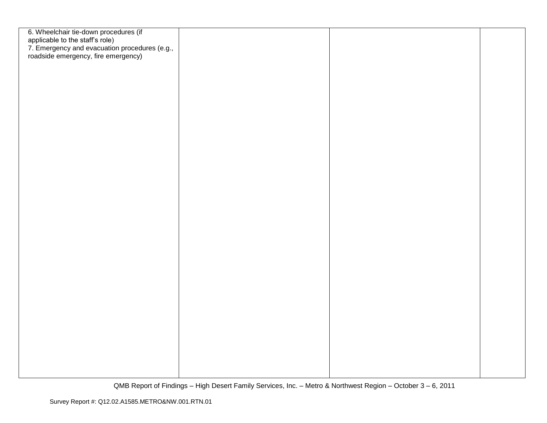| 6. Wheelchair tie-down procedures (if<br>applicable to the staff's role)<br>7. Emergency and evacuation procedures (e.g.,<br>roadside emergency, fire emergency) |  |  |
|------------------------------------------------------------------------------------------------------------------------------------------------------------------|--|--|
|                                                                                                                                                                  |  |  |
|                                                                                                                                                                  |  |  |
|                                                                                                                                                                  |  |  |
|                                                                                                                                                                  |  |  |
|                                                                                                                                                                  |  |  |
|                                                                                                                                                                  |  |  |
|                                                                                                                                                                  |  |  |
|                                                                                                                                                                  |  |  |
|                                                                                                                                                                  |  |  |
|                                                                                                                                                                  |  |  |
|                                                                                                                                                                  |  |  |
|                                                                                                                                                                  |  |  |
|                                                                                                                                                                  |  |  |
|                                                                                                                                                                  |  |  |
|                                                                                                                                                                  |  |  |
|                                                                                                                                                                  |  |  |
|                                                                                                                                                                  |  |  |
|                                                                                                                                                                  |  |  |
|                                                                                                                                                                  |  |  |
|                                                                                                                                                                  |  |  |
|                                                                                                                                                                  |  |  |
|                                                                                                                                                                  |  |  |
|                                                                                                                                                                  |  |  |
|                                                                                                                                                                  |  |  |
|                                                                                                                                                                  |  |  |
|                                                                                                                                                                  |  |  |
|                                                                                                                                                                  |  |  |
|                                                                                                                                                                  |  |  |
|                                                                                                                                                                  |  |  |
|                                                                                                                                                                  |  |  |
|                                                                                                                                                                  |  |  |
|                                                                                                                                                                  |  |  |
|                                                                                                                                                                  |  |  |
|                                                                                                                                                                  |  |  |
|                                                                                                                                                                  |  |  |
|                                                                                                                                                                  |  |  |
|                                                                                                                                                                  |  |  |
|                                                                                                                                                                  |  |  |
|                                                                                                                                                                  |  |  |
|                                                                                                                                                                  |  |  |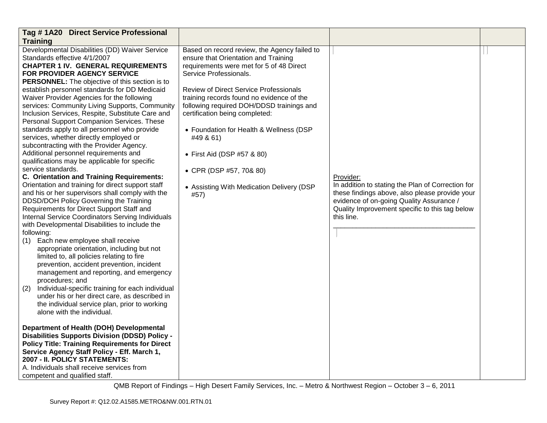| Tag #1A20 Direct Service Professional                                                                                                                                                                                                                                                                                                                                                                                                                                                                                                                                                                                                                                                                                                                                                                                                                                                                                                                                                                                                                                                                                                                                                                                                                                                                                                                                                                                                                                                                                                                                                                                                                                                                                                                                                                                                                                       |                                                                                                                                                                                                                                                                                                                                                                                                                                                                                                        |                                                                                                                                                                                                                              |  |
|-----------------------------------------------------------------------------------------------------------------------------------------------------------------------------------------------------------------------------------------------------------------------------------------------------------------------------------------------------------------------------------------------------------------------------------------------------------------------------------------------------------------------------------------------------------------------------------------------------------------------------------------------------------------------------------------------------------------------------------------------------------------------------------------------------------------------------------------------------------------------------------------------------------------------------------------------------------------------------------------------------------------------------------------------------------------------------------------------------------------------------------------------------------------------------------------------------------------------------------------------------------------------------------------------------------------------------------------------------------------------------------------------------------------------------------------------------------------------------------------------------------------------------------------------------------------------------------------------------------------------------------------------------------------------------------------------------------------------------------------------------------------------------------------------------------------------------------------------------------------------------|--------------------------------------------------------------------------------------------------------------------------------------------------------------------------------------------------------------------------------------------------------------------------------------------------------------------------------------------------------------------------------------------------------------------------------------------------------------------------------------------------------|------------------------------------------------------------------------------------------------------------------------------------------------------------------------------------------------------------------------------|--|
| <b>Training</b>                                                                                                                                                                                                                                                                                                                                                                                                                                                                                                                                                                                                                                                                                                                                                                                                                                                                                                                                                                                                                                                                                                                                                                                                                                                                                                                                                                                                                                                                                                                                                                                                                                                                                                                                                                                                                                                             |                                                                                                                                                                                                                                                                                                                                                                                                                                                                                                        |                                                                                                                                                                                                                              |  |
| Developmental Disabilities (DD) Waiver Service<br>Standards effective 4/1/2007<br><b>CHAPTER 1 IV. GENERAL REQUIREMENTS</b><br><b>FOR PROVIDER AGENCY SERVICE</b><br><b>PERSONNEL:</b> The objective of this section is to<br>establish personnel standards for DD Medicaid<br>Waiver Provider Agencies for the following<br>services: Community Living Supports, Community<br>Inclusion Services, Respite, Substitute Care and<br>Personal Support Companion Services. These<br>standards apply to all personnel who provide<br>services, whether directly employed or<br>subcontracting with the Provider Agency.<br>Additional personnel requirements and<br>qualifications may be applicable for specific<br>service standards.<br>C. Orientation and Training Requirements:<br>Orientation and training for direct support staff<br>and his or her supervisors shall comply with the<br>DDSD/DOH Policy Governing the Training<br>Requirements for Direct Support Staff and<br>Internal Service Coordinators Serving Individuals<br>with Developmental Disabilities to include the<br>following:<br>(1) Each new employee shall receive<br>appropriate orientation, including but not<br>limited to, all policies relating to fire<br>prevention, accident prevention, incident<br>management and reporting, and emergency<br>procedures; and<br>(2)<br>Individual-specific training for each individual<br>under his or her direct care, as described in<br>the individual service plan, prior to working<br>alone with the individual.<br>Department of Health (DOH) Developmental<br><b>Disabilities Supports Division (DDSD) Policy -</b><br><b>Policy Title: Training Requirements for Direct</b><br>Service Agency Staff Policy - Eff. March 1,<br>2007 - II. POLICY STATEMENTS:<br>A. Individuals shall receive services from<br>competent and qualified staff. | Based on record review, the Agency failed to<br>ensure that Orientation and Training<br>requirements were met for 5 of 48 Direct<br>Service Professionals.<br>Review of Direct Service Professionals<br>training records found no evidence of the<br>following required DOH/DDSD trainings and<br>certification being completed:<br>• Foundation for Health & Wellness (DSP<br>#49 & 61)<br>• First Aid (DSP #57 & 80)<br>• CPR (DSP #57, 70& 80)<br>• Assisting With Medication Delivery (DSP<br>#57) | Provider:<br>In addition to stating the Plan of Correction for<br>these findings above, also please provide your<br>evidence of on-going Quality Assurance /<br>Quality Improvement specific to this tag below<br>this line. |  |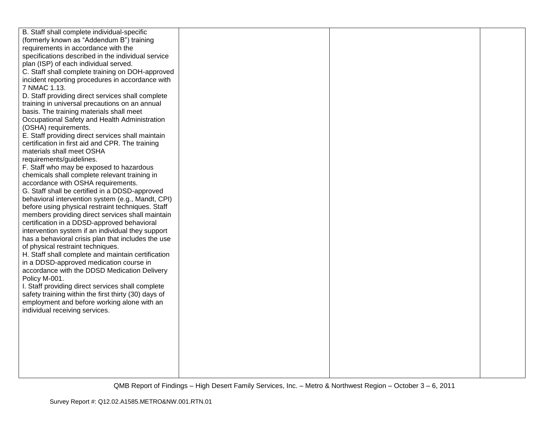| B. Staff shall complete individual-specific          |  |  |
|------------------------------------------------------|--|--|
| (formerly known as "Addendum B") training            |  |  |
| requirements in accordance with the                  |  |  |
| specifications described in the individual service   |  |  |
| plan (ISP) of each individual served.                |  |  |
| C. Staff shall complete training on DOH-approved     |  |  |
| incident reporting procedures in accordance with     |  |  |
| 7 NMAC 1.13.                                         |  |  |
| D. Staff providing direct services shall complete    |  |  |
| training in universal precautions on an annual       |  |  |
| basis. The training materials shall meet             |  |  |
| Occupational Safety and Health Administration        |  |  |
| (OSHA) requirements.                                 |  |  |
| E. Staff providing direct services shall maintain    |  |  |
| certification in first aid and CPR. The training     |  |  |
| materials shall meet OSHA                            |  |  |
| requirements/guidelines.                             |  |  |
| F. Staff who may be exposed to hazardous             |  |  |
| chemicals shall complete relevant training in        |  |  |
| accordance with OSHA requirements.                   |  |  |
| G. Staff shall be certified in a DDSD-approved       |  |  |
| behavioral intervention system (e.g., Mandt, CPI)    |  |  |
| before using physical restraint techniques. Staff    |  |  |
| members providing direct services shall maintain     |  |  |
| certification in a DDSD-approved behavioral          |  |  |
| intervention system if an individual they support    |  |  |
| has a behavioral crisis plan that includes the use   |  |  |
| of physical restraint techniques.                    |  |  |
| H. Staff shall complete and maintain certification   |  |  |
| in a DDSD-approved medication course in              |  |  |
| accordance with the DDSD Medication Delivery         |  |  |
| Policy M-001.                                        |  |  |
| I. Staff providing direct services shall complete    |  |  |
| safety training within the first thirty (30) days of |  |  |
| employment and before working alone with an          |  |  |
| individual receiving services.                       |  |  |
|                                                      |  |  |
|                                                      |  |  |
|                                                      |  |  |
|                                                      |  |  |
|                                                      |  |  |
|                                                      |  |  |
|                                                      |  |  |
|                                                      |  |  |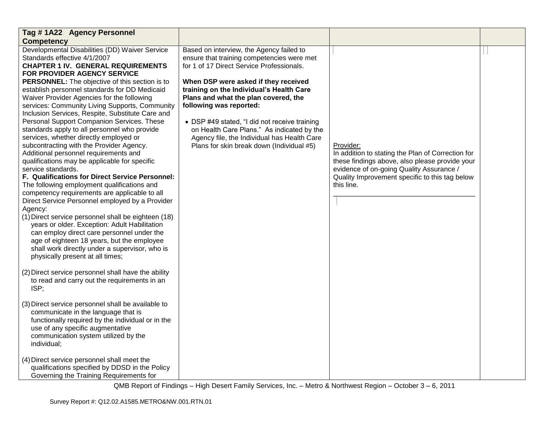| Tag #1A22 Agency Personnel                                                                                                                                                                                                                                                                                                                                                                                                                                                                                                                                                                                                                                                                                                                                                                                                                                                                                                                                                                                                                                                                                                                                                                                                                                                                                                                                                                                                                                                                                                                                                                                                                                |                                                                                                                                                                                                                                                                                                                                                                                                                                                                                       |                                                                                                                                                                                                                              |  |
|-----------------------------------------------------------------------------------------------------------------------------------------------------------------------------------------------------------------------------------------------------------------------------------------------------------------------------------------------------------------------------------------------------------------------------------------------------------------------------------------------------------------------------------------------------------------------------------------------------------------------------------------------------------------------------------------------------------------------------------------------------------------------------------------------------------------------------------------------------------------------------------------------------------------------------------------------------------------------------------------------------------------------------------------------------------------------------------------------------------------------------------------------------------------------------------------------------------------------------------------------------------------------------------------------------------------------------------------------------------------------------------------------------------------------------------------------------------------------------------------------------------------------------------------------------------------------------------------------------------------------------------------------------------|---------------------------------------------------------------------------------------------------------------------------------------------------------------------------------------------------------------------------------------------------------------------------------------------------------------------------------------------------------------------------------------------------------------------------------------------------------------------------------------|------------------------------------------------------------------------------------------------------------------------------------------------------------------------------------------------------------------------------|--|
| <b>Competency</b>                                                                                                                                                                                                                                                                                                                                                                                                                                                                                                                                                                                                                                                                                                                                                                                                                                                                                                                                                                                                                                                                                                                                                                                                                                                                                                                                                                                                                                                                                                                                                                                                                                         |                                                                                                                                                                                                                                                                                                                                                                                                                                                                                       |                                                                                                                                                                                                                              |  |
| Developmental Disabilities (DD) Waiver Service<br>Standards effective 4/1/2007<br><b>CHAPTER 1 IV. GENERAL REQUIREMENTS</b><br><b>FOR PROVIDER AGENCY SERVICE</b><br><b>PERSONNEL:</b> The objective of this section is to<br>establish personnel standards for DD Medicaid<br>Waiver Provider Agencies for the following<br>services: Community Living Supports, Community<br>Inclusion Services, Respite, Substitute Care and<br>Personal Support Companion Services. These<br>standards apply to all personnel who provide<br>services, whether directly employed or<br>subcontracting with the Provider Agency.<br>Additional personnel requirements and<br>qualifications may be applicable for specific<br>service standards.<br>F. Qualifications for Direct Service Personnel:<br>The following employment qualifications and<br>competency requirements are applicable to all<br>Direct Service Personnel employed by a Provider<br>Agency:<br>(1) Direct service personnel shall be eighteen (18)<br>years or older. Exception: Adult Habilitation<br>can employ direct care personnel under the<br>age of eighteen 18 years, but the employee<br>shall work directly under a supervisor, who is<br>physically present at all times;<br>(2) Direct service personnel shall have the ability<br>to read and carry out the requirements in an<br>ISP;<br>(3) Direct service personnel shall be available to<br>communicate in the language that is<br>functionally required by the individual or in the<br>use of any specific augmentative<br>communication system utilized by the<br>individual;<br>(4) Direct service personnel shall meet the | Based on interview, the Agency failed to<br>ensure that training competencies were met<br>for 1 of 17 Direct Service Professionals.<br>When DSP were asked if they received<br>training on the Individual's Health Care<br>Plans and what the plan covered, the<br>following was reported:<br>• DSP #49 stated, "I did not receive training<br>on Health Care Plans." As indicated by the<br>Agency file, the Individual has Health Care<br>Plans for skin break down (Individual #5) | Provider:<br>In addition to stating the Plan of Correction for<br>these findings above, also please provide your<br>evidence of on-going Quality Assurance /<br>Quality Improvement specific to this tag below<br>this line. |  |
| qualifications specified by DDSD in the Policy<br>Governing the Training Requirements for                                                                                                                                                                                                                                                                                                                                                                                                                                                                                                                                                                                                                                                                                                                                                                                                                                                                                                                                                                                                                                                                                                                                                                                                                                                                                                                                                                                                                                                                                                                                                                 |                                                                                                                                                                                                                                                                                                                                                                                                                                                                                       |                                                                                                                                                                                                                              |  |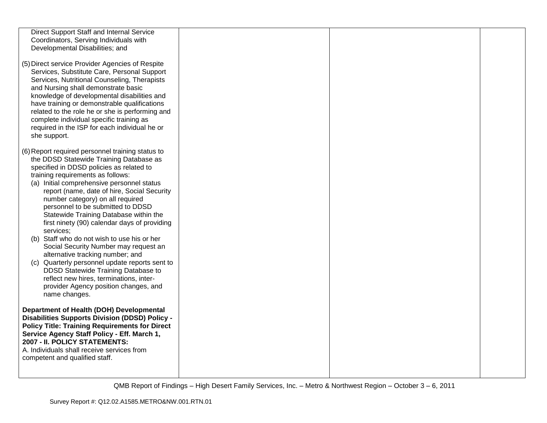| Direct Support Staff and Internal Service                                                                                                                                                                                                                                                                                                                                                                                                            |  |  |
|------------------------------------------------------------------------------------------------------------------------------------------------------------------------------------------------------------------------------------------------------------------------------------------------------------------------------------------------------------------------------------------------------------------------------------------------------|--|--|
| Coordinators, Serving Individuals with                                                                                                                                                                                                                                                                                                                                                                                                               |  |  |
| Developmental Disabilities; and                                                                                                                                                                                                                                                                                                                                                                                                                      |  |  |
| (5) Direct service Provider Agencies of Respite<br>Services, Substitute Care, Personal Support<br>Services, Nutritional Counseling, Therapists<br>and Nursing shall demonstrate basic<br>knowledge of developmental disabilities and<br>have training or demonstrable qualifications<br>related to the role he or she is performing and<br>complete individual specific training as<br>required in the ISP for each individual he or<br>she support. |  |  |
| (6) Report required personnel training status to                                                                                                                                                                                                                                                                                                                                                                                                     |  |  |
| the DDSD Statewide Training Database as                                                                                                                                                                                                                                                                                                                                                                                                              |  |  |
| specified in DDSD policies as related to<br>training requirements as follows:                                                                                                                                                                                                                                                                                                                                                                        |  |  |
| (a) Initial comprehensive personnel status                                                                                                                                                                                                                                                                                                                                                                                                           |  |  |
| report (name, date of hire, Social Security                                                                                                                                                                                                                                                                                                                                                                                                          |  |  |
| number category) on all required<br>personnel to be submitted to DDSD                                                                                                                                                                                                                                                                                                                                                                                |  |  |
| Statewide Training Database within the                                                                                                                                                                                                                                                                                                                                                                                                               |  |  |
| first ninety (90) calendar days of providing                                                                                                                                                                                                                                                                                                                                                                                                         |  |  |
| services;<br>(b) Staff who do not wish to use his or her                                                                                                                                                                                                                                                                                                                                                                                             |  |  |
| Social Security Number may request an                                                                                                                                                                                                                                                                                                                                                                                                                |  |  |
| alternative tracking number; and                                                                                                                                                                                                                                                                                                                                                                                                                     |  |  |
| (c) Quarterly personnel update reports sent to<br>DDSD Statewide Training Database to                                                                                                                                                                                                                                                                                                                                                                |  |  |
| reflect new hires, terminations, inter-                                                                                                                                                                                                                                                                                                                                                                                                              |  |  |
| provider Agency position changes, and                                                                                                                                                                                                                                                                                                                                                                                                                |  |  |
| name changes.                                                                                                                                                                                                                                                                                                                                                                                                                                        |  |  |
| Department of Health (DOH) Developmental                                                                                                                                                                                                                                                                                                                                                                                                             |  |  |
| <b>Disabilities Supports Division (DDSD) Policy -</b><br><b>Policy Title: Training Requirements for Direct</b>                                                                                                                                                                                                                                                                                                                                       |  |  |
| Service Agency Staff Policy - Eff. March 1,                                                                                                                                                                                                                                                                                                                                                                                                          |  |  |
| 2007 - II. POLICY STATEMENTS:                                                                                                                                                                                                                                                                                                                                                                                                                        |  |  |
| A. Individuals shall receive services from<br>competent and qualified staff.                                                                                                                                                                                                                                                                                                                                                                         |  |  |
|                                                                                                                                                                                                                                                                                                                                                                                                                                                      |  |  |
|                                                                                                                                                                                                                                                                                                                                                                                                                                                      |  |  |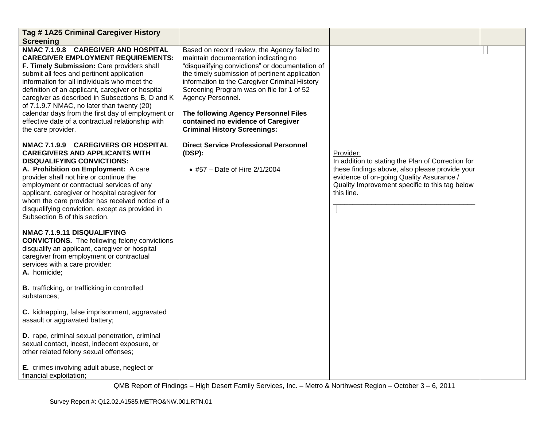| Tag #1A25 Criminal Caregiver History                                                                                                                                                                                                                                                                                                                                                                                                                                                                               |                                                                                                                                                                                                                                                                                                                                                                                                                                   |                                                                                                                                                                                                                              |  |
|--------------------------------------------------------------------------------------------------------------------------------------------------------------------------------------------------------------------------------------------------------------------------------------------------------------------------------------------------------------------------------------------------------------------------------------------------------------------------------------------------------------------|-----------------------------------------------------------------------------------------------------------------------------------------------------------------------------------------------------------------------------------------------------------------------------------------------------------------------------------------------------------------------------------------------------------------------------------|------------------------------------------------------------------------------------------------------------------------------------------------------------------------------------------------------------------------------|--|
| <b>Screening</b>                                                                                                                                                                                                                                                                                                                                                                                                                                                                                                   |                                                                                                                                                                                                                                                                                                                                                                                                                                   |                                                                                                                                                                                                                              |  |
| NMAC 7.1.9.8 CAREGIVER AND HOSPITAL<br><b>CAREGIVER EMPLOYMENT REQUIREMENTS:</b><br>F. Timely Submission: Care providers shall<br>submit all fees and pertinent application<br>information for all individuals who meet the<br>definition of an applicant, caregiver or hospital<br>caregiver as described in Subsections B, D and K<br>of 7.1.9.7 NMAC, no later than twenty (20)<br>calendar days from the first day of employment or<br>effective date of a contractual relationship with<br>the care provider. | Based on record review, the Agency failed to<br>maintain documentation indicating no<br>"disqualifying convictions" or documentation of<br>the timely submission of pertinent application<br>information to the Caregiver Criminal History<br>Screening Program was on file for 1 of 52<br>Agency Personnel.<br>The following Agency Personnel Files<br>contained no evidence of Caregiver<br><b>Criminal History Screenings:</b> |                                                                                                                                                                                                                              |  |
| NMAC 7.1.9.9 CAREGIVERS OR HOSPITAL<br><b>CAREGIVERS AND APPLICANTS WITH</b><br><b>DISQUALIFYING CONVICTIONS:</b><br>A. Prohibition on Employment: A care<br>provider shall not hire or continue the<br>employment or contractual services of any<br>applicant, caregiver or hospital caregiver for<br>whom the care provider has received notice of a<br>disqualifying conviction, except as provided in<br>Subsection B of this section.                                                                         | <b>Direct Service Professional Personnel</b><br>(DSP):<br>• #57 - Date of Hire 2/1/2004                                                                                                                                                                                                                                                                                                                                           | Provider:<br>In addition to stating the Plan of Correction for<br>these findings above, also please provide your<br>evidence of on-going Quality Assurance /<br>Quality Improvement specific to this tag below<br>this line. |  |
| NMAC 7.1.9.11 DISQUALIFYING<br><b>CONVICTIONS.</b> The following felony convictions<br>disqualify an applicant, caregiver or hospital<br>caregiver from employment or contractual<br>services with a care provider:<br>A. homicide;                                                                                                                                                                                                                                                                                |                                                                                                                                                                                                                                                                                                                                                                                                                                   |                                                                                                                                                                                                                              |  |
| <b>B.</b> trafficking, or trafficking in controlled<br>substances:                                                                                                                                                                                                                                                                                                                                                                                                                                                 |                                                                                                                                                                                                                                                                                                                                                                                                                                   |                                                                                                                                                                                                                              |  |
| C. kidnapping, false imprisonment, aggravated<br>assault or aggravated battery;                                                                                                                                                                                                                                                                                                                                                                                                                                    |                                                                                                                                                                                                                                                                                                                                                                                                                                   |                                                                                                                                                                                                                              |  |
| D. rape, criminal sexual penetration, criminal<br>sexual contact, incest, indecent exposure, or<br>other related felony sexual offenses;                                                                                                                                                                                                                                                                                                                                                                           |                                                                                                                                                                                                                                                                                                                                                                                                                                   |                                                                                                                                                                                                                              |  |
| E. crimes involving adult abuse, neglect or<br>financial exploitation;                                                                                                                                                                                                                                                                                                                                                                                                                                             |                                                                                                                                                                                                                                                                                                                                                                                                                                   |                                                                                                                                                                                                                              |  |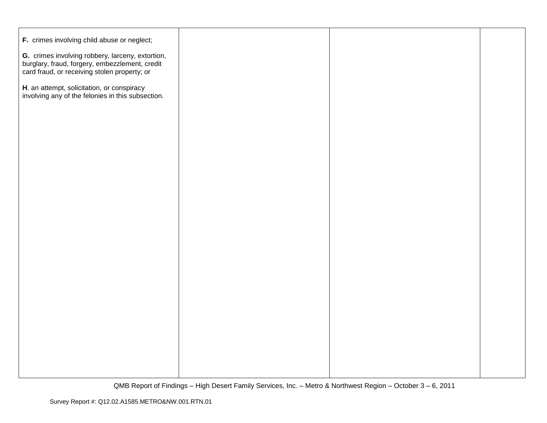| F. crimes involving child abuse or neglect;                                                                                                        |  |  |
|----------------------------------------------------------------------------------------------------------------------------------------------------|--|--|
| G. crimes involving robbery, larceny, extortion,<br>burglary, fraud, forgery, embezzlement, credit<br>card fraud, or receiving stolen property; or |  |  |
| H. an attempt, solicitation, or conspiracy<br>involving any of the felonies in this subsection.                                                    |  |  |
|                                                                                                                                                    |  |  |
|                                                                                                                                                    |  |  |
|                                                                                                                                                    |  |  |
|                                                                                                                                                    |  |  |
|                                                                                                                                                    |  |  |
|                                                                                                                                                    |  |  |
|                                                                                                                                                    |  |  |
|                                                                                                                                                    |  |  |
|                                                                                                                                                    |  |  |
|                                                                                                                                                    |  |  |
|                                                                                                                                                    |  |  |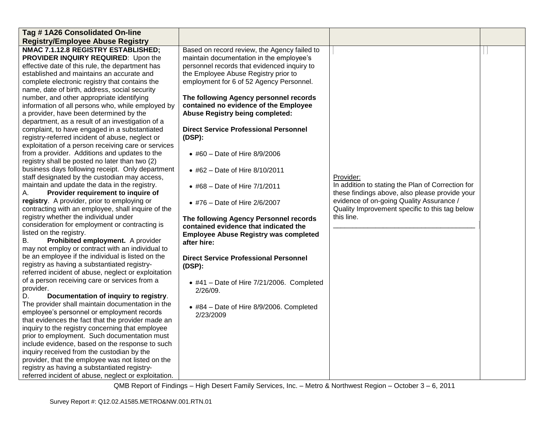| Tag #1A26 Consolidated On-line                             |                                              |                                                   |  |
|------------------------------------------------------------|----------------------------------------------|---------------------------------------------------|--|
| <b>Registry/Employee Abuse Registry</b>                    |                                              |                                                   |  |
| NMAC 7.1.12.8 REGISTRY ESTABLISHED;                        | Based on record review, the Agency failed to |                                                   |  |
| PROVIDER INQUIRY REQUIRED: Upon the                        | maintain documentation in the employee's     |                                                   |  |
| effective date of this rule, the department has            | personnel records that evidenced inquiry to  |                                                   |  |
| established and maintains an accurate and                  | the Employee Abuse Registry prior to         |                                                   |  |
| complete electronic registry that contains the             | employment for 6 of 52 Agency Personnel.     |                                                   |  |
| name, date of birth, address, social security              |                                              |                                                   |  |
| number, and other appropriate identifying                  | The following Agency personnel records       |                                                   |  |
| information of all persons who, while employed by          | contained no evidence of the Employee        |                                                   |  |
| a provider, have been determined by the                    | <b>Abuse Registry being completed:</b>       |                                                   |  |
| department, as a result of an investigation of a           |                                              |                                                   |  |
| complaint, to have engaged in a substantiated              | <b>Direct Service Professional Personnel</b> |                                                   |  |
| registry-referred incident of abuse, neglect or            | (DSP):                                       |                                                   |  |
| exploitation of a person receiving care or services        |                                              |                                                   |  |
| from a provider. Additions and updates to the              | • #60 - Date of Hire 8/9/2006                |                                                   |  |
| registry shall be posted no later than two (2)             |                                              |                                                   |  |
| business days following receipt. Only department           | • #62 - Date of Hire 8/10/2011               |                                                   |  |
| staff designated by the custodian may access,              |                                              | Provider:                                         |  |
| maintain and update the data in the registry.              | • #68 – Date of Hire $7/1/2011$              | In addition to stating the Plan of Correction for |  |
| Provider requirement to inquire of<br>А.                   |                                              | these findings above, also please provide your    |  |
| registry. A provider, prior to employing or                | • #76 – Date of Hire 2/6/2007                | evidence of on-going Quality Assurance /          |  |
| contracting with an employee, shall inquire of the         |                                              | Quality Improvement specific to this tag below    |  |
| registry whether the individual under                      | The following Agency Personnel records       | this line.                                        |  |
| consideration for employment or contracting is             | contained evidence that indicated the        |                                                   |  |
| listed on the registry.                                    | <b>Employee Abuse Registry was completed</b> |                                                   |  |
| Prohibited employment. A provider<br>В.                    | after hire:                                  |                                                   |  |
| may not employ or contract with an individual to           |                                              |                                                   |  |
| be an employee if the individual is listed on the          | <b>Direct Service Professional Personnel</b> |                                                   |  |
| registry as having a substantiated registry-               | (DSP):                                       |                                                   |  |
| referred incident of abuse, neglect or exploitation        |                                              |                                                   |  |
| of a person receiving care or services from a<br>provider. | $*$ #41 - Date of Hire 7/21/2006. Completed  |                                                   |  |
| D.<br>Documentation of inquiry to registry.                | $2/26/09$ .                                  |                                                   |  |
| The provider shall maintain documentation in the           |                                              |                                                   |  |
| employee's personnel or employment records                 | • #84 - Date of Hire 8/9/2006. Completed     |                                                   |  |
| that evidences the fact that the provider made an          | 2/23/2009                                    |                                                   |  |
| inquiry to the registry concerning that employee           |                                              |                                                   |  |
| prior to employment. Such documentation must               |                                              |                                                   |  |
| include evidence, based on the response to such            |                                              |                                                   |  |
| inquiry received from the custodian by the                 |                                              |                                                   |  |
| provider, that the employee was not listed on the          |                                              |                                                   |  |
| registry as having a substantiated registry-               |                                              |                                                   |  |
| referred incident of abuse, neglect or exploitation.       |                                              |                                                   |  |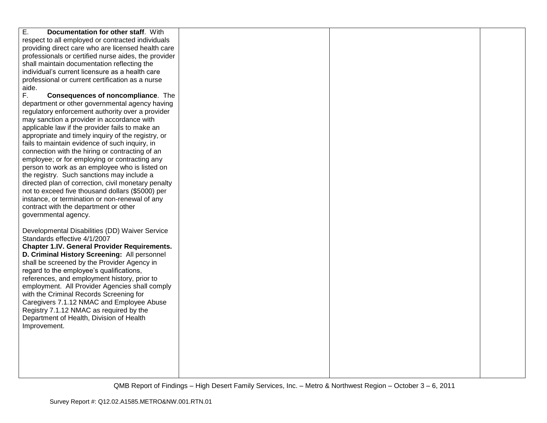| $\overline{E}$ .<br>Documentation for other staff. With |  |  |
|---------------------------------------------------------|--|--|
| respect to all employed or contracted individuals       |  |  |
| providing direct care who are licensed health care      |  |  |
| professionals or certified nurse aides, the provider    |  |  |
| shall maintain documentation reflecting the             |  |  |
| individual's current licensure as a health care         |  |  |
| professional or current certification as a nurse        |  |  |
| aide.                                                   |  |  |
| F.<br>Consequences of noncompliance. The                |  |  |
|                                                         |  |  |
| department or other governmental agency having          |  |  |
| regulatory enforcement authority over a provider        |  |  |
| may sanction a provider in accordance with              |  |  |
| applicable law if the provider fails to make an         |  |  |
| appropriate and timely inquiry of the registry, or      |  |  |
| fails to maintain evidence of such inquiry, in          |  |  |
| connection with the hiring or contracting of an         |  |  |
| employee; or for employing or contracting any           |  |  |
| person to work as an employee who is listed on          |  |  |
| the registry. Such sanctions may include a              |  |  |
| directed plan of correction, civil monetary penalty     |  |  |
| not to exceed five thousand dollars (\$5000) per        |  |  |
| instance, or termination or non-renewal of any          |  |  |
|                                                         |  |  |
| contract with the department or other                   |  |  |
| governmental agency.                                    |  |  |
|                                                         |  |  |
| Developmental Disabilities (DD) Waiver Service          |  |  |
| Standards effective 4/1/2007                            |  |  |
| <b>Chapter 1.IV. General Provider Requirements.</b>     |  |  |
| D. Criminal History Screening: All personnel            |  |  |
| shall be screened by the Provider Agency in             |  |  |
| regard to the employee's qualifications,                |  |  |
| references, and employment history, prior to            |  |  |
| employment. All Provider Agencies shall comply          |  |  |
| with the Criminal Records Screening for                 |  |  |
| Caregivers 7.1.12 NMAC and Employee Abuse               |  |  |
| Registry 7.1.12 NMAC as required by the                 |  |  |
|                                                         |  |  |
| Department of Health, Division of Health                |  |  |
| Improvement.                                            |  |  |
|                                                         |  |  |
|                                                         |  |  |
|                                                         |  |  |
|                                                         |  |  |
|                                                         |  |  |
|                                                         |  |  |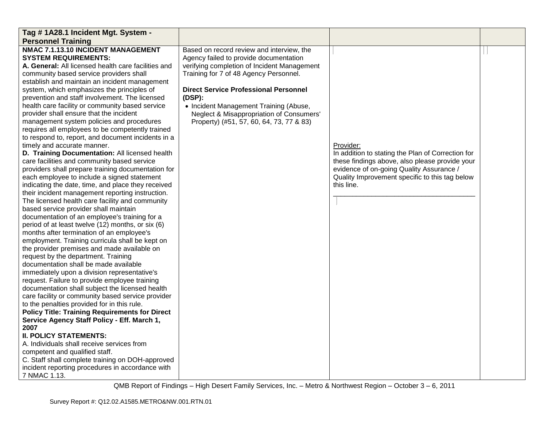| Tag # 1A28.1 Incident Mgt. System -                                                           |                                              |                                                   |  |
|-----------------------------------------------------------------------------------------------|----------------------------------------------|---------------------------------------------------|--|
| <b>Personnel Training</b>                                                                     |                                              |                                                   |  |
| NMAC 7.1.13.10 INCIDENT MANAGEMENT                                                            | Based on record review and interview, the    |                                                   |  |
| <b>SYSTEM REQUIREMENTS:</b>                                                                   | Agency failed to provide documentation       |                                                   |  |
| A. General: All licensed health care facilities and                                           | verifying completion of Incident Management  |                                                   |  |
| community based service providers shall                                                       | Training for 7 of 48 Agency Personnel.       |                                                   |  |
| establish and maintain an incident management                                                 |                                              |                                                   |  |
| system, which emphasizes the principles of                                                    | <b>Direct Service Professional Personnel</b> |                                                   |  |
| prevention and staff involvement. The licensed                                                | (DSP):                                       |                                                   |  |
| health care facility or community based service                                               | • Incident Management Training (Abuse,       |                                                   |  |
| provider shall ensure that the incident                                                       | Neglect & Misappropriation of Consumers'     |                                                   |  |
| management system policies and procedures                                                     | Property) (#51, 57, 60, 64, 73, 77 & 83)     |                                                   |  |
| requires all employees to be competently trained                                              |                                              |                                                   |  |
| to respond to, report, and document incidents in a                                            |                                              |                                                   |  |
| timely and accurate manner.                                                                   |                                              | Provider:                                         |  |
| D. Training Documentation: All licensed health                                                |                                              | In addition to stating the Plan of Correction for |  |
| care facilities and community based service                                                   |                                              | these findings above, also please provide your    |  |
| providers shall prepare training documentation for                                            |                                              | evidence of on-going Quality Assurance /          |  |
| each employee to include a signed statement                                                   |                                              | Quality Improvement specific to this tag below    |  |
| indicating the date, time, and place they received                                            |                                              | this line.                                        |  |
| their incident management reporting instruction.                                              |                                              |                                                   |  |
| The licensed health care facility and community                                               |                                              |                                                   |  |
| based service provider shall maintain                                                         |                                              |                                                   |  |
| documentation of an employee's training for a                                                 |                                              |                                                   |  |
| period of at least twelve (12) months, or six (6)                                             |                                              |                                                   |  |
| months after termination of an employee's                                                     |                                              |                                                   |  |
| employment. Training curricula shall be kept on                                               |                                              |                                                   |  |
| the provider premises and made available on                                                   |                                              |                                                   |  |
| request by the department. Training<br>documentation shall be made available                  |                                              |                                                   |  |
|                                                                                               |                                              |                                                   |  |
| immediately upon a division representative's<br>request. Failure to provide employee training |                                              |                                                   |  |
| documentation shall subject the licensed health                                               |                                              |                                                   |  |
| care facility or community based service provider                                             |                                              |                                                   |  |
| to the penalties provided for in this rule.                                                   |                                              |                                                   |  |
| <b>Policy Title: Training Requirements for Direct</b>                                         |                                              |                                                   |  |
| Service Agency Staff Policy - Eff. March 1,                                                   |                                              |                                                   |  |
| 2007                                                                                          |                                              |                                                   |  |
| <b>II. POLICY STATEMENTS:</b>                                                                 |                                              |                                                   |  |
| A. Individuals shall receive services from                                                    |                                              |                                                   |  |
| competent and qualified staff.                                                                |                                              |                                                   |  |
| C. Staff shall complete training on DOH-approved                                              |                                              |                                                   |  |
| incident reporting procedures in accordance with                                              |                                              |                                                   |  |
| 7 NMAC 1.13.                                                                                  |                                              |                                                   |  |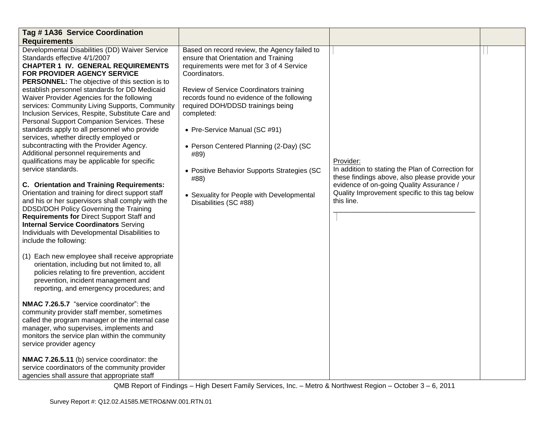| Tag #1A36 Service Coordination                                                                                                                                                                                                                                                                                                                                                                                                                                                                                                                                                                                                                                                                                                                                                                                                                                                                                                                                                                                                                                                                                                                                                                                                                                                                                                                                                                                                                                                                                                                                                                                                                                                                                 |                                                                                                                                                                                                                                                                                                                                                                                                                                                                                                               |                                                                                                                                                                                                                              |  |
|----------------------------------------------------------------------------------------------------------------------------------------------------------------------------------------------------------------------------------------------------------------------------------------------------------------------------------------------------------------------------------------------------------------------------------------------------------------------------------------------------------------------------------------------------------------------------------------------------------------------------------------------------------------------------------------------------------------------------------------------------------------------------------------------------------------------------------------------------------------------------------------------------------------------------------------------------------------------------------------------------------------------------------------------------------------------------------------------------------------------------------------------------------------------------------------------------------------------------------------------------------------------------------------------------------------------------------------------------------------------------------------------------------------------------------------------------------------------------------------------------------------------------------------------------------------------------------------------------------------------------------------------------------------------------------------------------------------|---------------------------------------------------------------------------------------------------------------------------------------------------------------------------------------------------------------------------------------------------------------------------------------------------------------------------------------------------------------------------------------------------------------------------------------------------------------------------------------------------------------|------------------------------------------------------------------------------------------------------------------------------------------------------------------------------------------------------------------------------|--|
| <b>Requirements</b>                                                                                                                                                                                                                                                                                                                                                                                                                                                                                                                                                                                                                                                                                                                                                                                                                                                                                                                                                                                                                                                                                                                                                                                                                                                                                                                                                                                                                                                                                                                                                                                                                                                                                            |                                                                                                                                                                                                                                                                                                                                                                                                                                                                                                               |                                                                                                                                                                                                                              |  |
| Developmental Disabilities (DD) Waiver Service<br>Standards effective 4/1/2007<br><b>CHAPTER 1 IV. GENERAL REQUIREMENTS</b><br>FOR PROVIDER AGENCY SERVICE<br>PERSONNEL: The objective of this section is to<br>establish personnel standards for DD Medicaid<br>Waiver Provider Agencies for the following<br>services: Community Living Supports, Community<br>Inclusion Services, Respite, Substitute Care and<br>Personal Support Companion Services. These<br>standards apply to all personnel who provide<br>services, whether directly employed or<br>subcontracting with the Provider Agency.<br>Additional personnel requirements and<br>qualifications may be applicable for specific<br>service standards.<br>C. Orientation and Training Requirements:<br>Orientation and training for direct support staff<br>and his or her supervisors shall comply with the<br>DDSD/DOH Policy Governing the Training<br>Requirements for Direct Support Staff and<br><b>Internal Service Coordinators Serving</b><br>Individuals with Developmental Disabilities to<br>include the following:<br>(1) Each new employee shall receive appropriate<br>orientation, including but not limited to, all<br>policies relating to fire prevention, accident<br>prevention, incident management and<br>reporting, and emergency procedures; and<br>NMAC 7.26.5.7 "service coordinator": the<br>community provider staff member, sometimes<br>called the program manager or the internal case<br>manager, who supervises, implements and<br>monitors the service plan within the community<br>service provider agency<br>NMAC 7.26.5.11 (b) service coordinator: the<br>service coordinators of the community provider | Based on record review, the Agency failed to<br>ensure that Orientation and Training<br>requirements were met for 3 of 4 Service<br>Coordinators.<br>Review of Service Coordinators training<br>records found no evidence of the following<br>required DOH/DDSD trainings being<br>completed:<br>• Pre-Service Manual (SC #91)<br>• Person Centered Planning (2-Day) (SC<br>#89)<br>• Positive Behavior Supports Strategies (SC<br>#88)<br>• Sexuality for People with Developmental<br>Disabilities (SC #88) | Provider:<br>In addition to stating the Plan of Correction for<br>these findings above, also please provide your<br>evidence of on-going Quality Assurance /<br>Quality Improvement specific to this tag below<br>this line. |  |
| agencies shall assure that appropriate staff                                                                                                                                                                                                                                                                                                                                                                                                                                                                                                                                                                                                                                                                                                                                                                                                                                                                                                                                                                                                                                                                                                                                                                                                                                                                                                                                                                                                                                                                                                                                                                                                                                                                   |                                                                                                                                                                                                                                                                                                                                                                                                                                                                                                               |                                                                                                                                                                                                                              |  |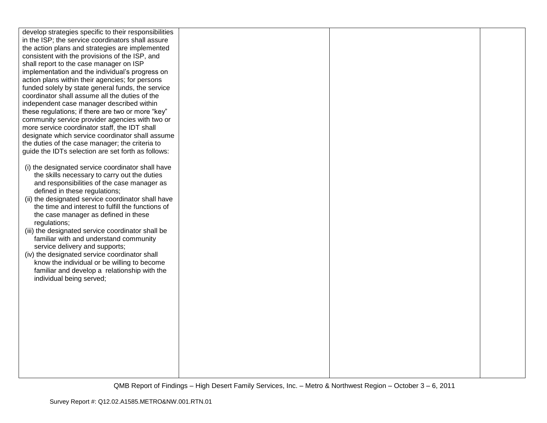| develop strategies specific to their responsibilities                               |  |  |
|-------------------------------------------------------------------------------------|--|--|
| in the ISP; the service coordinators shall assure                                   |  |  |
| the action plans and strategies are implemented                                     |  |  |
| consistent with the provisions of the ISP, and                                      |  |  |
| shall report to the case manager on ISP                                             |  |  |
| implementation and the individual's progress on                                     |  |  |
| action plans within their agencies; for persons                                     |  |  |
| funded solely by state general funds, the service                                   |  |  |
| coordinator shall assume all the duties of the                                      |  |  |
| independent case manager described within                                           |  |  |
| these regulations; if there are two or more "key"                                   |  |  |
| community service provider agencies with two or                                     |  |  |
| more service coordinator staff, the IDT shall                                       |  |  |
| designate which service coordinator shall assume                                    |  |  |
| the duties of the case manager; the criteria to                                     |  |  |
| guide the IDTs selection are set forth as follows:                                  |  |  |
|                                                                                     |  |  |
| (i) the designated service coordinator shall have                                   |  |  |
| the skills necessary to carry out the duties                                        |  |  |
| and responsibilities of the case manager as                                         |  |  |
| defined in these regulations;<br>(ii) the designated service coordinator shall have |  |  |
| the time and interest to fulfill the functions of                                   |  |  |
| the case manager as defined in these                                                |  |  |
| regulations;                                                                        |  |  |
| (iii) the designated service coordinator shall be                                   |  |  |
| familiar with and understand community                                              |  |  |
| service delivery and supports;                                                      |  |  |
| (iv) the designated service coordinator shall                                       |  |  |
| know the individual or be willing to become                                         |  |  |
| familiar and develop a relationship with the                                        |  |  |
| individual being served;                                                            |  |  |
|                                                                                     |  |  |
|                                                                                     |  |  |
|                                                                                     |  |  |
|                                                                                     |  |  |
|                                                                                     |  |  |
|                                                                                     |  |  |
|                                                                                     |  |  |
|                                                                                     |  |  |
|                                                                                     |  |  |
|                                                                                     |  |  |
|                                                                                     |  |  |
|                                                                                     |  |  |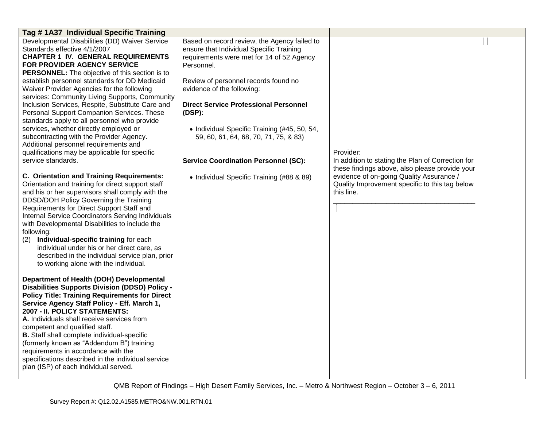| Tag #1A37 Individual Specific Training                |                                              |                                                   |  |
|-------------------------------------------------------|----------------------------------------------|---------------------------------------------------|--|
| Developmental Disabilities (DD) Waiver Service        | Based on record review, the Agency failed to |                                                   |  |
| Standards effective 4/1/2007                          | ensure that Individual Specific Training     |                                                   |  |
| <b>CHAPTER 1 IV. GENERAL REQUIREMENTS</b>             | requirements were met for 14 of 52 Agency    |                                                   |  |
| FOR PROVIDER AGENCY SERVICE                           | Personnel.                                   |                                                   |  |
| PERSONNEL: The objective of this section is to        |                                              |                                                   |  |
| establish personnel standards for DD Medicaid         | Review of personnel records found no         |                                                   |  |
| Waiver Provider Agencies for the following            | evidence of the following:                   |                                                   |  |
| services: Community Living Supports, Community        |                                              |                                                   |  |
| Inclusion Services, Respite, Substitute Care and      | <b>Direct Service Professional Personnel</b> |                                                   |  |
| Personal Support Companion Services. These            | (DSP):                                       |                                                   |  |
| standards apply to all personnel who provide          |                                              |                                                   |  |
| services, whether directly employed or                | • Individual Specific Training (#45, 50, 54, |                                                   |  |
| subcontracting with the Provider Agency.              | 59, 60, 61, 64, 68, 70, 71, 75, & 83)        |                                                   |  |
| Additional personnel requirements and                 |                                              |                                                   |  |
| qualifications may be applicable for specific         |                                              | Provider:                                         |  |
| service standards.                                    | <b>Service Coordination Personnel (SC):</b>  | In addition to stating the Plan of Correction for |  |
|                                                       |                                              | these findings above, also please provide your    |  |
| <b>C. Orientation and Training Requirements:</b>      | • Individual Specific Training (#88 & 89)    | evidence of on-going Quality Assurance /          |  |
| Orientation and training for direct support staff     |                                              | Quality Improvement specific to this tag below    |  |
| and his or her supervisors shall comply with the      |                                              | this line.                                        |  |
| DDSD/DOH Policy Governing the Training                |                                              |                                                   |  |
| Requirements for Direct Support Staff and             |                                              |                                                   |  |
| Internal Service Coordinators Serving Individuals     |                                              |                                                   |  |
| with Developmental Disabilities to include the        |                                              |                                                   |  |
| following:                                            |                                              |                                                   |  |
| Individual-specific training for each<br>(2)          |                                              |                                                   |  |
| individual under his or her direct care, as           |                                              |                                                   |  |
| described in the individual service plan, prior       |                                              |                                                   |  |
| to working alone with the individual.                 |                                              |                                                   |  |
|                                                       |                                              |                                                   |  |
| Department of Health (DOH) Developmental              |                                              |                                                   |  |
| <b>Disabilities Supports Division (DDSD) Policy -</b> |                                              |                                                   |  |
| <b>Policy Title: Training Requirements for Direct</b> |                                              |                                                   |  |
| Service Agency Staff Policy - Eff. March 1,           |                                              |                                                   |  |
| 2007 - II. POLICY STATEMENTS:                         |                                              |                                                   |  |
| A. Individuals shall receive services from            |                                              |                                                   |  |
| competent and qualified staff.                        |                                              |                                                   |  |
| <b>B.</b> Staff shall complete individual-specific    |                                              |                                                   |  |
| (formerly known as "Addendum B") training             |                                              |                                                   |  |
| requirements in accordance with the                   |                                              |                                                   |  |
| specifications described in the individual service    |                                              |                                                   |  |
| plan (ISP) of each individual served.                 |                                              |                                                   |  |
|                                                       |                                              |                                                   |  |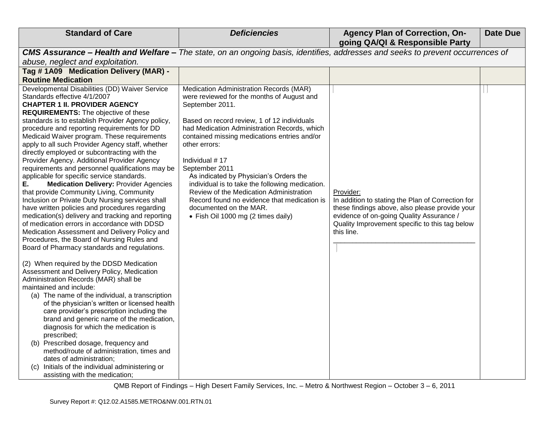| <b>Standard of Care</b>                                                                                                                                                                                                                                                                                                                                                                                                                                                                                                                                                                                                                                                                                                                                                                                                                                                                                                                                                                                                                                                                                                                                                                                                                                                                                                                                                                                                                                                                                                                                                                                                                                                  | <b>Deficiencies</b>                                                                                                                                                                                                                                                                                                                                                                                                                                                                                                                                                 | <b>Agency Plan of Correction, On-</b><br>going QA/QI & Responsible Party                                                                                                                                                     | <b>Date Due</b> |
|--------------------------------------------------------------------------------------------------------------------------------------------------------------------------------------------------------------------------------------------------------------------------------------------------------------------------------------------------------------------------------------------------------------------------------------------------------------------------------------------------------------------------------------------------------------------------------------------------------------------------------------------------------------------------------------------------------------------------------------------------------------------------------------------------------------------------------------------------------------------------------------------------------------------------------------------------------------------------------------------------------------------------------------------------------------------------------------------------------------------------------------------------------------------------------------------------------------------------------------------------------------------------------------------------------------------------------------------------------------------------------------------------------------------------------------------------------------------------------------------------------------------------------------------------------------------------------------------------------------------------------------------------------------------------|---------------------------------------------------------------------------------------------------------------------------------------------------------------------------------------------------------------------------------------------------------------------------------------------------------------------------------------------------------------------------------------------------------------------------------------------------------------------------------------------------------------------------------------------------------------------|------------------------------------------------------------------------------------------------------------------------------------------------------------------------------------------------------------------------------|-----------------|
| CMS Assurance - Health and Welfare - The state, on an ongoing basis, identifies, addresses and seeks to prevent occurrences of                                                                                                                                                                                                                                                                                                                                                                                                                                                                                                                                                                                                                                                                                                                                                                                                                                                                                                                                                                                                                                                                                                                                                                                                                                                                                                                                                                                                                                                                                                                                           |                                                                                                                                                                                                                                                                                                                                                                                                                                                                                                                                                                     |                                                                                                                                                                                                                              |                 |
| abuse, neglect and exploitation.                                                                                                                                                                                                                                                                                                                                                                                                                                                                                                                                                                                                                                                                                                                                                                                                                                                                                                                                                                                                                                                                                                                                                                                                                                                                                                                                                                                                                                                                                                                                                                                                                                         |                                                                                                                                                                                                                                                                                                                                                                                                                                                                                                                                                                     |                                                                                                                                                                                                                              |                 |
| Tag # 1A09 Medication Delivery (MAR) -                                                                                                                                                                                                                                                                                                                                                                                                                                                                                                                                                                                                                                                                                                                                                                                                                                                                                                                                                                                                                                                                                                                                                                                                                                                                                                                                                                                                                                                                                                                                                                                                                                   |                                                                                                                                                                                                                                                                                                                                                                                                                                                                                                                                                                     |                                                                                                                                                                                                                              |                 |
| <b>Routine Medication</b>                                                                                                                                                                                                                                                                                                                                                                                                                                                                                                                                                                                                                                                                                                                                                                                                                                                                                                                                                                                                                                                                                                                                                                                                                                                                                                                                                                                                                                                                                                                                                                                                                                                |                                                                                                                                                                                                                                                                                                                                                                                                                                                                                                                                                                     |                                                                                                                                                                                                                              |                 |
| Developmental Disabilities (DD) Waiver Service<br>Standards effective 4/1/2007<br><b>CHAPTER 1 II. PROVIDER AGENCY</b><br><b>REQUIREMENTS:</b> The objective of these<br>standards is to establish Provider Agency policy,<br>procedure and reporting requirements for DD<br>Medicaid Waiver program. These requirements<br>apply to all such Provider Agency staff, whether<br>directly employed or subcontracting with the<br>Provider Agency. Additional Provider Agency<br>requirements and personnel qualifications may be<br>applicable for specific service standards.<br><b>Medication Delivery: Provider Agencies</b><br>Е.<br>that provide Community Living, Community<br>Inclusion or Private Duty Nursing services shall<br>have written policies and procedures regarding<br>medication(s) delivery and tracking and reporting<br>of medication errors in accordance with DDSD<br>Medication Assessment and Delivery Policy and<br>Procedures, the Board of Nursing Rules and<br>Board of Pharmacy standards and regulations.<br>(2) When required by the DDSD Medication<br>Assessment and Delivery Policy, Medication<br>Administration Records (MAR) shall be<br>maintained and include:<br>(a) The name of the individual, a transcription<br>of the physician's written or licensed health<br>care provider's prescription including the<br>brand and generic name of the medication,<br>diagnosis for which the medication is<br>prescribed;<br>(b) Prescribed dosage, frequency and<br>method/route of administration, times and<br>dates of administration;<br>Initials of the individual administering or<br>(c)<br>assisting with the medication; | Medication Administration Records (MAR)<br>were reviewed for the months of August and<br>September 2011.<br>Based on record review, 1 of 12 individuals<br>had Medication Administration Records, which<br>contained missing medications entries and/or<br>other errors:<br>Individual #17<br>September 2011<br>As indicated by Physician's Orders the<br>individual is to take the following medication.<br>Review of the Medication Administration<br>Record found no evidence that medication is<br>documented on the MAR.<br>• Fish Oil 1000 mg (2 times daily) | Provider:<br>In addition to stating the Plan of Correction for<br>these findings above, also please provide your<br>evidence of on-going Quality Assurance /<br>Quality Improvement specific to this tag below<br>this line. |                 |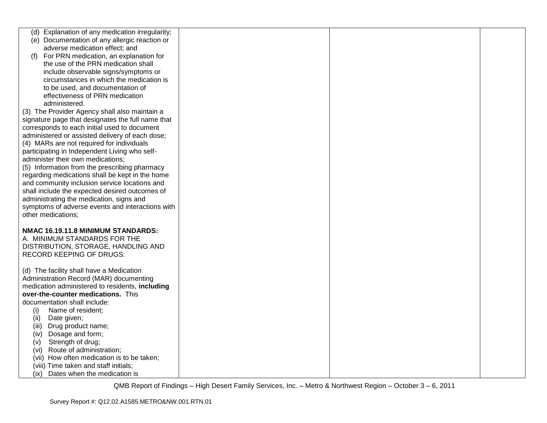| Explanation of any medication irregularity;                                                                                                                                                                                                                                                                                                                                                                                                                                                                                                                                                            |  |  |
|--------------------------------------------------------------------------------------------------------------------------------------------------------------------------------------------------------------------------------------------------------------------------------------------------------------------------------------------------------------------------------------------------------------------------------------------------------------------------------------------------------------------------------------------------------------------------------------------------------|--|--|
| (d)                                                                                                                                                                                                                                                                                                                                                                                                                                                                                                                                                                                                    |  |  |
| (e) Documentation of any allergic reaction or                                                                                                                                                                                                                                                                                                                                                                                                                                                                                                                                                          |  |  |
| adverse medication effect; and                                                                                                                                                                                                                                                                                                                                                                                                                                                                                                                                                                         |  |  |
| For PRN medication, an explanation for<br>(f)                                                                                                                                                                                                                                                                                                                                                                                                                                                                                                                                                          |  |  |
| the use of the PRN medication shall                                                                                                                                                                                                                                                                                                                                                                                                                                                                                                                                                                    |  |  |
| include observable signs/symptoms or                                                                                                                                                                                                                                                                                                                                                                                                                                                                                                                                                                   |  |  |
| circumstances in which the medication is                                                                                                                                                                                                                                                                                                                                                                                                                                                                                                                                                               |  |  |
| to be used, and documentation of                                                                                                                                                                                                                                                                                                                                                                                                                                                                                                                                                                       |  |  |
| effectiveness of PRN medication                                                                                                                                                                                                                                                                                                                                                                                                                                                                                                                                                                        |  |  |
|                                                                                                                                                                                                                                                                                                                                                                                                                                                                                                                                                                                                        |  |  |
| administered.                                                                                                                                                                                                                                                                                                                                                                                                                                                                                                                                                                                          |  |  |
| (3) The Provider Agency shall also maintain a                                                                                                                                                                                                                                                                                                                                                                                                                                                                                                                                                          |  |  |
| signature page that designates the full name that                                                                                                                                                                                                                                                                                                                                                                                                                                                                                                                                                      |  |  |
| corresponds to each initial used to document                                                                                                                                                                                                                                                                                                                                                                                                                                                                                                                                                           |  |  |
| administered or assisted delivery of each dose;                                                                                                                                                                                                                                                                                                                                                                                                                                                                                                                                                        |  |  |
| (4) MARs are not required for individuals                                                                                                                                                                                                                                                                                                                                                                                                                                                                                                                                                              |  |  |
| participating in Independent Living who self-                                                                                                                                                                                                                                                                                                                                                                                                                                                                                                                                                          |  |  |
| administer their own medications;                                                                                                                                                                                                                                                                                                                                                                                                                                                                                                                                                                      |  |  |
| (5) Information from the prescribing pharmacy                                                                                                                                                                                                                                                                                                                                                                                                                                                                                                                                                          |  |  |
| regarding medications shall be kept in the home                                                                                                                                                                                                                                                                                                                                                                                                                                                                                                                                                        |  |  |
| and community inclusion service locations and                                                                                                                                                                                                                                                                                                                                                                                                                                                                                                                                                          |  |  |
| shall include the expected desired outcomes of                                                                                                                                                                                                                                                                                                                                                                                                                                                                                                                                                         |  |  |
|                                                                                                                                                                                                                                                                                                                                                                                                                                                                                                                                                                                                        |  |  |
|                                                                                                                                                                                                                                                                                                                                                                                                                                                                                                                                                                                                        |  |  |
|                                                                                                                                                                                                                                                                                                                                                                                                                                                                                                                                                                                                        |  |  |
|                                                                                                                                                                                                                                                                                                                                                                                                                                                                                                                                                                                                        |  |  |
|                                                                                                                                                                                                                                                                                                                                                                                                                                                                                                                                                                                                        |  |  |
|                                                                                                                                                                                                                                                                                                                                                                                                                                                                                                                                                                                                        |  |  |
|                                                                                                                                                                                                                                                                                                                                                                                                                                                                                                                                                                                                        |  |  |
| DISTRIBUTION, STORAGE, HANDLING AND                                                                                                                                                                                                                                                                                                                                                                                                                                                                                                                                                                    |  |  |
|                                                                                                                                                                                                                                                                                                                                                                                                                                                                                                                                                                                                        |  |  |
|                                                                                                                                                                                                                                                                                                                                                                                                                                                                                                                                                                                                        |  |  |
|                                                                                                                                                                                                                                                                                                                                                                                                                                                                                                                                                                                                        |  |  |
|                                                                                                                                                                                                                                                                                                                                                                                                                                                                                                                                                                                                        |  |  |
|                                                                                                                                                                                                                                                                                                                                                                                                                                                                                                                                                                                                        |  |  |
|                                                                                                                                                                                                                                                                                                                                                                                                                                                                                                                                                                                                        |  |  |
|                                                                                                                                                                                                                                                                                                                                                                                                                                                                                                                                                                                                        |  |  |
|                                                                                                                                                                                                                                                                                                                                                                                                                                                                                                                                                                                                        |  |  |
|                                                                                                                                                                                                                                                                                                                                                                                                                                                                                                                                                                                                        |  |  |
|                                                                                                                                                                                                                                                                                                                                                                                                                                                                                                                                                                                                        |  |  |
| (iii)                                                                                                                                                                                                                                                                                                                                                                                                                                                                                                                                                                                                  |  |  |
| (iv)                                                                                                                                                                                                                                                                                                                                                                                                                                                                                                                                                                                                   |  |  |
| (v)                                                                                                                                                                                                                                                                                                                                                                                                                                                                                                                                                                                                    |  |  |
| Route of administration;<br>(VI)                                                                                                                                                                                                                                                                                                                                                                                                                                                                                                                                                                       |  |  |
| (vii) How often medication is to be taken;                                                                                                                                                                                                                                                                                                                                                                                                                                                                                                                                                             |  |  |
|                                                                                                                                                                                                                                                                                                                                                                                                                                                                                                                                                                                                        |  |  |
| Dates when the medication is<br>(ix)                                                                                                                                                                                                                                                                                                                                                                                                                                                                                                                                                                   |  |  |
| administrating the medication, signs and<br>symptoms of adverse events and interactions with<br>other medications;<br>NMAC 16.19.11.8 MINIMUM STANDARDS:<br>A. MINIMUM STANDARDS FOR THE<br><b>RECORD KEEPING OF DRUGS:</b><br>(d) The facility shall have a Medication<br>Administration Record (MAR) documenting<br>medication administered to residents, including<br>over-the-counter medications. This<br>documentation shall include:<br>Name of resident;<br>(i)<br>Date given;<br>(ii)<br>Drug product name;<br>Dosage and form;<br>Strength of drug;<br>(viii) Time taken and staff initials; |  |  |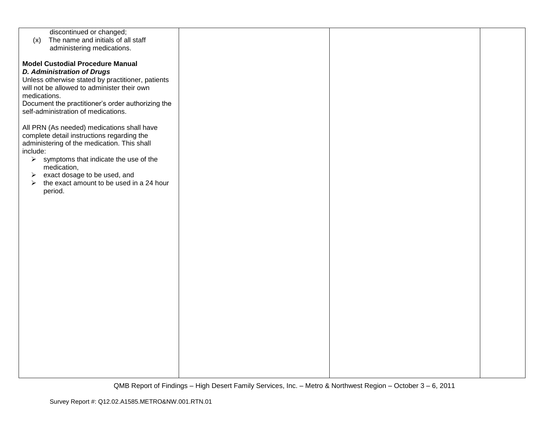| discontinued or changed;                                          |  |  |
|-------------------------------------------------------------------|--|--|
| The name and initials of all staff<br>(x)                         |  |  |
| administering medications.                                        |  |  |
|                                                                   |  |  |
|                                                                   |  |  |
| <b>Model Custodial Procedure Manual</b>                           |  |  |
| <b>D. Administration of Drugs</b>                                 |  |  |
|                                                                   |  |  |
| Unless otherwise stated by practitioner, patients                 |  |  |
| will not be allowed to administer their own                       |  |  |
| medications.                                                      |  |  |
|                                                                   |  |  |
| Document the practitioner's order authorizing the                 |  |  |
| self-administration of medications.                               |  |  |
|                                                                   |  |  |
|                                                                   |  |  |
| All PRN (As needed) medications shall have                        |  |  |
| complete detail instructions regarding the                        |  |  |
| administering of the medication. This shall                       |  |  |
| include:                                                          |  |  |
|                                                                   |  |  |
| $\triangleright$ symptoms that indicate the use of the            |  |  |
| medication,                                                       |  |  |
| exact dosage to be used, and<br>➤                                 |  |  |
|                                                                   |  |  |
| the exact amount to be used in a 24 hour<br>$\blacktriangleright$ |  |  |
| period.                                                           |  |  |
|                                                                   |  |  |
|                                                                   |  |  |
|                                                                   |  |  |
|                                                                   |  |  |
|                                                                   |  |  |
|                                                                   |  |  |
|                                                                   |  |  |
|                                                                   |  |  |
|                                                                   |  |  |
|                                                                   |  |  |
|                                                                   |  |  |
|                                                                   |  |  |
|                                                                   |  |  |
|                                                                   |  |  |
|                                                                   |  |  |
|                                                                   |  |  |
|                                                                   |  |  |
|                                                                   |  |  |
|                                                                   |  |  |
|                                                                   |  |  |
|                                                                   |  |  |
|                                                                   |  |  |
|                                                                   |  |  |
|                                                                   |  |  |
|                                                                   |  |  |
|                                                                   |  |  |
|                                                                   |  |  |
|                                                                   |  |  |
|                                                                   |  |  |
|                                                                   |  |  |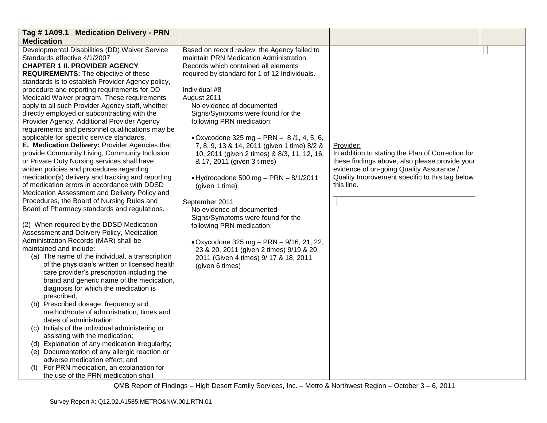| <b>Medication</b><br>Developmental Disabilities (DD) Waiver Service<br>Based on record review, the Agency failed to<br>Standards effective 4/1/2007<br>maintain PRN Medication Administration<br><b>CHAPTER 1 II. PROVIDER AGENCY</b><br>Records which contained all elements<br><b>REQUIREMENTS:</b> The objective of these<br>required by standard for 1 of 12 Individuals.<br>standards is to establish Provider Agency policy,<br>procedure and reporting requirements for DD<br>Individual #8<br>Medicaid Waiver program. These requirements<br>August 2011<br>No evidence of documented<br>apply to all such Provider Agency staff, whether<br>directly employed or subcontracting with the<br>Signs/Symptoms were found for the<br>Provider Agency. Additional Provider Agency<br>following PRN medication:<br>requirements and personnel qualifications may be<br>applicable for specific service standards.<br>• Oxycodone 325 mg – PRN – $8/1, 4, 5, 6$ ,                                                                                                                                                                                                                                                                                                                                                                                                                                                                                                                                                                                                                                                                                                                                                                                                                                                                                                                            | Tag #1A09.1 Medication Delivery - PRN          |                                             |           |  |
|------------------------------------------------------------------------------------------------------------------------------------------------------------------------------------------------------------------------------------------------------------------------------------------------------------------------------------------------------------------------------------------------------------------------------------------------------------------------------------------------------------------------------------------------------------------------------------------------------------------------------------------------------------------------------------------------------------------------------------------------------------------------------------------------------------------------------------------------------------------------------------------------------------------------------------------------------------------------------------------------------------------------------------------------------------------------------------------------------------------------------------------------------------------------------------------------------------------------------------------------------------------------------------------------------------------------------------------------------------------------------------------------------------------------------------------------------------------------------------------------------------------------------------------------------------------------------------------------------------------------------------------------------------------------------------------------------------------------------------------------------------------------------------------------------------------------------------------------------------------------------------------------|------------------------------------------------|---------------------------------------------|-----------|--|
|                                                                                                                                                                                                                                                                                                                                                                                                                                                                                                                                                                                                                                                                                                                                                                                                                                                                                                                                                                                                                                                                                                                                                                                                                                                                                                                                                                                                                                                                                                                                                                                                                                                                                                                                                                                                                                                                                                |                                                |                                             |           |  |
| provide Community Living, Community Inclusion<br>In addition to stating the Plan of Correction for<br>10, 2011 (given 2 times) & 8/3, 11, 12, 16,<br>or Private Duty Nursing services shall have<br>these findings above, also please provide your<br>& 17, 2011 (given 3 times)<br>evidence of on-going Quality Assurance /<br>written policies and procedures regarding<br>medication(s) delivery and tracking and reporting<br>Quality Improvement specific to this tag below<br>$\bullet$ Hydrocodone 500 mg - PRN - 8/1/2011<br>of medication errors in accordance with DDSD<br>this line.<br>(given 1 time)<br>Medication Assessment and Delivery Policy and<br>Procedures, the Board of Nursing Rules and<br>September 2011<br>Board of Pharmacy standards and regulations.<br>No evidence of documented<br>Signs/Symptoms were found for the<br>(2) When required by the DDSD Medication<br>following PRN medication:<br>Assessment and Delivery Policy, Medication<br>Administration Records (MAR) shall be<br>• Oxycodone 325 mg - PRN - 9/16, 21, 22,<br>maintained and include:<br>23 & 20, 2011 (given 2 times) 9/19 & 20,<br>(a) The name of the individual, a transcription<br>2011 (Given 4 times) 9/ 17 & 18, 2011<br>of the physician's written or licensed health<br>(given 6 times)<br>care provider's prescription including the<br>brand and generic name of the medication,<br>diagnosis for which the medication is<br>prescribed;<br>(b) Prescribed dosage, frequency and<br>method/route of administration, times and<br>dates of administration;<br>(c) Initials of the individual administering or<br>assisting with the medication;<br>(d) Explanation of any medication irregularity;<br>(e) Documentation of any allergic reaction or<br>adverse medication effect; and<br>For PRN medication, an explanation for<br>(1)<br>the use of the PRN medication shall | E. Medication Delivery: Provider Agencies that | 7, 8, 9, 13 & 14, 2011 (given 1 time) 8/2 & | Provider: |  |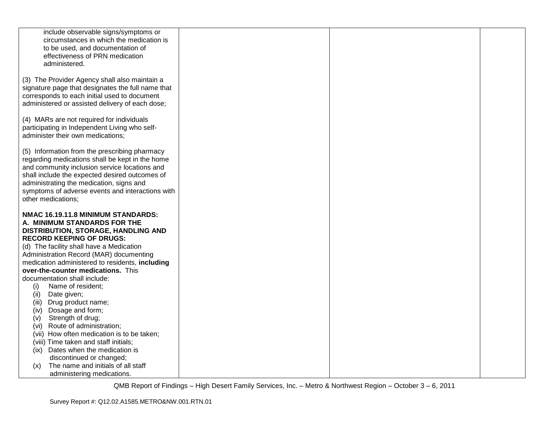| include observable signs/symptoms or                                         |  |
|------------------------------------------------------------------------------|--|
| circumstances in which the medication is<br>to be used, and documentation of |  |
| effectiveness of PRN medication                                              |  |
| administered.                                                                |  |
|                                                                              |  |
| (3) The Provider Agency shall also maintain a                                |  |
| signature page that designates the full name that                            |  |
| corresponds to each initial used to document                                 |  |
| administered or assisted delivery of each dose;                              |  |
| (4) MARs are not required for individuals                                    |  |
| participating in Independent Living who self-                                |  |
| administer their own medications;                                            |  |
|                                                                              |  |
| (5) Information from the prescribing pharmacy                                |  |
| regarding medications shall be kept in the home                              |  |
| and community inclusion service locations and                                |  |
| shall include the expected desired outcomes of                               |  |
| administrating the medication, signs and                                     |  |
| symptoms of adverse events and interactions with                             |  |
| other medications;                                                           |  |
| NMAC 16.19.11.8 MINIMUM STANDARDS:                                           |  |
| A. MINIMUM STANDARDS FOR THE                                                 |  |
| DISTRIBUTION, STORAGE, HANDLING AND                                          |  |
| <b>RECORD KEEPING OF DRUGS:</b>                                              |  |
| (d) The facility shall have a Medication                                     |  |
| Administration Record (MAR) documenting                                      |  |
|                                                                              |  |
| medication administered to residents, including                              |  |
| over-the-counter medications. This                                           |  |
| documentation shall include:                                                 |  |
| Name of resident;<br>(i)                                                     |  |
| (ii)<br>Date given;                                                          |  |
| Drug product name;<br>(iii)                                                  |  |
| Dosage and form;<br>(iv)                                                     |  |
| Strength of drug;<br>(v)                                                     |  |
| (vi) Route of administration;                                                |  |
| (vii) How often medication is to be taken;                                   |  |
| (viii) Time taken and staff initials;                                        |  |
| Dates when the medication is<br>(ix)                                         |  |
| discontinued or changed;<br>The name and initials of all staff<br>(x)        |  |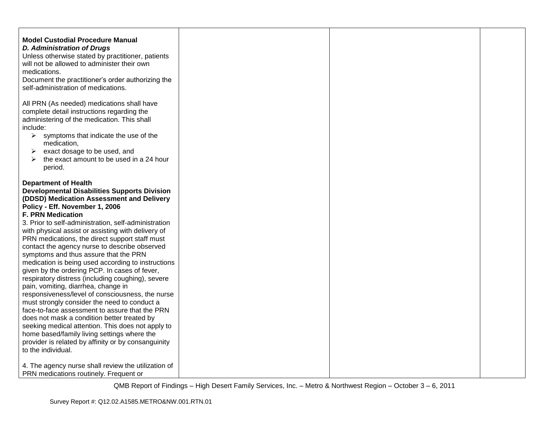| <b>Model Custodial Procedure Manual</b><br><b>D. Administration of Drugs</b><br>Unless otherwise stated by practitioner, patients<br>will not be allowed to administer their own<br>medications.<br>Document the practitioner's order authorizing the<br>self-administration of medications.                                                                                                                                                                                                                                                                                                                                                                                                                                                                                                                                                                                                                                                                                                                                                     |  |  |
|--------------------------------------------------------------------------------------------------------------------------------------------------------------------------------------------------------------------------------------------------------------------------------------------------------------------------------------------------------------------------------------------------------------------------------------------------------------------------------------------------------------------------------------------------------------------------------------------------------------------------------------------------------------------------------------------------------------------------------------------------------------------------------------------------------------------------------------------------------------------------------------------------------------------------------------------------------------------------------------------------------------------------------------------------|--|--|
| All PRN (As needed) medications shall have<br>complete detail instructions regarding the<br>administering of the medication. This shall<br>include:<br>$\triangleright$ symptoms that indicate the use of the<br>medication,<br>exact dosage to be used, and<br>➤<br>the exact amount to be used in a 24 hour<br>➤<br>period.                                                                                                                                                                                                                                                                                                                                                                                                                                                                                                                                                                                                                                                                                                                    |  |  |
| <b>Department of Health</b><br><b>Developmental Disabilities Supports Division</b><br>(DDSD) Medication Assessment and Delivery<br>Policy - Eff. November 1, 2006<br><b>F. PRN Medication</b><br>3. Prior to self-administration, self-administration<br>with physical assist or assisting with delivery of<br>PRN medications, the direct support staff must<br>contact the agency nurse to describe observed<br>symptoms and thus assure that the PRN<br>medication is being used according to instructions<br>given by the ordering PCP. In cases of fever,<br>respiratory distress (including coughing), severe<br>pain, vomiting, diarrhea, change in<br>responsiveness/level of consciousness, the nurse<br>must strongly consider the need to conduct a<br>face-to-face assessment to assure that the PRN<br>does not mask a condition better treated by<br>seeking medical attention. This does not apply to<br>home based/family living settings where the<br>provider is related by affinity or by consanguinity<br>to the individual. |  |  |
| 4. The agency nurse shall review the utilization of<br>PRN medications routinely. Frequent or                                                                                                                                                                                                                                                                                                                                                                                                                                                                                                                                                                                                                                                                                                                                                                                                                                                                                                                                                    |  |  |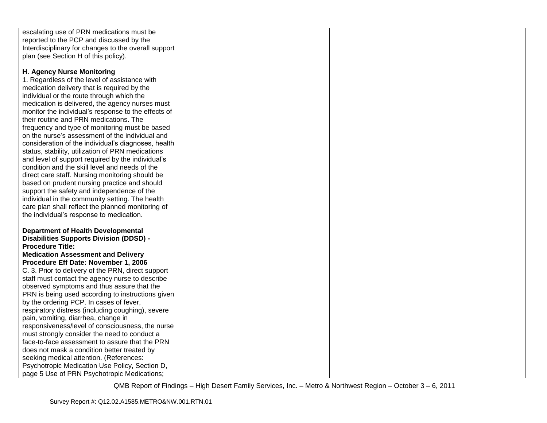| escalating use of PRN medications must be            |  |  |
|------------------------------------------------------|--|--|
| reported to the PCP and discussed by the             |  |  |
| Interdisciplinary for changes to the overall support |  |  |
| plan (see Section H of this policy).                 |  |  |
|                                                      |  |  |
|                                                      |  |  |
| H. Agency Nurse Monitoring                           |  |  |
| 1. Regardless of the level of assistance with        |  |  |
| medication delivery that is required by the          |  |  |
| individual or the route through which the            |  |  |
| medication is delivered, the agency nurses must      |  |  |
| monitor the individual's response to the effects of  |  |  |
| their routine and PRN medications. The               |  |  |
| frequency and type of monitoring must be based       |  |  |
| on the nurse's assessment of the individual and      |  |  |
| consideration of the individual's diagnoses, health  |  |  |
| status, stability, utilization of PRN medications    |  |  |
| and level of support required by the individual's    |  |  |
| condition and the skill level and needs of the       |  |  |
| direct care staff. Nursing monitoring should be      |  |  |
| based on prudent nursing practice and should         |  |  |
| support the safety and independence of the           |  |  |
| individual in the community setting. The health      |  |  |
| care plan shall reflect the planned monitoring of    |  |  |
| the individual's response to medication.             |  |  |
|                                                      |  |  |
| <b>Department of Health Developmental</b>            |  |  |
| <b>Disabilities Supports Division (DDSD) -</b>       |  |  |
| <b>Procedure Title:</b>                              |  |  |
| <b>Medication Assessment and Delivery</b>            |  |  |
| Procedure Eff Date: November 1, 2006                 |  |  |
| C. 3. Prior to delivery of the PRN, direct support   |  |  |
| staff must contact the agency nurse to describe      |  |  |
| observed symptoms and thus assure that the           |  |  |
| PRN is being used according to instructions given    |  |  |
| by the ordering PCP. In cases of fever,              |  |  |
| respiratory distress (including coughing), severe    |  |  |
| pain, vomiting, diarrhea, change in                  |  |  |
| responsiveness/level of consciousness, the nurse     |  |  |
| must strongly consider the need to conduct a         |  |  |
| face-to-face assessment to assure that the PRN       |  |  |
| does not mask a condition better treated by          |  |  |
| seeking medical attention. (References:              |  |  |
| Psychotropic Medication Use Policy, Section D,       |  |  |
| page 5 Use of PRN Psychotropic Medications;          |  |  |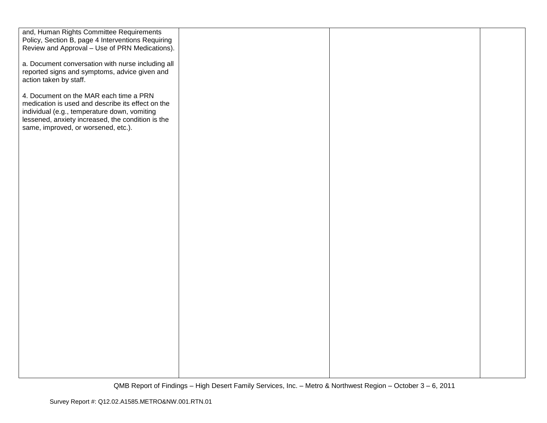| and, Human Rights Committee Requirements          |  |  |
|---------------------------------------------------|--|--|
| Policy, Section B, page 4 Interventions Requiring |  |  |
| Review and Approval - Use of PRN Medications).    |  |  |
|                                                   |  |  |
| a. Document conversation with nurse including all |  |  |
| reported signs and symptoms, advice given and     |  |  |
| action taken by staff.                            |  |  |
| 4. Document on the MAR each time a PRN            |  |  |
| medication is used and describe its effect on the |  |  |
| individual (e.g., temperature down, vomiting      |  |  |
| lessened, anxiety increased, the condition is the |  |  |
| same, improved, or worsened, etc.).               |  |  |
|                                                   |  |  |
|                                                   |  |  |
|                                                   |  |  |
|                                                   |  |  |
|                                                   |  |  |
|                                                   |  |  |
|                                                   |  |  |
|                                                   |  |  |
|                                                   |  |  |
|                                                   |  |  |
|                                                   |  |  |
|                                                   |  |  |
|                                                   |  |  |
|                                                   |  |  |
|                                                   |  |  |
|                                                   |  |  |
|                                                   |  |  |
|                                                   |  |  |
|                                                   |  |  |
|                                                   |  |  |
|                                                   |  |  |
|                                                   |  |  |
|                                                   |  |  |
|                                                   |  |  |
|                                                   |  |  |
|                                                   |  |  |
|                                                   |  |  |
|                                                   |  |  |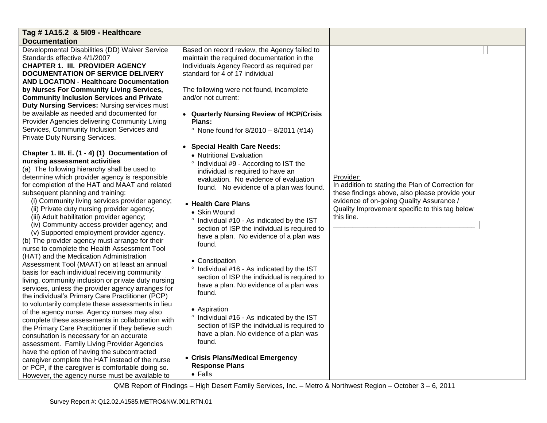| Tag # 1A15.2 & 5109 - Healthcare                                                                                                                                                                                                                                                                                                                                                                                                                                                                                                                                                                              |                                                                                                                                                                                                                                                                                                                                                                                                             |                                                                                                                                                                                                                              |  |
|---------------------------------------------------------------------------------------------------------------------------------------------------------------------------------------------------------------------------------------------------------------------------------------------------------------------------------------------------------------------------------------------------------------------------------------------------------------------------------------------------------------------------------------------------------------------------------------------------------------|-------------------------------------------------------------------------------------------------------------------------------------------------------------------------------------------------------------------------------------------------------------------------------------------------------------------------------------------------------------------------------------------------------------|------------------------------------------------------------------------------------------------------------------------------------------------------------------------------------------------------------------------------|--|
| <b>Documentation</b>                                                                                                                                                                                                                                                                                                                                                                                                                                                                                                                                                                                          |                                                                                                                                                                                                                                                                                                                                                                                                             |                                                                                                                                                                                                                              |  |
| Developmental Disabilities (DD) Waiver Service<br>Standards effective 4/1/2007<br><b>CHAPTER 1. III. PROVIDER AGENCY</b><br><b>DOCUMENTATION OF SERVICE DELIVERY</b><br><b>AND LOCATION - Healthcare Documentation</b><br>by Nurses For Community Living Services,<br><b>Community Inclusion Services and Private</b><br><b>Duty Nursing Services: Nursing services must</b><br>be available as needed and documented for<br>Provider Agencies delivering Community Living<br>Services, Community Inclusion Services and<br>Private Duty Nursing Services.<br>Chapter 1. III. E. (1 - 4) (1) Documentation of | Based on record review, the Agency failed to<br>maintain the required documentation in the<br>Individuals Agency Record as required per<br>standard for 4 of 17 individual<br>The following were not found, incomplete<br>and/or not current:<br>• Quarterly Nursing Review of HCP/Crisis<br>Plans:<br>• None found for $8/2010 - 8/2011$ (#14)<br>• Special Health Care Needs:<br>• Nutritional Evaluation |                                                                                                                                                                                                                              |  |
| nursing assessment activities<br>(a) The following hierarchy shall be used to<br>determine which provider agency is responsible<br>for completion of the HAT and MAAT and related<br>subsequent planning and training:<br>(i) Community living services provider agency;<br>(ii) Private duty nursing provider agency;<br>(iii) Adult habilitation provider agency;<br>(iv) Community access provider agency; and<br>(v) Supported employment provider agency.<br>(b) The provider agency must arrange for their<br>nurse to complete the Health Assessment Tool<br>(HAT) and the Medication Administration   | <sup>o</sup> Individual #9 - According to IST the<br>individual is required to have an<br>evaluation. No evidence of evaluation<br>found. No evidence of a plan was found.<br>• Health Care Plans<br>• Skin Wound<br>° Individual #10 - As indicated by the IST<br>section of ISP the individual is required to<br>have a plan. No evidence of a plan was<br>found.<br>• Constipation                       | Provider:<br>In addition to stating the Plan of Correction for<br>these findings above, also please provide your<br>evidence of on-going Quality Assurance /<br>Quality Improvement specific to this tag below<br>this line. |  |
| Assessment Tool (MAAT) on at least an annual<br>basis for each individual receiving community<br>living, community inclusion or private duty nursing<br>services, unless the provider agency arranges for<br>the individual's Primary Care Practitioner (PCP)                                                                                                                                                                                                                                                                                                                                                 | ° Individual #16 - As indicated by the IST<br>section of ISP the individual is required to<br>have a plan. No evidence of a plan was<br>found.                                                                                                                                                                                                                                                              |                                                                                                                                                                                                                              |  |
| to voluntarily complete these assessments in lieu<br>of the agency nurse. Agency nurses may also<br>complete these assessments in collaboration with<br>the Primary Care Practitioner if they believe such<br>consultation is necessary for an accurate<br>assessment. Family Living Provider Agencies<br>have the option of having the subcontracted                                                                                                                                                                                                                                                         | • Aspiration<br>° Individual #16 - As indicated by the IST<br>section of ISP the individual is required to<br>have a plan. No evidence of a plan was<br>found.                                                                                                                                                                                                                                              |                                                                                                                                                                                                                              |  |
| caregiver complete the HAT instead of the nurse<br>or PCP, if the caregiver is comfortable doing so.<br>However, the agency nurse must be available to                                                                                                                                                                                                                                                                                                                                                                                                                                                        | • Crisis Plans/Medical Emergency<br><b>Response Plans</b><br>$\bullet$ Falls                                                                                                                                                                                                                                                                                                                                |                                                                                                                                                                                                                              |  |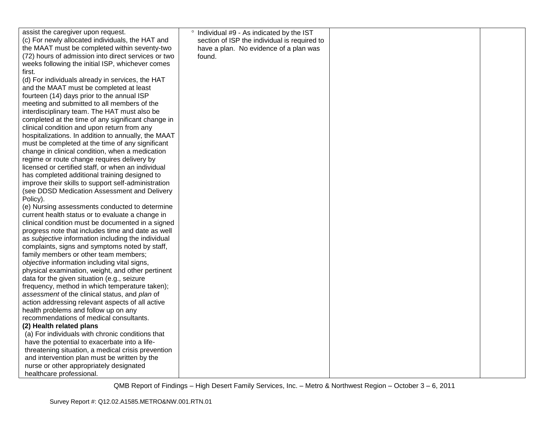| assist the caregiver upon request.                  | ° Individual #9 - As indicated by the IST    |  |
|-----------------------------------------------------|----------------------------------------------|--|
| (c) For newly allocated individuals, the HAT and    | section of ISP the individual is required to |  |
| the MAAT must be completed within seventy-two       | have a plan. No evidence of a plan was       |  |
| (72) hours of admission into direct services or two | found.                                       |  |
| weeks following the initial ISP, whichever comes    |                                              |  |
| first.                                              |                                              |  |
| (d) For individuals already in services, the HAT    |                                              |  |
| and the MAAT must be completed at least             |                                              |  |
| fourteen (14) days prior to the annual ISP          |                                              |  |
| meeting and submitted to all members of the         |                                              |  |
| interdisciplinary team. The HAT must also be        |                                              |  |
| completed at the time of any significant change in  |                                              |  |
| clinical condition and upon return from any         |                                              |  |
| hospitalizations. In addition to annually, the MAAT |                                              |  |
| must be completed at the time of any significant    |                                              |  |
| change in clinical condition, when a medication     |                                              |  |
| regime or route change requires delivery by         |                                              |  |
| licensed or certified staff, or when an individual  |                                              |  |
| has completed additional training designed to       |                                              |  |
| improve their skills to support self-administration |                                              |  |
| (see DDSD Medication Assessment and Delivery        |                                              |  |
| Policy).                                            |                                              |  |
| (e) Nursing assessments conducted to determine      |                                              |  |
| current health status or to evaluate a change in    |                                              |  |
| clinical condition must be documented in a signed   |                                              |  |
| progress note that includes time and date as well   |                                              |  |
| as subjective information including the individual  |                                              |  |
| complaints, signs and symptoms noted by staff,      |                                              |  |
| family members or other team members;               |                                              |  |
| objective information including vital signs,        |                                              |  |
| physical examination, weight, and other pertinent   |                                              |  |
| data for the given situation (e.g., seizure         |                                              |  |
| frequency, method in which temperature taken);      |                                              |  |
| assessment of the clinical status, and plan of      |                                              |  |
| action addressing relevant aspects of all active    |                                              |  |
| health problems and follow up on any                |                                              |  |
| recommendations of medical consultants.             |                                              |  |
| (2) Health related plans                            |                                              |  |
| (a) For individuals with chronic conditions that    |                                              |  |
| have the potential to exacerbate into a life-       |                                              |  |
| threatening situation, a medical crisis prevention  |                                              |  |
| and intervention plan must be written by the        |                                              |  |
| nurse or other appropriately designated             |                                              |  |
| healthcare professional.                            |                                              |  |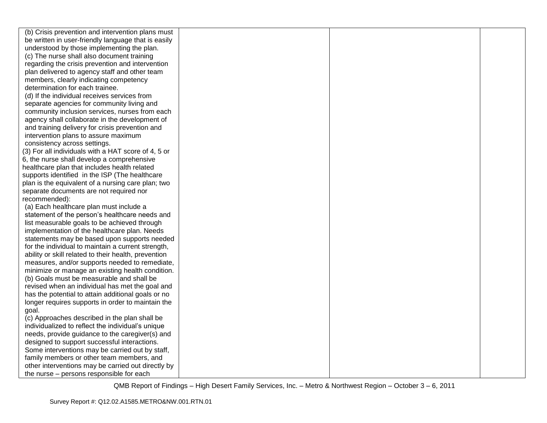| (b) Crisis prevention and intervention plans must                                            |  |  |
|----------------------------------------------------------------------------------------------|--|--|
| be written in user-friendly language that is easily                                          |  |  |
| understood by those implementing the plan.                                                   |  |  |
| (c) The nurse shall also document training                                                   |  |  |
| regarding the crisis prevention and intervention                                             |  |  |
| plan delivered to agency staff and other team                                                |  |  |
| members, clearly indicating competency                                                       |  |  |
| determination for each trainee.                                                              |  |  |
| (d) If the individual receives services from                                                 |  |  |
| separate agencies for community living and                                                   |  |  |
| community inclusion services, nurses from each                                               |  |  |
| agency shall collaborate in the development of                                               |  |  |
| and training delivery for crisis prevention and                                              |  |  |
| intervention plans to assure maximum                                                         |  |  |
| consistency across settings.                                                                 |  |  |
| (3) For all individuals with a HAT score of 4, 5 or                                          |  |  |
| 6, the nurse shall develop a comprehensive                                                   |  |  |
| healthcare plan that includes health related                                                 |  |  |
| supports identified in the ISP (The healthcare                                               |  |  |
| plan is the equivalent of a nursing care plan; two                                           |  |  |
| separate documents are not required nor                                                      |  |  |
| recommended):                                                                                |  |  |
| (a) Each healthcare plan must include a                                                      |  |  |
| statement of the person's healthcare needs and                                               |  |  |
| list measurable goals to be achieved through                                                 |  |  |
| implementation of the healthcare plan. Needs                                                 |  |  |
| statements may be based upon supports needed                                                 |  |  |
| for the individual to maintain a current strength,                                           |  |  |
| ability or skill related to their health, prevention                                         |  |  |
| measures, and/or supports needed to remediate,                                               |  |  |
| minimize or manage an existing health condition.                                             |  |  |
| (b) Goals must be measurable and shall be<br>revised when an individual has met the goal and |  |  |
| has the potential to attain additional goals or no                                           |  |  |
| longer requires supports in order to maintain the                                            |  |  |
| goal.                                                                                        |  |  |
| (c) Approaches described in the plan shall be                                                |  |  |
| individualized to reflect the individual's unique                                            |  |  |
| needs, provide guidance to the caregiver(s) and                                              |  |  |
| designed to support successful interactions.                                                 |  |  |
| Some interventions may be carried out by staff,                                              |  |  |
| family members or other team members, and                                                    |  |  |
| other interventions may be carried out directly by                                           |  |  |
| the nurse – persons responsible for each                                                     |  |  |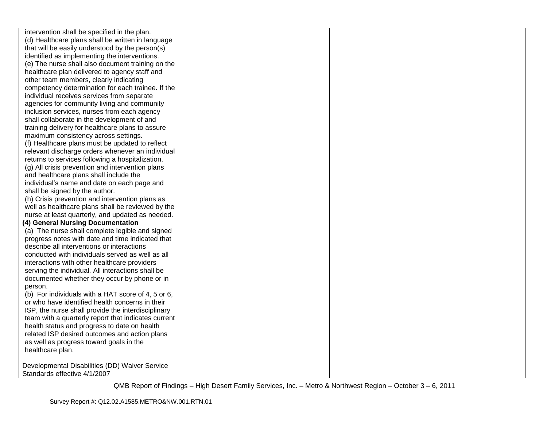| intervention shall be specified in the plan.        |  |  |
|-----------------------------------------------------|--|--|
| (d) Healthcare plans shall be written in language   |  |  |
| that will be easily understood by the person(s)     |  |  |
| identified as implementing the interventions.       |  |  |
| (e) The nurse shall also document training on the   |  |  |
| healthcare plan delivered to agency staff and       |  |  |
| other team members, clearly indicating              |  |  |
| competency determination for each trainee. If the   |  |  |
| individual receives services from separate          |  |  |
| agencies for community living and community         |  |  |
| inclusion services, nurses from each agency         |  |  |
| shall collaborate in the development of and         |  |  |
| training delivery for healthcare plans to assure    |  |  |
| maximum consistency across settings.                |  |  |
| (f) Healthcare plans must be updated to reflect     |  |  |
| relevant discharge orders whenever an individual    |  |  |
| returns to services following a hospitalization.    |  |  |
| (g) All crisis prevention and intervention plans    |  |  |
| and healthcare plans shall include the              |  |  |
| individual's name and date on each page and         |  |  |
| shall be signed by the author.                      |  |  |
| (h) Crisis prevention and intervention plans as     |  |  |
| well as healthcare plans shall be reviewed by the   |  |  |
| nurse at least quarterly, and updated as needed.    |  |  |
| (4) General Nursing Documentation                   |  |  |
| (a) The nurse shall complete legible and signed     |  |  |
| progress notes with date and time indicated that    |  |  |
| describe all interventions or interactions          |  |  |
| conducted with individuals served as well as all    |  |  |
| interactions with other healthcare providers        |  |  |
| serving the individual. All interactions shall be   |  |  |
| documented whether they occur by phone or in        |  |  |
| person.                                             |  |  |
| (b) For individuals with a HAT score of 4, 5 or 6,  |  |  |
| or who have identified health concerns in their     |  |  |
| ISP, the nurse shall provide the interdisciplinary  |  |  |
| team with a quarterly report that indicates current |  |  |
| health status and progress to date on health        |  |  |
| related ISP desired outcomes and action plans       |  |  |
| as well as progress toward goals in the             |  |  |
| healthcare plan.                                    |  |  |
|                                                     |  |  |
| Developmental Disabilities (DD) Waiver Service      |  |  |
| Standards effective 4/1/2007                        |  |  |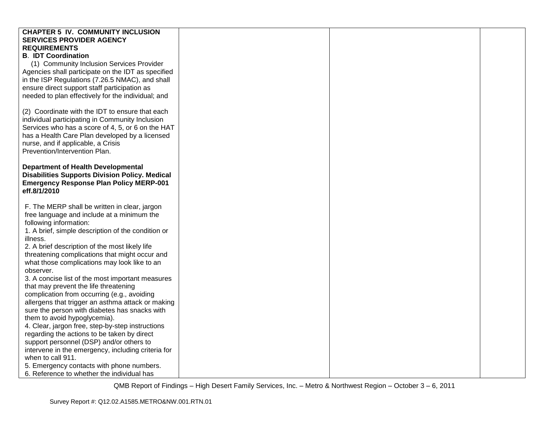| <b>CHAPTER 5 IV. COMMUNITY INCLUSION</b>                                                         |  |  |
|--------------------------------------------------------------------------------------------------|--|--|
| <b>SERVICES PROVIDER AGENCY</b>                                                                  |  |  |
| <b>REQUIREMENTS</b>                                                                              |  |  |
| <b>B. IDT Coordination</b>                                                                       |  |  |
| (1) Community Inclusion Services Provider                                                        |  |  |
| Agencies shall participate on the IDT as specified                                               |  |  |
| in the ISP Regulations (7.26.5 NMAC), and shall                                                  |  |  |
| ensure direct support staff participation as                                                     |  |  |
| needed to plan effectively for the individual; and                                               |  |  |
|                                                                                                  |  |  |
| (2) Coordinate with the IDT to ensure that each                                                  |  |  |
| individual participating in Community Inclusion                                                  |  |  |
| Services who has a score of 4, 5, or 6 on the HAT                                                |  |  |
| has a Health Care Plan developed by a licensed                                                   |  |  |
| nurse, and if applicable, a Crisis                                                               |  |  |
| Prevention/Intervention Plan.                                                                    |  |  |
|                                                                                                  |  |  |
| <b>Department of Health Developmental</b>                                                        |  |  |
| <b>Disabilities Supports Division Policy. Medical</b>                                            |  |  |
| <b>Emergency Response Plan Policy MERP-001</b>                                                   |  |  |
| eff.8/1/2010                                                                                     |  |  |
|                                                                                                  |  |  |
| F. The MERP shall be written in clear, jargon                                                    |  |  |
| free language and include at a minimum the                                                       |  |  |
| following information:                                                                           |  |  |
| 1. A brief, simple description of the condition or                                               |  |  |
| illness.                                                                                         |  |  |
| 2. A brief description of the most likely life                                                   |  |  |
| threatening complications that might occur and                                                   |  |  |
| what those complications may look like to an                                                     |  |  |
| observer.                                                                                        |  |  |
| 3. A concise list of the most important measures                                                 |  |  |
| that may prevent the life threatening                                                            |  |  |
| complication from occurring (e.g., avoiding<br>allergens that trigger an asthma attack or making |  |  |
| sure the person with diabetes has snacks with                                                    |  |  |
| them to avoid hypoglycemia).                                                                     |  |  |
| 4. Clear, jargon free, step-by-step instructions                                                 |  |  |
| regarding the actions to be taken by direct                                                      |  |  |
| support personnel (DSP) and/or others to                                                         |  |  |
| intervene in the emergency, including criteria for                                               |  |  |
| when to call 911.                                                                                |  |  |
| 5. Emergency contacts with phone numbers.                                                        |  |  |
| 6. Reference to whether the individual has                                                       |  |  |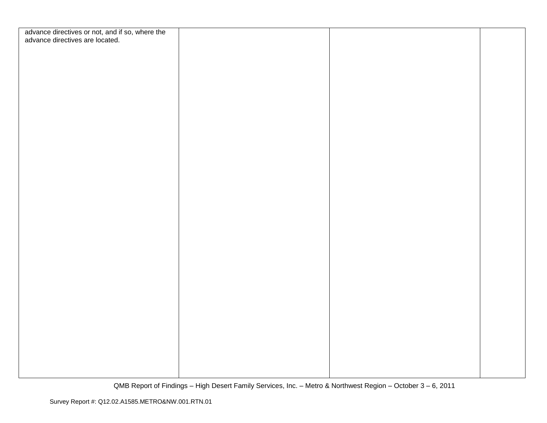| advance directives or not, and if so, where the<br>advance directives are located. |  |  |
|------------------------------------------------------------------------------------|--|--|
|                                                                                    |  |  |
|                                                                                    |  |  |
|                                                                                    |  |  |
|                                                                                    |  |  |
|                                                                                    |  |  |
|                                                                                    |  |  |
|                                                                                    |  |  |
|                                                                                    |  |  |
|                                                                                    |  |  |
|                                                                                    |  |  |
|                                                                                    |  |  |
|                                                                                    |  |  |
|                                                                                    |  |  |
|                                                                                    |  |  |
|                                                                                    |  |  |
|                                                                                    |  |  |
|                                                                                    |  |  |
|                                                                                    |  |  |
|                                                                                    |  |  |
|                                                                                    |  |  |
|                                                                                    |  |  |
|                                                                                    |  |  |
|                                                                                    |  |  |
|                                                                                    |  |  |
|                                                                                    |  |  |
|                                                                                    |  |  |
|                                                                                    |  |  |
|                                                                                    |  |  |
|                                                                                    |  |  |
|                                                                                    |  |  |
|                                                                                    |  |  |
|                                                                                    |  |  |
|                                                                                    |  |  |
|                                                                                    |  |  |
|                                                                                    |  |  |
|                                                                                    |  |  |
|                                                                                    |  |  |
|                                                                                    |  |  |
|                                                                                    |  |  |
|                                                                                    |  |  |
|                                                                                    |  |  |
|                                                                                    |  |  |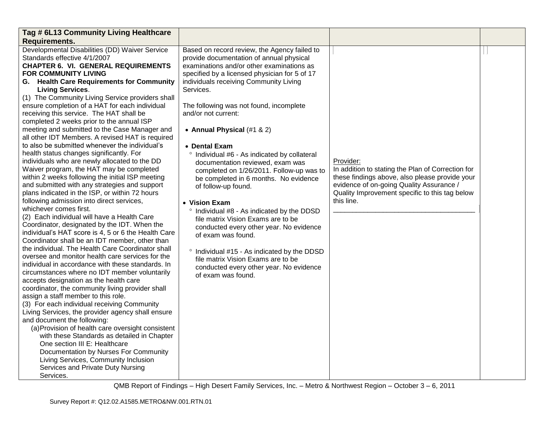| Tag # 6L13 Community Living Healthcare                                                                                                                                                                                                                                                                                                                                                                                                                                                                                                                                                                                                                                                                                                                                                                                                                                                                                                                                                                                                                                                                                                                                                                                                                                                                                                                                                                                                                                                                                                                                                                                                                                                                                                                                                                                                                                                                                                         |                                                                                                                                                                                                                                                                                                                                                                                                                                                                                                                                                                                                                                                                                                                                                                                                                                                                                            |                                                                                                                                                                                                                              |  |
|------------------------------------------------------------------------------------------------------------------------------------------------------------------------------------------------------------------------------------------------------------------------------------------------------------------------------------------------------------------------------------------------------------------------------------------------------------------------------------------------------------------------------------------------------------------------------------------------------------------------------------------------------------------------------------------------------------------------------------------------------------------------------------------------------------------------------------------------------------------------------------------------------------------------------------------------------------------------------------------------------------------------------------------------------------------------------------------------------------------------------------------------------------------------------------------------------------------------------------------------------------------------------------------------------------------------------------------------------------------------------------------------------------------------------------------------------------------------------------------------------------------------------------------------------------------------------------------------------------------------------------------------------------------------------------------------------------------------------------------------------------------------------------------------------------------------------------------------------------------------------------------------------------------------------------------------|--------------------------------------------------------------------------------------------------------------------------------------------------------------------------------------------------------------------------------------------------------------------------------------------------------------------------------------------------------------------------------------------------------------------------------------------------------------------------------------------------------------------------------------------------------------------------------------------------------------------------------------------------------------------------------------------------------------------------------------------------------------------------------------------------------------------------------------------------------------------------------------------|------------------------------------------------------------------------------------------------------------------------------------------------------------------------------------------------------------------------------|--|
| <b>Requirements.</b>                                                                                                                                                                                                                                                                                                                                                                                                                                                                                                                                                                                                                                                                                                                                                                                                                                                                                                                                                                                                                                                                                                                                                                                                                                                                                                                                                                                                                                                                                                                                                                                                                                                                                                                                                                                                                                                                                                                           |                                                                                                                                                                                                                                                                                                                                                                                                                                                                                                                                                                                                                                                                                                                                                                                                                                                                                            |                                                                                                                                                                                                                              |  |
| Developmental Disabilities (DD) Waiver Service<br>Standards effective 4/1/2007<br><b>CHAPTER 6. VI. GENERAL REQUIREMENTS</b><br><b>FOR COMMUNITY LIVING</b><br><b>G.</b> Health Care Requirements for Community<br><b>Living Services.</b><br>(1) The Community Living Service providers shall<br>ensure completion of a HAT for each individual<br>receiving this service. The HAT shall be<br>completed 2 weeks prior to the annual ISP<br>meeting and submitted to the Case Manager and<br>all other IDT Members. A revised HAT is required<br>to also be submitted whenever the individual's<br>health status changes significantly. For<br>individuals who are newly allocated to the DD<br>Waiver program, the HAT may be completed<br>within 2 weeks following the initial ISP meeting<br>and submitted with any strategies and support<br>plans indicated in the ISP, or within 72 hours<br>following admission into direct services,<br>whichever comes first.<br>(2) Each individual will have a Health Care<br>Coordinator, designated by the IDT. When the<br>individual's HAT score is 4, 5 or 6 the Health Care<br>Coordinator shall be an IDT member, other than<br>the individual. The Health Care Coordinator shall<br>oversee and monitor health care services for the<br>individual in accordance with these standards. In<br>circumstances where no IDT member voluntarily<br>accepts designation as the health care<br>coordinator, the community living provider shall<br>assign a staff member to this role.<br>(3) For each individual receiving Community<br>Living Services, the provider agency shall ensure<br>and document the following:<br>(a) Provision of health care oversight consistent<br>with these Standards as detailed in Chapter<br>One section III E: Healthcare<br>Documentation by Nurses For Community<br>Living Services, Community Inclusion<br>Services and Private Duty Nursing<br>Services. | Based on record review, the Agency failed to<br>provide documentation of annual physical<br>examinations and/or other examinations as<br>specified by a licensed physician for 5 of 17<br>individuals receiving Community Living<br>Services.<br>The following was not found, incomplete<br>and/or not current:<br>• Annual Physical (#1 & 2)<br>• Dental Exam<br>° Individual #6 - As indicated by collateral<br>documentation reviewed, exam was<br>completed on 1/26/2011. Follow-up was to<br>be completed in 6 months. No evidence<br>of follow-up found.<br>• Vision Exam<br>° Individual #8 - As indicated by the DDSD<br>file matrix Vision Exams are to be<br>conducted every other year. No evidence<br>of exam was found.<br>° Individual #15 - As indicated by the DDSD<br>file matrix Vision Exams are to be<br>conducted every other year. No evidence<br>of exam was found. | Provider:<br>In addition to stating the Plan of Correction for<br>these findings above, also please provide your<br>evidence of on-going Quality Assurance /<br>Quality Improvement specific to this tag below<br>this line. |  |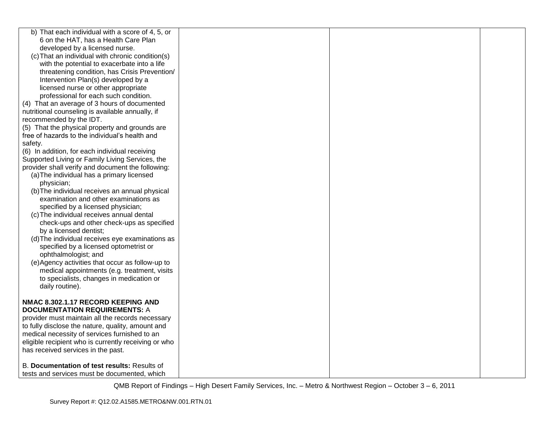| b) That each individual with a score of 4, 5, or     |  |  |
|------------------------------------------------------|--|--|
| 6 on the HAT, has a Health Care Plan                 |  |  |
| developed by a licensed nurse.                       |  |  |
| (c) That an individual with chronic condition(s)     |  |  |
| with the potential to exacerbate into a life         |  |  |
| threatening condition, has Crisis Prevention/        |  |  |
| Intervention Plan(s) developed by a                  |  |  |
| licensed nurse or other appropriate                  |  |  |
| professional for each such condition.                |  |  |
| (4) That an average of 3 hours of documented         |  |  |
| nutritional counseling is available annually, if     |  |  |
| recommended by the IDT.                              |  |  |
| (5) That the physical property and grounds are       |  |  |
| free of hazards to the individual's health and       |  |  |
| safety.                                              |  |  |
| (6) In addition, for each individual receiving       |  |  |
| Supported Living or Family Living Services, the      |  |  |
| provider shall verify and document the following:    |  |  |
| (a) The individual has a primary licensed            |  |  |
| physician;                                           |  |  |
| (b) The individual receives an annual physical       |  |  |
| examination and other examinations as                |  |  |
| specified by a licensed physician;                   |  |  |
| (c) The individual receives annual dental            |  |  |
| check-ups and other check-ups as specified           |  |  |
| by a licensed dentist;                               |  |  |
| (d) The individual receives eye examinations as      |  |  |
| specified by a licensed optometrist or               |  |  |
| ophthalmologist; and                                 |  |  |
| (e)Agency activities that occur as follow-up to      |  |  |
| medical appointments (e.g. treatment, visits         |  |  |
| to specialists, changes in medication or             |  |  |
| daily routine).                                      |  |  |
|                                                      |  |  |
| NMAC 8.302.1.17 RECORD KEEPING AND                   |  |  |
| <b>DOCUMENTATION REQUIREMENTS: A</b>                 |  |  |
| provider must maintain all the records necessary     |  |  |
| to fully disclose the nature, quality, amount and    |  |  |
| medical necessity of services furnished to an        |  |  |
| eligible recipient who is currently receiving or who |  |  |
| has received services in the past.                   |  |  |
|                                                      |  |  |
| B. Documentation of test results: Results of         |  |  |
| tests and services must be documented, which         |  |  |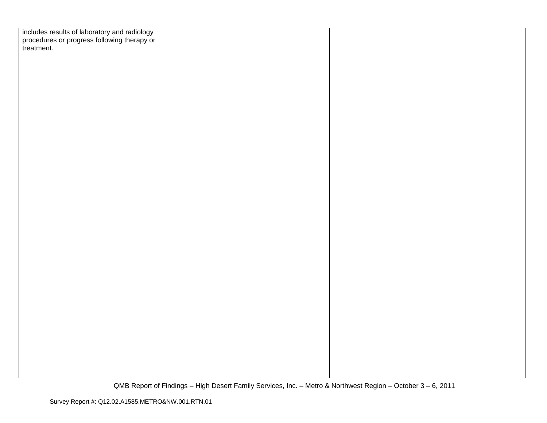| includes results of laboratory and radiology<br>procedures or progress following therapy or<br>treatment. |  |  |
|-----------------------------------------------------------------------------------------------------------|--|--|
|                                                                                                           |  |  |
|                                                                                                           |  |  |
|                                                                                                           |  |  |
|                                                                                                           |  |  |
|                                                                                                           |  |  |
|                                                                                                           |  |  |
|                                                                                                           |  |  |
|                                                                                                           |  |  |
|                                                                                                           |  |  |
|                                                                                                           |  |  |
|                                                                                                           |  |  |
|                                                                                                           |  |  |
|                                                                                                           |  |  |
|                                                                                                           |  |  |
|                                                                                                           |  |  |
|                                                                                                           |  |  |
|                                                                                                           |  |  |
|                                                                                                           |  |  |
|                                                                                                           |  |  |
|                                                                                                           |  |  |
|                                                                                                           |  |  |
|                                                                                                           |  |  |
|                                                                                                           |  |  |
|                                                                                                           |  |  |
|                                                                                                           |  |  |
|                                                                                                           |  |  |
|                                                                                                           |  |  |
|                                                                                                           |  |  |
|                                                                                                           |  |  |
|                                                                                                           |  |  |
|                                                                                                           |  |  |
|                                                                                                           |  |  |
|                                                                                                           |  |  |
|                                                                                                           |  |  |
|                                                                                                           |  |  |
|                                                                                                           |  |  |
|                                                                                                           |  |  |
|                                                                                                           |  |  |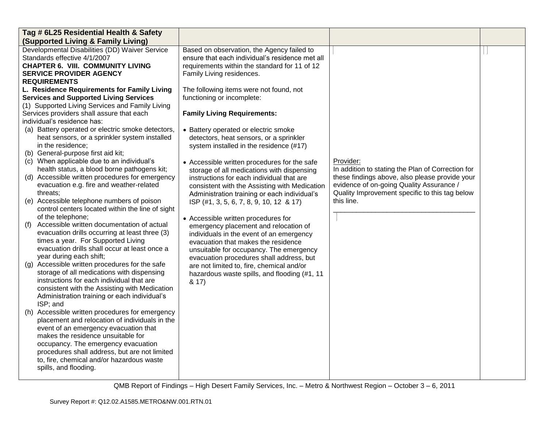| Tag # 6L25 Residential Health & Safety                                                                                                                                                                                                                                                                                                                                                                                                                                                                                                                                              |                                                                                                                                                                                                                                                                                                                                                                                                                          |                                                                                                                                                                                                                              |  |
|-------------------------------------------------------------------------------------------------------------------------------------------------------------------------------------------------------------------------------------------------------------------------------------------------------------------------------------------------------------------------------------------------------------------------------------------------------------------------------------------------------------------------------------------------------------------------------------|--------------------------------------------------------------------------------------------------------------------------------------------------------------------------------------------------------------------------------------------------------------------------------------------------------------------------------------------------------------------------------------------------------------------------|------------------------------------------------------------------------------------------------------------------------------------------------------------------------------------------------------------------------------|--|
| (Supported Living & Family Living)                                                                                                                                                                                                                                                                                                                                                                                                                                                                                                                                                  |                                                                                                                                                                                                                                                                                                                                                                                                                          |                                                                                                                                                                                                                              |  |
| Developmental Disabilities (DD) Waiver Service<br>Standards effective 4/1/2007<br><b>CHAPTER 6. VIII. COMMUNITY LIVING</b><br><b>SERVICE PROVIDER AGENCY</b><br><b>REQUIREMENTS</b><br>L. Residence Requirements for Family Living<br><b>Services and Supported Living Services</b><br>(1) Supported Living Services and Family Living<br>Services providers shall assure that each<br>individual's residence has:<br>(a) Battery operated or electric smoke detectors,<br>heat sensors, or a sprinkler system installed<br>in the residence;<br>(b) General-purpose first aid kit; | Based on observation, the Agency failed to<br>ensure that each individual's residence met all<br>requirements within the standard for 11 of 12<br>Family Living residences.<br>The following items were not found, not<br>functioning or incomplete:<br><b>Family Living Requirements:</b><br>• Battery operated or electric smoke<br>detectors, heat sensors, or a sprinkler<br>system installed in the residence (#17) |                                                                                                                                                                                                                              |  |
| (c) When applicable due to an individual's<br>health status, a blood borne pathogens kit;<br>(d) Accessible written procedures for emergency<br>evacuation e.g. fire and weather-related<br>threats;<br>(e) Accessible telephone numbers of poison<br>control centers located within the line of sight<br>of the telephone;                                                                                                                                                                                                                                                         | • Accessible written procedures for the safe<br>storage of all medications with dispensing<br>instructions for each individual that are<br>consistent with the Assisting with Medication<br>Administration training or each individual's<br>ISP (#1, 3, 5, 6, 7, 8, 9, 10, 12 & 17)                                                                                                                                      | Provider:<br>In addition to stating the Plan of Correction for<br>these findings above, also please provide your<br>evidence of on-going Quality Assurance /<br>Quality Improvement specific to this tag below<br>this line. |  |
| Accessible written documentation of actual<br>(f)<br>evacuation drills occurring at least three (3)<br>times a year. For Supported Living<br>evacuation drills shall occur at least once a<br>year during each shift;                                                                                                                                                                                                                                                                                                                                                               | • Accessible written procedures for<br>emergency placement and relocation of<br>individuals in the event of an emergency<br>evacuation that makes the residence<br>unsuitable for occupancy. The emergency<br>evacuation procedures shall address, but                                                                                                                                                                   |                                                                                                                                                                                                                              |  |
| (g) Accessible written procedures for the safe<br>storage of all medications with dispensing<br>instructions for each individual that are<br>consistent with the Assisting with Medication<br>Administration training or each individual's<br>ISP; and                                                                                                                                                                                                                                                                                                                              | are not limited to, fire, chemical and/or<br>hazardous waste spills, and flooding (#1, 11<br>8.17)                                                                                                                                                                                                                                                                                                                       |                                                                                                                                                                                                                              |  |
| (h) Accessible written procedures for emergency<br>placement and relocation of individuals in the<br>event of an emergency evacuation that<br>makes the residence unsuitable for<br>occupancy. The emergency evacuation<br>procedures shall address, but are not limited<br>to, fire, chemical and/or hazardous waste<br>spills, and flooding.                                                                                                                                                                                                                                      |                                                                                                                                                                                                                                                                                                                                                                                                                          |                                                                                                                                                                                                                              |  |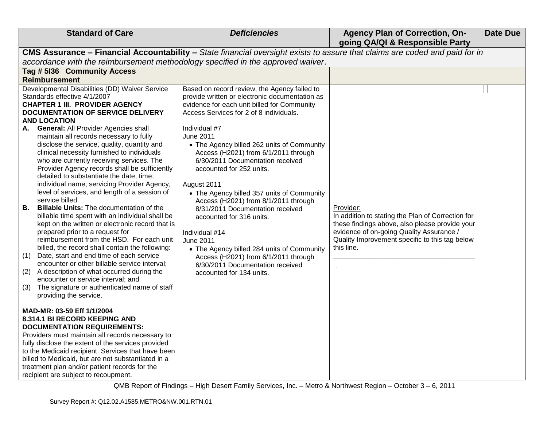| <b>Standard of Care</b>                                                                                                                                                                                                                                                                                                                                                                                                                                                                                                                                                                                                                                                                                                                                                                                                                                                                                                                                                                                                                                                                                                                                                                                                                                        | <b>Deficiencies</b>                                                                                                                                                                                                                                                                                                                                                                                                                                                                                                                                                                                                                                                                                                                                  | <b>Agency Plan of Correction, On-</b><br>going QA/QI & Responsible Party                                                                                                                                                     | <b>Date Due</b> |
|----------------------------------------------------------------------------------------------------------------------------------------------------------------------------------------------------------------------------------------------------------------------------------------------------------------------------------------------------------------------------------------------------------------------------------------------------------------------------------------------------------------------------------------------------------------------------------------------------------------------------------------------------------------------------------------------------------------------------------------------------------------------------------------------------------------------------------------------------------------------------------------------------------------------------------------------------------------------------------------------------------------------------------------------------------------------------------------------------------------------------------------------------------------------------------------------------------------------------------------------------------------|------------------------------------------------------------------------------------------------------------------------------------------------------------------------------------------------------------------------------------------------------------------------------------------------------------------------------------------------------------------------------------------------------------------------------------------------------------------------------------------------------------------------------------------------------------------------------------------------------------------------------------------------------------------------------------------------------------------------------------------------------|------------------------------------------------------------------------------------------------------------------------------------------------------------------------------------------------------------------------------|-----------------|
| CMS Assurance - Financial Accountability - State financial oversight exists to assure that claims are coded and paid for in                                                                                                                                                                                                                                                                                                                                                                                                                                                                                                                                                                                                                                                                                                                                                                                                                                                                                                                                                                                                                                                                                                                                    |                                                                                                                                                                                                                                                                                                                                                                                                                                                                                                                                                                                                                                                                                                                                                      |                                                                                                                                                                                                                              |                 |
| accordance with the reimbursement methodology specified in the approved waiver.                                                                                                                                                                                                                                                                                                                                                                                                                                                                                                                                                                                                                                                                                                                                                                                                                                                                                                                                                                                                                                                                                                                                                                                |                                                                                                                                                                                                                                                                                                                                                                                                                                                                                                                                                                                                                                                                                                                                                      |                                                                                                                                                                                                                              |                 |
| Tag # 5136 Community Access                                                                                                                                                                                                                                                                                                                                                                                                                                                                                                                                                                                                                                                                                                                                                                                                                                                                                                                                                                                                                                                                                                                                                                                                                                    |                                                                                                                                                                                                                                                                                                                                                                                                                                                                                                                                                                                                                                                                                                                                                      |                                                                                                                                                                                                                              |                 |
| <b>Reimbursement</b>                                                                                                                                                                                                                                                                                                                                                                                                                                                                                                                                                                                                                                                                                                                                                                                                                                                                                                                                                                                                                                                                                                                                                                                                                                           |                                                                                                                                                                                                                                                                                                                                                                                                                                                                                                                                                                                                                                                                                                                                                      |                                                                                                                                                                                                                              |                 |
| Developmental Disabilities (DD) Waiver Service<br>Standards effective 4/1/2007<br><b>CHAPTER 1 III. PROVIDER AGENCY</b><br>DOCUMENTATION OF SERVICE DELIVERY<br><b>AND LOCATION</b><br><b>General: All Provider Agencies shall</b><br>А.<br>maintain all records necessary to fully<br>disclose the service, quality, quantity and<br>clinical necessity furnished to individuals<br>who are currently receiving services. The<br>Provider Agency records shall be sufficiently<br>detailed to substantiate the date, time,<br>individual name, servicing Provider Agency,<br>level of services, and length of a session of<br>service billed.<br><b>Billable Units:</b> The documentation of the<br>В.<br>billable time spent with an individual shall be<br>kept on the written or electronic record that is<br>prepared prior to a request for<br>reimbursement from the HSD. For each unit<br>billed, the record shall contain the following:<br>Date, start and end time of each service<br>(1)<br>encounter or other billable service interval;<br>A description of what occurred during the<br>(2)<br>encounter or service interval; and<br>The signature or authenticated name of staff<br>(3)<br>providing the service.<br>MAD-MR: 03-59 Eff 1/1/2004 | Based on record review, the Agency failed to<br>provide written or electronic documentation as<br>evidence for each unit billed for Community<br>Access Services for 2 of 8 individuals.<br>Individual #7<br><b>June 2011</b><br>• The Agency billed 262 units of Community<br>Access (H2021) from 6/1/2011 through<br>6/30/2011 Documentation received<br>accounted for 252 units.<br>August 2011<br>• The Agency billed 357 units of Community<br>Access (H2021) from 8/1/2011 through<br>8/31/2011 Documentation received<br>accounted for 316 units.<br>Individual #14<br><b>June 2011</b><br>• The Agency billed 284 units of Community<br>Access (H2021) from 6/1/2011 through<br>6/30/2011 Documentation received<br>accounted for 134 units. | Provider:<br>In addition to stating the Plan of Correction for<br>these findings above, also please provide your<br>evidence of on-going Quality Assurance /<br>Quality Improvement specific to this tag below<br>this line. |                 |
| 8.314.1 BI RECORD KEEPING AND<br><b>DOCUMENTATION REQUIREMENTS:</b><br>Providers must maintain all records necessary to<br>fully disclose the extent of the services provided<br>to the Medicaid recipient. Services that have been<br>billed to Medicaid, but are not substantiated in a<br>treatment plan and/or patient records for the<br>recipient are subject to recoupment.                                                                                                                                                                                                                                                                                                                                                                                                                                                                                                                                                                                                                                                                                                                                                                                                                                                                             |                                                                                                                                                                                                                                                                                                                                                                                                                                                                                                                                                                                                                                                                                                                                                      |                                                                                                                                                                                                                              |                 |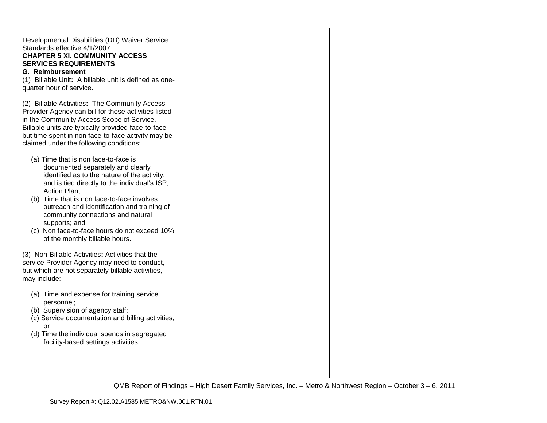| Developmental Disabilities (DD) Waiver Service<br>Standards effective 4/1/2007<br><b>CHAPTER 5 XI. COMMUNITY ACCESS</b><br><b>SERVICES REQUIREMENTS</b><br><b>G. Reimbursement</b><br>(1) Billable Unit: A billable unit is defined as one-<br>quarter hour of service.                                                                                                                                                         |  |  |
|---------------------------------------------------------------------------------------------------------------------------------------------------------------------------------------------------------------------------------------------------------------------------------------------------------------------------------------------------------------------------------------------------------------------------------|--|--|
| (2) Billable Activities: The Community Access<br>Provider Agency can bill for those activities listed<br>in the Community Access Scope of Service.<br>Billable units are typically provided face-to-face<br>but time spent in non face-to-face activity may be<br>claimed under the following conditions:                                                                                                                       |  |  |
| (a) Time that is non face-to-face is<br>documented separately and clearly<br>identified as to the nature of the activity,<br>and is tied directly to the individual's ISP,<br>Action Plan;<br>(b) Time that is non face-to-face involves<br>outreach and identification and training of<br>community connections and natural<br>supports; and<br>(c) Non face-to-face hours do not exceed 10%<br>of the monthly billable hours. |  |  |
| (3) Non-Billable Activities: Activities that the<br>service Provider Agency may need to conduct,<br>but which are not separately billable activities,<br>may include:                                                                                                                                                                                                                                                           |  |  |
| (a) Time and expense for training service<br>personnel;<br>(b) Supervision of agency staff;<br>(c) Service documentation and billing activities;<br>or<br>(d) Time the individual spends in segregated<br>facility-based settings activities.                                                                                                                                                                                   |  |  |
|                                                                                                                                                                                                                                                                                                                                                                                                                                 |  |  |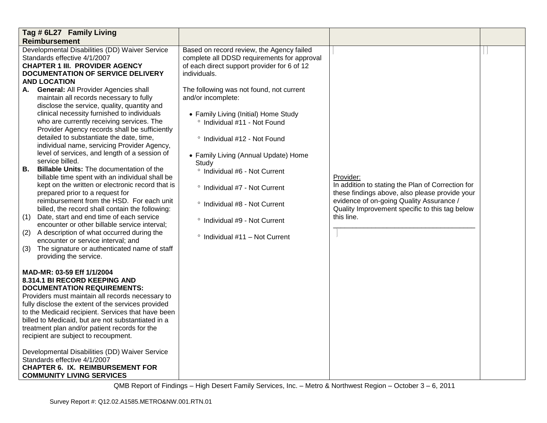|                         | Tag # 6L27 Family Living                                                                                                                                                                                                                                                                                                                                                                                                                                                                                                                                                                                                     |                                                                                                                                                                                                                                                                                                                                                                           |                                                                                                                                                                                                                              |  |
|-------------------------|------------------------------------------------------------------------------------------------------------------------------------------------------------------------------------------------------------------------------------------------------------------------------------------------------------------------------------------------------------------------------------------------------------------------------------------------------------------------------------------------------------------------------------------------------------------------------------------------------------------------------|---------------------------------------------------------------------------------------------------------------------------------------------------------------------------------------------------------------------------------------------------------------------------------------------------------------------------------------------------------------------------|------------------------------------------------------------------------------------------------------------------------------------------------------------------------------------------------------------------------------|--|
|                         | <b>Reimbursement</b>                                                                                                                                                                                                                                                                                                                                                                                                                                                                                                                                                                                                         |                                                                                                                                                                                                                                                                                                                                                                           |                                                                                                                                                                                                                              |  |
| А.                      | Developmental Disabilities (DD) Waiver Service<br>Standards effective 4/1/2007<br><b>CHAPTER 1 III. PROVIDER AGENCY</b><br><b>DOCUMENTATION OF SERVICE DELIVERY</b><br><b>AND LOCATION</b><br><b>General: All Provider Agencies shall</b><br>maintain all records necessary to fully<br>disclose the service, quality, quantity and<br>clinical necessity furnished to individuals<br>who are currently receiving services. The<br>Provider Agency records shall be sufficiently<br>detailed to substantiate the date, time,<br>individual name, servicing Provider Agency,<br>level of services, and length of a session of | Based on record review, the Agency failed<br>complete all DDSD requirements for approval<br>of each direct support provider for 6 of 12<br>individuals.<br>The following was not found, not current<br>and/or incomplete:<br>• Family Living (Initial) Home Study<br>° Individual #11 - Not Found<br>° Individual #12 - Not Found<br>• Family Living (Annual Update) Home |                                                                                                                                                                                                                              |  |
| В.<br>(1)<br>(2)<br>(3) | service billed.<br><b>Billable Units:</b> The documentation of the<br>billable time spent with an individual shall be<br>kept on the written or electronic record that is<br>prepared prior to a request for<br>reimbursement from the HSD. For each unit<br>billed, the record shall contain the following:<br>Date, start and end time of each service<br>encounter or other billable service interval;<br>A description of what occurred during the<br>encounter or service interval; and<br>The signature or authenticated name of staff<br>providing the service.                                                       | Study<br>° Individual #6 - Not Current<br>° Individual #7 - Not Current<br>° Individual #8 - Not Current<br>° Individual #9 - Not Current<br>$\degree$ Individual #11 - Not Current                                                                                                                                                                                       | Provider:<br>In addition to stating the Plan of Correction for<br>these findings above, also please provide your<br>evidence of on-going Quality Assurance /<br>Quality Improvement specific to this tag below<br>this line. |  |
|                         | MAD-MR: 03-59 Eff 1/1/2004<br>8.314.1 BI RECORD KEEPING AND<br><b>DOCUMENTATION REQUIREMENTS:</b><br>Providers must maintain all records necessary to<br>fully disclose the extent of the services provided<br>to the Medicaid recipient. Services that have been<br>billed to Medicaid, but are not substantiated in a<br>treatment plan and/or patient records for the<br>recipient are subject to recoupment.                                                                                                                                                                                                             |                                                                                                                                                                                                                                                                                                                                                                           |                                                                                                                                                                                                                              |  |
|                         | Developmental Disabilities (DD) Waiver Service<br>Standards effective 4/1/2007<br><b>CHAPTER 6. IX. REIMBURSEMENT FOR</b><br><b>COMMUNITY LIVING SERVICES</b>                                                                                                                                                                                                                                                                                                                                                                                                                                                                |                                                                                                                                                                                                                                                                                                                                                                           |                                                                                                                                                                                                                              |  |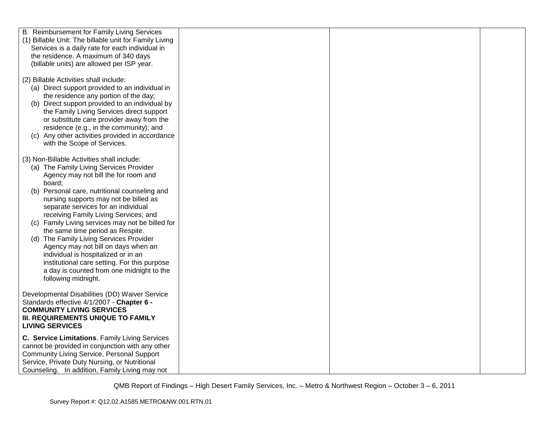| B. Reimbursement for Family Living Services                                                                                                                                                                                                                                                                                                                                                                                                                    |  |
|----------------------------------------------------------------------------------------------------------------------------------------------------------------------------------------------------------------------------------------------------------------------------------------------------------------------------------------------------------------------------------------------------------------------------------------------------------------|--|
| (1) Billable Unit: The billable unit for Family Living                                                                                                                                                                                                                                                                                                                                                                                                         |  |
| Services is a daily rate for each individual in                                                                                                                                                                                                                                                                                                                                                                                                                |  |
| the residence. A maximum of 340 days                                                                                                                                                                                                                                                                                                                                                                                                                           |  |
| (billable units) are allowed per ISP year.                                                                                                                                                                                                                                                                                                                                                                                                                     |  |
|                                                                                                                                                                                                                                                                                                                                                                                                                                                                |  |
| (2) Billable Activities shall include:                                                                                                                                                                                                                                                                                                                                                                                                                         |  |
| (a) Direct support provided to an individual in                                                                                                                                                                                                                                                                                                                                                                                                                |  |
| the residence any portion of the day;<br>(b) Direct support provided to an individual by                                                                                                                                                                                                                                                                                                                                                                       |  |
| the Family Living Services direct support                                                                                                                                                                                                                                                                                                                                                                                                                      |  |
| or substitute care provider away from the                                                                                                                                                                                                                                                                                                                                                                                                                      |  |
| residence (e.g., in the community); and                                                                                                                                                                                                                                                                                                                                                                                                                        |  |
| (c) Any other activities provided in accordance                                                                                                                                                                                                                                                                                                                                                                                                                |  |
| with the Scope of Services.                                                                                                                                                                                                                                                                                                                                                                                                                                    |  |
|                                                                                                                                                                                                                                                                                                                                                                                                                                                                |  |
| (3) Non-Billable Activities shall include:                                                                                                                                                                                                                                                                                                                                                                                                                     |  |
| (a) The Family Living Services Provider                                                                                                                                                                                                                                                                                                                                                                                                                        |  |
| Agency may not bill the for room and                                                                                                                                                                                                                                                                                                                                                                                                                           |  |
| board;                                                                                                                                                                                                                                                                                                                                                                                                                                                         |  |
| Personal care, nutritional counseling and<br>(b)                                                                                                                                                                                                                                                                                                                                                                                                               |  |
| nursing supports may not be billed as<br>separate services for an individual                                                                                                                                                                                                                                                                                                                                                                                   |  |
| receiving Family Living Services; and                                                                                                                                                                                                                                                                                                                                                                                                                          |  |
| (c) Family Living services may not be billed for                                                                                                                                                                                                                                                                                                                                                                                                               |  |
| the same time period as Respite.                                                                                                                                                                                                                                                                                                                                                                                                                               |  |
| (d) The Family Living Services Provider                                                                                                                                                                                                                                                                                                                                                                                                                        |  |
| Agency may not bill on days when an                                                                                                                                                                                                                                                                                                                                                                                                                            |  |
| individual is hospitalized or in an                                                                                                                                                                                                                                                                                                                                                                                                                            |  |
| institutional care setting. For this purpose                                                                                                                                                                                                                                                                                                                                                                                                                   |  |
| a day is counted from one midnight to the                                                                                                                                                                                                                                                                                                                                                                                                                      |  |
| following midnight.                                                                                                                                                                                                                                                                                                                                                                                                                                            |  |
|                                                                                                                                                                                                                                                                                                                                                                                                                                                                |  |
|                                                                                                                                                                                                                                                                                                                                                                                                                                                                |  |
|                                                                                                                                                                                                                                                                                                                                                                                                                                                                |  |
|                                                                                                                                                                                                                                                                                                                                                                                                                                                                |  |
|                                                                                                                                                                                                                                                                                                                                                                                                                                                                |  |
|                                                                                                                                                                                                                                                                                                                                                                                                                                                                |  |
|                                                                                                                                                                                                                                                                                                                                                                                                                                                                |  |
|                                                                                                                                                                                                                                                                                                                                                                                                                                                                |  |
|                                                                                                                                                                                                                                                                                                                                                                                                                                                                |  |
|                                                                                                                                                                                                                                                                                                                                                                                                                                                                |  |
| Developmental Disabilities (DD) Waiver Service<br>Standards effective 4/1/2007 - Chapter 6 -<br><b>COMMUNITY LIVING SERVICES</b><br>III. REQUIREMENTS UNIQUE TO FAMILY<br><b>LIVING SERVICES</b><br>C. Service Limitations. Family Living Services<br>cannot be provided in conjunction with any other<br><b>Community Living Service, Personal Support</b><br>Service, Private Duty Nursing, or Nutritional<br>Counseling. In addition, Family Living may not |  |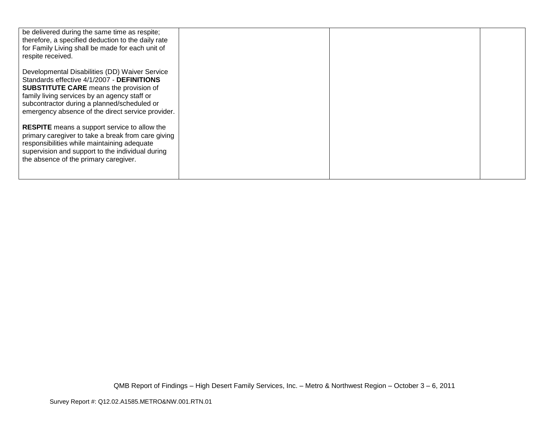| be delivered during the same time as respite;<br>therefore, a specified deduction to the daily rate<br>for Family Living shall be made for each unit of<br>respite received.                                                                                                                      |  |  |
|---------------------------------------------------------------------------------------------------------------------------------------------------------------------------------------------------------------------------------------------------------------------------------------------------|--|--|
| Developmental Disabilities (DD) Waiver Service<br>Standards effective 4/1/2007 - DEFINITIONS<br><b>SUBSTITUTE CARE</b> means the provision of<br>family living services by an agency staff or<br>subcontractor during a planned/scheduled or<br>emergency absence of the direct service provider. |  |  |
| <b>RESPITE</b> means a support service to allow the<br>primary caregiver to take a break from care giving<br>responsibilities while maintaining adequate<br>supervision and support to the individual during<br>the absence of the primary caregiver.                                             |  |  |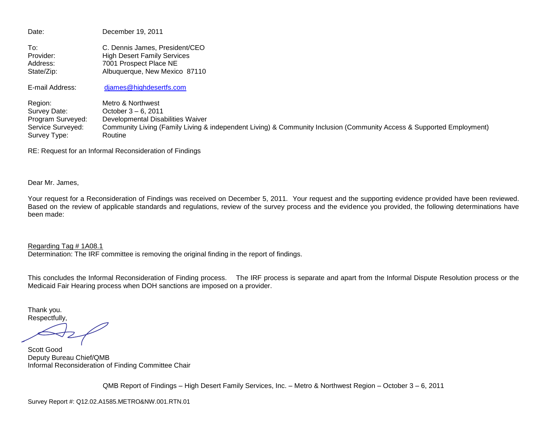Date: December 19, 2011 To: C. Dennis James, President/CEO Provider: High Desert Family Services Address: 7001 Prospect Place NE State/Zip: Albuquerque, New Mexico 87110 E-mail Address: [djames@highdesertfs.com](mailto:djames@highdesertfs.com) Region: Metro & Northwest<br>Survey Date: Cotober 3 – 6, 2011 October  $3 - 6$ , 2011 Program Surveyed: Developmental Disabilities Waiver<br>Service Surveyed: Community Living (Family Living & Community Living (Family Living & independent Living) & Community Inclusion (Community Access & Supported Employment) Survey Type: Routine

RE: Request for an Informal Reconsideration of Findings

Dear Mr. James,

Your request for a Reconsideration of Findings was received on December 5, 2011. Your request and the supporting evidence provided have been reviewed. Based on the review of applicable standards and regulations, review of the survey process and the evidence you provided, the following determinations have been made:

Regarding Tag # 1A08.1 Determination: The IRF committee is removing the original finding in the report of findings.

This concludes the Informal Reconsideration of Finding process. The IRF process is separate and apart from the Informal Dispute Resolution process or the Medicaid Fair Hearing process when DOH sanctions are imposed on a provider.

Thank you. Respectfully,

Scott Good Deputy Bureau Chief/QMB Informal Reconsideration of Finding Committee Chair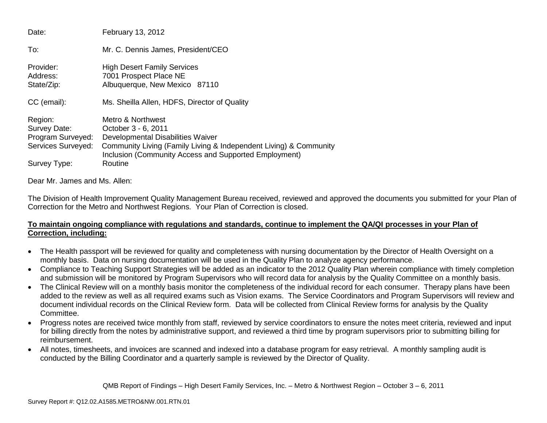| Date:                                                              | February 13, 2012                                                                                                                                                                                           |
|--------------------------------------------------------------------|-------------------------------------------------------------------------------------------------------------------------------------------------------------------------------------------------------------|
| To:                                                                | Mr. C. Dennis James, President/CEO                                                                                                                                                                          |
| Provider:<br>Address:<br>State/Zip:                                | <b>High Desert Family Services</b><br>7001 Prospect Place NE<br>Albuquerque, New Mexico 87110                                                                                                               |
| CC (email):                                                        | Ms. Sheilla Allen, HDFS, Director of Quality                                                                                                                                                                |
| Region:<br>Survey Date:<br>Program Surveyed:<br>Services Surveyed: | Metro & Northwest<br>October 3 - 6, 2011<br>Developmental Disabilities Waiver<br>Community Living (Family Living & Independent Living) & Community<br>Inclusion (Community Access and Supported Employment) |
| Survey Type:                                                       | Routine                                                                                                                                                                                                     |

Dear Mr. James and Ms. Allen:

The Division of Health Improvement Quality Management Bureau received, reviewed and approved the documents you submitted for your Plan of Correction for the Metro and Northwest Regions. Your Plan of Correction is closed.

# **To maintain ongoing compliance with regulations and standards, continue to implement the QA/QI processes in your Plan of Correction, including:**

- The Health passport will be reviewed for quality and completeness with nursing documentation by the Director of Health Oversight on a monthly basis. Data on nursing documentation will be used in the Quality Plan to analyze agency performance.
- Compliance to Teaching Support Strategies will be added as an indicator to the 2012 Quality Plan wherein compliance with timely completion and submission will be monitored by Program Supervisors who will record data for analysis by the Quality Committee on a monthly basis.
- The Clinical Review will on a monthly basis monitor the completeness of the individual record for each consumer. Therapy plans have been added to the review as well as all required exams such as Vision exams. The Service Coordinators and Program Supervisors will review and document individual records on the Clinical Review form. Data will be collected from Clinical Review forms for analysis by the Quality Committee.
- Progress notes are received twice monthly from staff, reviewed by service coordinators to ensure the notes meet criteria, reviewed and input for billing directly from the notes by administrative support, and reviewed a third time by program supervisors prior to submitting billing for reimbursement.
- All notes, timesheets, and invoices are scanned and indexed into a database program for easy retrieval. A monthly sampling audit is conducted by the Billing Coordinator and a quarterly sample is reviewed by the Director of Quality.